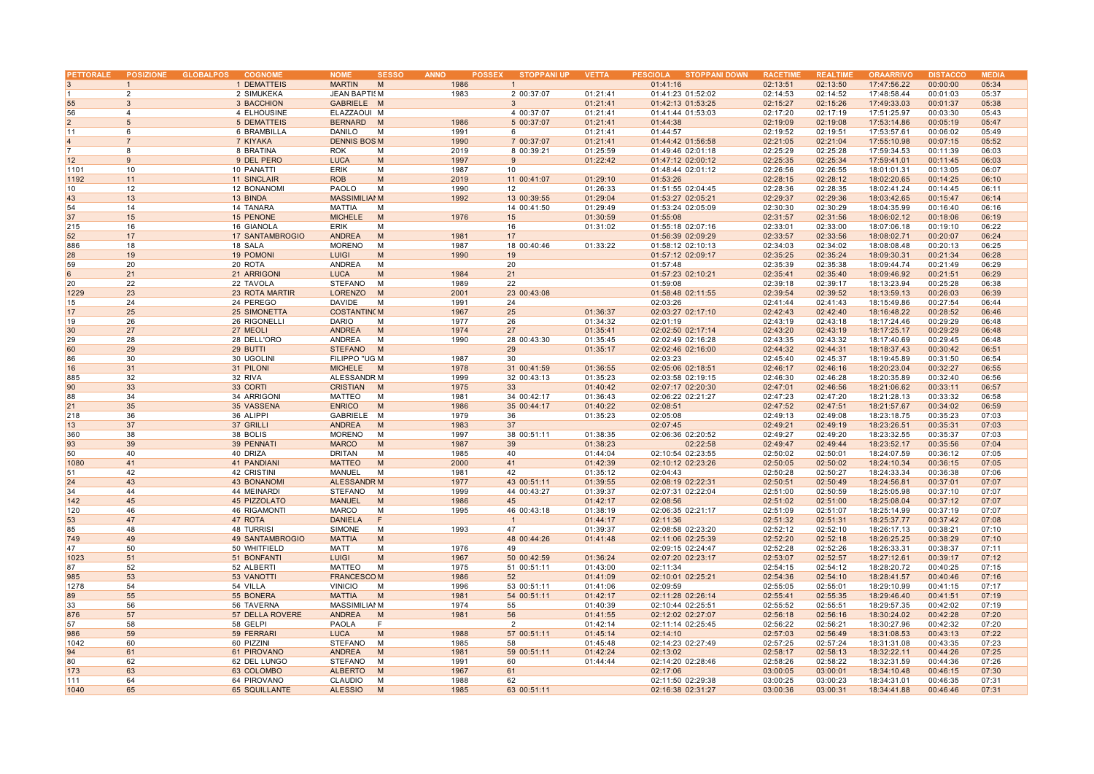| <b>PETTORALE</b> | <b>POSIZIONE</b>        | <b>GLOBALPOS</b> | <b>COGNOME</b>       | <b>NOME</b>          | <b>SESSO</b> | <b>ANNO</b><br><b>POSSEX</b> | <b>STOPPANI UP</b> | <b>VETTA</b> | PESCIOLA STOPPANI DOWN | <b>RACETIM</b> | <b>REALTIME</b> | <b>ORAARRIVO</b> | <b>DISTACCC</b> | <b>MEDIA</b> |
|------------------|-------------------------|------------------|----------------------|----------------------|--------------|------------------------------|--------------------|--------------|------------------------|----------------|-----------------|------------------|-----------------|--------------|
| 3                | $\mathbf{1}$            |                  | 1 DEMATTEIS          | <b>MARTIN</b><br>M   |              | 1986                         | $\mathbf{1}$       |              | 01:41:16               | 02:13:51       | 02:13:50        | 17:47:56.22      | 00:00:00        | 05:34        |
| $\vert$ 1        | 2                       |                  | 2 SIMUKEKA           | <b>JEAN BAPTISM</b>  |              | 1983                         | 2 00:37:07         | 01:21:41     | 01:41:23 01:52:02      | 02:14:53       | 02:14:52        | 17:48:58.44      | 00:01:03        | 05:37        |
| 55               | $\mathbf{3}$            |                  | 3 BACCHION           | GABRIELE M           |              |                              | 3                  | 01:21:41     | 01:42:13 01:53:25      | 02:15:27       | 02:15:26        | 17:49:33.03      | 00:01:37        | 05:38        |
| 56               | $\overline{\mathbf{A}}$ |                  | 4 ELHOUSINE          | ELAZZAOUI M          |              |                              | 4 00:37:07         | 01:21:41     | 01:41:44 01:53:03      | 02:17:20       | 02:17:19        | 17:51:25.97      | 00:03:30        | 05:43        |
| $\overline{2}$   | 5                       |                  | <b>5 DEMATTEIS</b>   | BERNARD M            |              | 1986                         | 5 00:37:07         | 01:21:41     | 01:44:38               | 02:19:09       | 02:19:08        | 17:53:14.86      | 00:05:19        | 05:47        |
| 11               | 6                       |                  | 6 BRAMBILLA          | DANILO<br>M          |              | 1991                         | 6                  | 01:21:41     | 01:44:57               | 02:19:52       | 02:19:51        | 17:53:57.61      | 00:06:02        | 05:49        |
| $\overline{4}$   | $\overline{7}$          |                  |                      | <b>DENNIS BOSM</b>   |              | 1990                         |                    | 01:21:41     | 01:44:42 01:56:58      | 02:21:05       | 02:21:04        | 17:55:10.98      | 00:07:15        | 05:52        |
|                  | 8                       |                  | 7 KIYAKA             |                      |              |                              | 7 00:37:07         |              |                        |                |                 |                  |                 |              |
|                  |                         |                  | 8 BRATINA            | <b>ROK</b>           | M            | 2019                         | 8 00:39:21         | 01:25:59     | 01:49:46 02:01:18      | 02:25:29       | 02:25:28        | 17:59:34.53      | 00:11:39        | 06:03        |
| 12               | $\mathbf{q}$            |                  | 9 DEL PERO           | <b>LUCA</b>          | M            | 1997                         | 9                  | 01:22:42     | 01:47:12 02:00:12      | 02:25:35       | 02:25:34        | 17:59:41.01      | 00:11:45        | 06:03        |
| 1101             | 10                      |                  | 10 PANATTI           | ERIK                 | M            | 1987                         | 10                 |              | 01:48:44 02:01:12      | 02:26:56       | 02:26:55        | 18:01:01.31      | 00:13:05        | 06:07        |
| 1192             | 11                      |                  | 11 SINCLAIR          | <b>ROB</b>           | M            | 2019                         | 11 00:41:07        | 01:29:10     | 01:53:26               | 02:28:15       | 02:28:12        | 18:02:20.65      | 00:14:25        | 06:10        |
| 10               | 12                      |                  | 12 BONANOMI          | PAOLO                | M            | 1990                         | 12                 | 01:26:33     | 01:51:55 02:04:45      | 02:28:36       | 02:28:35        | 18:02:41.24      | 00:14:45        | 06:11        |
| 43               | 13                      |                  | 13 BINDA             | <b>MASSIMILIAI M</b> |              | 1992                         | 13 00:39:55        | 01:29:04     | 01:53:27 02:05:21      | 02:29:37       | 02:29:36        | 18:03:42.65      | 00:15:47        | 06:14        |
| 54               | 14                      |                  | 14 TANARA            | MATTIA               | M            |                              | 14 00:41:50        | 01:29:49     | 01:53:24 02:05:09      | 02:30:30       | 02:30:29        | 18:04:35.99      | 00:16:40        | 06:16        |
| 37               | 15                      |                  | 15 PENONE            | <b>MICHELE</b><br>M  |              | 1976                         | 15                 | 01:30:59     | 01:55:08               | 02:31:57       | 02:31:56        | 18:06:02.12      | 00:18:06        | 06:19        |
| 215              | 16                      |                  | 16 GIANOLA           | <b>ERIK</b>          | M            |                              | 16                 | 01:31:02     | 01:55:18 02:07:16      | 02:33:01       | 02:33:00        | 18:07:06.18      | 00:19:10        | 06:22        |
| 52               | 17                      |                  | 17 SANTAMBROGIO      | <b>ANDREA</b>        | M            | 1981                         | 17                 |              | 01:56:39 02:09:29      | 02:33:57       | 02:33:56        | 18:08:02.71      | 00:20:07        | 06:24        |
| 886              | 18                      |                  | 18 SALA              | <b>MORENO</b>        | M            | 1987                         | 18 00:40:46        | 01:33:22     | 01:58:12 02:10:13      | 02:34:03       | 02:34:02        | 18:08:08.48      | 00:20:13        | 06:25        |
| 28               | 19                      |                  | 19 POMONI            | <b>LUIGI</b>         | M            | 1990                         | 19                 |              | 01:57:12 02:09:17      | 02:35:25       | 02:35:24        | 18:09:30.31      | 00:21:34        | 06:28        |
| 59               | 20                      |                  | 20 ROTA              | <b>ANDREA</b><br>M   |              |                              | 20                 |              | 01:57:48               | 02:35:39       | 02:35:38        | 18:09:44.74      | 00:21:49        | 06:29        |
|                  |                         |                  |                      | <b>LUCA</b>          |              |                              |                    |              |                        | 02:35:41       |                 |                  |                 |              |
| 6                | 21                      |                  | 21 ARRIGONI          |                      | M            | 1984                         | 21                 |              | 01:57:23 02:10:21      |                | 02:35:40        | 18:09:46.92      | 00:21:51        | 06:29        |
| 20               | 22                      |                  | 22 TAVOLA            | STEFANO<br>M         |              | 1989                         | 22                 |              | 01:59:08               | 02:39:18       | 02:39:17        | 18:13:23.94      | 00:25:28        | 06:38        |
| 1229             | 23                      |                  | 23 ROTA MARTIR       | LORENZO<br>M         |              | 2001                         | 23 00:43:08        |              | 01:58:48 02:11:55      | 02:39:54       | 02:39:52        | 18:13:59.13      | 00:26:03        | 06:39        |
| 15               | 24                      |                  | 24 PEREGO            | DAVIDE<br>M          |              | 1991                         | 24                 |              | 02:03:26               | 02:41:44       | 02:41:43        | 18:15:49.86      | 00:27:54        | 06:44        |
| 17               | 25                      |                  | 25 SIMONETTA         | <b>COSTANTING M</b>  |              | 1967                         | 25                 | 01:36:37     | 02:03:27 02:17:10      | 02:42:43       | 02:42:40        | 18:16:48.22      | 00:28:52        | 06:46        |
| 19               | 26                      |                  | 26 RIGONELLI         | <b>DARIO</b>         | M            | 1977                         | 26                 | 01:34:32     | 02:01:19               | 02:43:19       | 02:43:18        | 18:17:24.46      | 00:29:29        | 06:48        |
| 30               | 27                      |                  | 27 MEOLI             | <b>ANDREA</b><br>M   |              | 1974                         | 27                 | 01:35:41     | 02:02:50 02:17:14      | 02:43:20       | 02:43:19        | 18:17:25.17      | 00:29:29        | 06:48        |
| 29               | 28                      |                  | 28 DELL'ORO          | <b>ANDREA</b>        | M            | 1990                         | 28 00:43:30        | 01:35:45     | 02:02:49 02:16:28      | 02:43:35       | 02:43:32        | 18:17:40.69      | 00:29:45        | 06:48        |
| 60               | 29                      |                  | 29 BUTTI             | <b>STEFANO</b><br>M  |              |                              | 29                 | 01:35:17     | 02:02:46 02:16:00      | 02:44:32       | 02:44:31        | 18:18:37.43      | 00:30:42        | 06:51        |
| 86               | 30                      |                  | 30 UGOLINI           | FILIPPO "UG M        |              | 1987                         | 30                 |              | 02:03:23               | 02:45:40       | 02:45:37        | 18:19:45.89      | 00:31:50        | 06:54        |
| 16               | 31                      |                  | 31 PILONI            | <b>MICHELE</b><br>M  |              | 1978                         | 31 00:41:59        | 01:36:55     | 02:05:06 02:18:51      | 02:46:17       | 02:46:16        | 18:20:23.04      | 00:32:27        | 06:55        |
| 885              | 32                      |                  | 32 RIVA              | ALESSANDR M          |              | 1999                         | 32 00:43:13        | 01:35:23     | 02:03:58 02:19:15      | 02:46:30       | 02:46:28        | 18:20:35.89      | 00:32:40        | 06:56        |
| 90               | 33                      |                  | 33 CORTI             | <b>CRISTIAN</b><br>M |              | 1975                         | 33                 | 01:40:42     | 02:07:17 02:20:30      | 02:47:01       | 02:46:56        | 18:21:06.62      | 00:33:11        | 06:57        |
| 88               | 34                      |                  | 34 ARRIGONI          | <b>MATTEO</b>        | M            | 1981                         | 34 00:42:17        | 01:36:43     | 02:06:22 02:21:27      | 02:47:23       | 02:47:20        | 18:21:28.13      | 00:33:32        | 06:58        |
| 21               | 35                      |                  | 35 VASSENA           | <b>ENRICO</b>        | M            | 1986                         | 35 00:44:17        | 01:40:22     | 02:08:51               | 02:47:52       | 02:47:51        | 18:21:57.67      | 00:34:02        | 06:59        |
|                  | 36                      |                  | 36 ALIPPI            |                      |              | 1979                         | 36                 |              |                        |                |                 | 18:23:18.75      | 00:35:23        | 07:03        |
| 218              |                         |                  |                      | GABRIELE M           |              |                              |                    | 01:35:23     | 02:05:08               | 02:49:13       | 02:49:08        |                  |                 |              |
| 13               | 37                      |                  | 37 GRILLI            | <b>ANDREA</b>        | M            | 1983                         | 37                 |              | 02:07:45               | 02:49:21       | 02:49:19        | 18:23:26.51      | 00:35:31        | 07:03        |
| 360              | 38                      |                  | 38 BOLIS             | <b>MORENO</b>        | M            | 1997                         | 38 00:51:11        | 01:38:35     | 02:06:36 02:20:52      | 02:49:27       | 02:49:20        | 18:23:32.55      | 00:35:37        | 07:03        |
| 93               | 39                      |                  | 39 PENNATI           | <b>MARCO</b>         | M            | 1987                         | 39                 | 01:38:23     | 02:22:58               | 02:49:47       | 02:49:44        | 18:23:52.17      | 00:35:56        | 07:04        |
| 50               | 40                      |                  | 40 DRIZA             | <b>DRITAN</b>        | M            | 1985                         | 40                 | 01:44:04     | 02:10:54 02:23:55      | 02:50:02       | 02:50:01        | 18:24:07.59      | 00:36:12        | 07:05        |
| 1080             | 41                      |                  | <b>41 PANDIANI</b>   | <b>MATTEO</b>        | M            | 2000                         | 41                 | 01:42:39     | 02:10:12 02:23:26      | 02:50:05       | 02:50:02        | 18:24:10.34      | 00:36:15        | 07:05        |
| 51               | 42                      |                  | 42 CRISTINI          | MANUEL<br>M          |              | 1981                         | 42                 | 01:35:12     | 02:04:43               | 02:50:28       | 02:50:27        | 18:24:33.34      | 00:36:38        | 07:06        |
| 24               | 43                      |                  | <b>43 BONANOMI</b>   | <b>ALESSANDR M</b>   |              | 1977                         | 43 00:51:11        | 01:39:55     | 02:08:19 02:22:31      | 02:50:51       | 02:50:49        | 18:24:56.81      | 00:37:01        | 07:07        |
| 34               | 44                      |                  | 44 MEINARDI          | STEFANO<br>M         |              | 1999                         | 44 00:43:27        | 01:39:37     | 02:07:31 02:22:04      | 02:51:00       | 02:50:59        | 18:25:05.98      | 00:37:10        | 07:07        |
| 142              | 45                      |                  | 45 PIZZOLATO         | <b>MANUEL</b>        | M            | 1986                         | 45                 | 01:42:17     | 02:08:56               | 02:51:02       | 02:51:00        | 18:25:08.04      | 00:37:12        | 07:07        |
| 120              | 46                      |                  | <b>46 RIGAMONTI</b>  | MARCO                | M            | 1995                         | 46 00:43:18        | 01:38:19     | 02:06:35 02:21:17      | 02:51:09       | 02:51:07        | 18:25:14.99      | 00:37:19        | 07:07        |
| 53               | 47                      |                  | 47 ROTA              | <b>DANIELA</b><br>F  |              |                              |                    | 01:44:17     | 02:11:36               | 02:51:32       | 02:51:31        | 18:25:37.77      | 00:37:42        | 07:08        |
| 85               | 48                      |                  | <b>48 TURRISI</b>    | <b>SIMONE</b>        | M            | 1993                         | 47                 | 01:39:37     | 02:08:58 02:23:20      | 02:52:12       | 02:52:10        | 18:26:17.13      | 00:38:21        | 07:10        |
| 749              | 49                      |                  | 49 SANTAMBROGIO      | <b>MATTIA</b>        | M            |                              | 48 00:44:26        | 01:41:48     | 02:11:06 02:25:39      | 02:52:20       | 02:52:18        | 18:26:25.25      | 00:38:29        | 07:10        |
| 47               | 50                      |                  | 50 WHITFIELD         | MATT                 | M            | 1976                         | 49                 |              | 02:09:15 02:24:47      | 02:52:28       | 02:52:26        | 18:26:33.31      | 00:38:37        | 07:11        |
| 1023             | 51                      |                  | 51 BONFANTI          | <b>LUIGI</b>         | M            | 1967                         | 50 00:42:59        | 01:36:24     | 02:07:20 02:23:17      | 02:53:07       | 02:52:57        | 18:27:12.61      | 00:39:17        | 07:12        |
|                  | 52                      |                  |                      | M                    |              |                              |                    |              |                        |                |                 |                  |                 |              |
| 87               |                         |                  | 52 ALBERTI           | <b>MATTEO</b>        |              | 1975                         | 51 00:51:11        | 01:43:00     | 02:11:34               | 02:54:15       | 02:54:12        | 18:28:20.72      | 00:40:25        | 07:15        |
| 985              | 53                      |                  | 53 VANOTTI           | <b>FRANCESCOM</b>    |              | 1986                         | 52                 | 01:41:09     | 02:10:01 02:25:21      | 02:54:36       | 02:54:10        | 18:28:41.57      | 00:40:46        | 07:16        |
| 1278             | 54                      |                  | 54 VILLA             | <b>VINICIO</b><br>M  |              | 1996                         | 53 00:51:11        | 01:41:06     | 02:09:59               | 02:55:05       | 02:55:01        | 18:29:10.99      | 00:41:15        | 07:17        |
| 89               | 55                      |                  | 55 BONERA            | <b>MATTIA</b>        | M            | 1981                         | 54 00:51:11        | 01:42:17     | 02:11:28 02:26:14      | 02:55:41       | 02:55:35        | 18:29:46.40      | 00:41:51        | 07:19        |
| 33               | 56                      |                  | 56 TAVERNA           | <b>MASSIMILIAI M</b> |              | 1974                         | 55                 | 01:40:39     | 02:10:44 02:25:51      | 02:55:52       | 02:55:51        | 18:29:57.35      | 00:42:02        | 07:19        |
| 876              | 57                      |                  | 57 DELLA ROVERE      | <b>ANDREA</b>        | M            | 1981                         | 56                 | 01:41:55     | 02:12:02 02:27:07      | 02:56:18       | 02:56:16        | 18:30:24.02      | 00:42:28        | 07:20        |
| 57               | 58                      |                  | 58 GELPI             | PAOLA<br>F           |              |                              | $\overline{2}$     | 01:42:14     | 02:11:14 02:25:45      | 02:56:22       | 02:56:21        | 18:30:27.96      | 00:42:32        | 07:20        |
| 986              | 59                      |                  | 59 FERRARI           | <b>LUCA</b>          | M            | 1988                         | 57 00:51:11        | 01:45:14     | 02:14:10               | 02:57:03       | 02:56:49        | 18:31:08.53      | 00:43:13        | 07:22        |
| 1042             | 60                      |                  | 60 PIZZINI           | M<br><b>STEFANO</b>  |              | 1985                         | 58                 | 01:45:48     | 02:14:23 02:27:49      | 02:57:25       | 02:57:24        | 18:31:31.08      | 00:43:35        | 07:23        |
| 94               | 61                      |                  | 61 PIROVANO          | <b>ANDREA</b>        | M            | 1981                         | 59 00:51:11        | 01:42:24     | 02:13:02               | 02:58:17       | 02:58:13        | 18:32:22.11      | 00:44:26        | 07:25        |
| 80               | 62                      |                  | 62 DEL LUNGO         | <b>STEFANO</b><br>M  |              | 1991                         | 60                 | 01:44:44     | 02:14:20 02:28:46      | 02:58:26       | 02:58:22        | 18:32:31.59      | 00:44:36        | 07:26        |
| 173              | 63                      |                  | 63 COLOMBO           | M<br><b>ALBERTO</b>  |              | 1967                         | 61                 |              | 02:17:06               | 03:00:05       | 03:00:01        | 18:34:10.48      | 00:46:15        | 07:30        |
| 111              | 64                      |                  | 64 PIROVANO          | <b>CLAUDIO</b><br>M  |              | 1988                         | 62                 |              | 02:11:50 02:29:38      | 03:00:25       | 03:00:23        | 18:34:31.01      | 00:46:35        | 07:31        |
| 1040             | 65                      |                  | <b>65 SQUILLANTE</b> | <b>ALESSIO</b><br>M  |              | 1985                         | 63 00:51:11        |              | 02:16:38 02:31:27      | 03:00:36       | 03:00:31        | 18:34:41.88      | 00:46:46        | 07:31        |
|                  |                         |                  |                      |                      |              |                              |                    |              |                        |                |                 |                  |                 |              |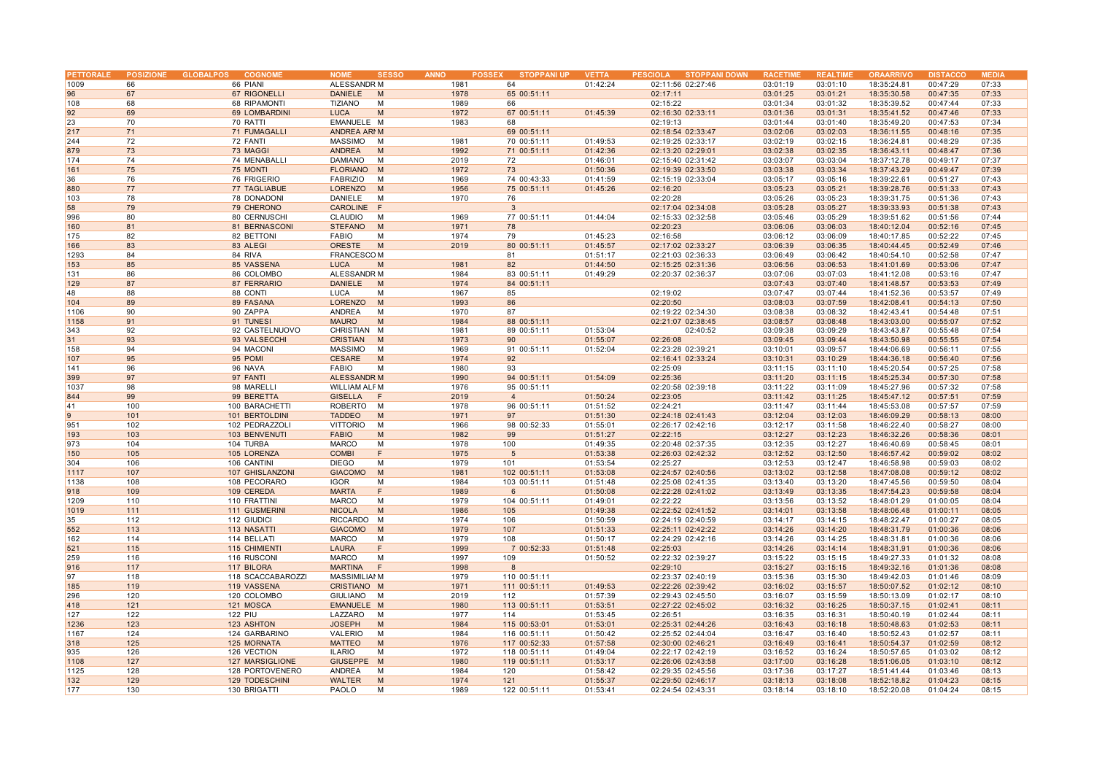| <b>PETTORALE</b> |     | POSIZIONE GLOBALPOS<br><b>COGNOME</b> | <b>NOME</b><br><b>SESSO</b>   | <b>ANNO</b><br><b>POSSEX</b> | <b>STOPPANI UP</b> | <b>VETTA</b> | <b>STOPPANI DOWN</b><br><b>PESCIOLA</b> | <b>RACETIM</b> | <b>REALTIM</b> | <b>ORAARRIVO</b> | <b>DISTACCC</b> | <b>MEDIA</b> |
|------------------|-----|---------------------------------------|-------------------------------|------------------------------|--------------------|--------------|-----------------------------------------|----------------|----------------|------------------|-----------------|--------------|
| 1009             | 66  | 66 PIANI                              | ALESSANDR M                   | 1981                         | 64                 | 01:42:24     | 02:11:56 02:27:46                       | 03:01:19       | 03:01:10       | 18:35:24.81      | 00:47:29        | 07:33        |
| 96               | 67  | 67 RIGONELLI                          | <b>DANIELE</b><br>M           | 1978                         | 65 00:51:11        |              | 02:17:11                                | 03:01:25       | 03:01:21       | 18:35:30.58      | 00:47:35        | 07:33        |
|                  |     |                                       |                               |                              |                    |              |                                         |                |                |                  |                 |              |
| 108              | 68  | 68 RIPAMONTI                          | <b>TIZIANO</b><br>M           | 1989                         | 66                 |              | 02:15:22                                | 03:01:34       | 03:01:32       | 18:35:39.52      | 00:47:44        | 07:33        |
| 92               | 69  | 69 LOMBARDINI                         | <b>LUCA</b><br>M              | 1972                         | 67 00:51:11        | 01:45:39     | 02:16:30 02:33:11                       | 03:01:36       | 03:01:31       | 18:35:41.52      | 00:47:46        | 07:33        |
| 23               | 70  | 70 RATTI                              | EMANUELE M                    | 1983                         | 68                 |              | 02:19:13                                | 03:01:44       | 03:01:40       | 18:35:49.20      | 00:47:53        | 07:34        |
| 217              | 71  | <b>71 FUMAGALLI</b>                   | ANDREA ARMM                   |                              | 69 00:51:11        |              | 02:18:54 02:33:47                       | 03:02:06       | 03:02:03       | 18:36:11.55      | 00:48:16        | 07:35        |
| 244              | 72  | 72 FANTI                              | MASSIMO<br>M                  | 1981                         | 70 00:51:11        | 01:49:53     | 02:19:25 02:33:17                       | 03:02:19       | 03:02:15       | 18:36:24.81      | 00:48:29        | 07:35        |
| 879              | 73  | 73 MAGGI                              | ANDREA<br>M                   | 1992                         | 71 00:51:11        | 01:42:36     | 02:13:20 02:29:01                       | 03:02:38       | 03:02:35       | 18:36:43.11      | 00:48:47        | 07:36        |
|                  |     |                                       |                               |                              |                    |              |                                         |                |                |                  |                 |              |
| 174              | 74  | 74 MENABALLI                          | <b>DAMIANO</b><br>M           | 2019                         | 72                 | 01:46:01     | 02:15:40 02:31:42                       | 03:03:07       | 03:03:04       | 18:37:12.78      | 00:49:17        | 07:37        |
| 161              | 75  | 75 MONTI                              | <b>FLORIANO</b><br>M          | 1972                         | 73                 | 01:50:36     | 02:19:39 02:33:50                       | 03:03:38       | 03:03:34       | 18:37:43.29      | 00:49:47        | 07:39        |
| 36               | 76  | 76 FRIGERIO                           | <b>FABRIZIO</b><br>M          | 1969                         | 74 00:43:33        | 01:41:59     | 02:15:19 02:33:04                       | 03:05:17       | 03:05:16       | 18:39:22.61      | 00:51:27        | 07:43        |
| 880              | 77  | <b>77 TAGLIABUE</b>                   | LORENZO<br>M                  | 1956                         | 75 00:51:11        | 01:45:26     | 02:16:20                                | 03:05:23       | 03:05:21       | 18:39:28.76      | 00:51:33        | 07:43        |
| 103              | 78  | 78 DONADONI                           | м                             | 1970                         | 76                 |              | 02:20:28                                | 03:05:26       | 03:05:23       | 18:39:31.75      | 00:51:36        | 07:43        |
|                  |     |                                       | DANIELE                       |                              |                    |              |                                         |                |                |                  |                 |              |
| 58               | 79  | 79 CHERONO                            | CAROLINE F                    |                              | $\mathbf{3}$       |              | 02:17:04 02:34:08                       | 03:05:28       | 03:05:27       | 18:39:33.93      | 00:51:38        | 07:43        |
| 996              | 80  | 80 CERNUSCHI                          | CLAUDIO<br>M                  | 1969                         | 77 00:51:11        | 01:44:04     | 02:15:33 02:32:58                       | 03:05:46       | 03:05:29       | 18:39:51.62      | 00:51:56        | 07:44        |
| 160              | 81  | <b>81 BERNASCONI</b>                  | <b>STEFANO</b><br>M           | 1971                         | 78                 |              | 02:20:23                                | 03:06:06       | 03:06:03       | 18:40:12.04      | 00:52:16        | 07:45        |
| 175              | 82  | 82 BETTONI                            | <b>FABIO</b><br>M             | 1974                         | 79                 | 01:45:23     | 02:16:58                                | 03:06:12       | 03:06:09       | 18:40:17.85      | 00:52:22        | 07:45        |
| 166              | 83  | 83 ALEGI                              | ORESTE<br>M                   | 2019                         | 80 00:51:11        | 01:45:57     | 02:17:02 02:33:27                       | 03:06:39       | 03:06:35       | 18:40:44.45      | 00:52:49        | 07:46        |
|                  |     |                                       |                               |                              |                    |              |                                         |                |                |                  |                 |              |
| 1293             | 84  | 84 RIVA                               | <b>FRANCESCOM</b>             |                              | 81                 | 01:51:17     | 02:21:03 02:36:33                       | 03:06:49       | 03:06:42       | 18:40:54.10      | 00:52:58        | 07:47        |
| 153              | 85  | 85 VASSENA                            | <b>LUCA</b><br>M              | 1981                         | 82                 | 01:44:50     | 02:15:25 02:31:36                       | 03:06:56       | 03:06:53       | 18:41:01.69      | 00:53:06        | 07:47        |
| 131              | 86  | 86 COLOMBO                            | ALESSANDR M                   | 1984                         | 83 00:51:11        | 01:49:29     | 02:20:37 02:36:37                       | 03:07:06       | 03:07:03       | 18:41:12.08      | 00:53:16        | 07:47        |
| 129              | 87  | 87 FERRARIO                           | <b>DANIELE</b><br>M           | 1974                         | 84 00:51:11        |              |                                         | 03:07:43       | 03:07:40       | 18:41:48.57      | 00:53:53        | 07:49        |
| 48               | 88  | 88 CONTI                              | M<br>LUCA                     | 1967                         | 85                 |              | 02:19:02                                | 03:07:47       | 03:07:44       | 18:41:52.36      | 00:53:57        | 07:49        |
| 104              | 89  | 89 FASANA                             | LORENZO<br>M                  | 1993                         | 86                 |              | 02:20:50                                | 03:08:03       | 03:07:59       | 18:42:08.41      | 00:54:13        | 07:50        |
|                  |     |                                       |                               |                              |                    |              |                                         |                |                |                  |                 |              |
| 1106             | 90  | 90 ZAPPA                              | ANDREA<br>M                   | 1970                         | 87                 |              | 02:19:22 02:34:30                       | 03:08:38       | 03:08:32       | 18:42:43.41      | 00:54:48        | 07:51        |
| 1158             | 91  | 91 TUNESI                             | <b>MAURO</b><br>M             | 1984                         | 88 00:51:11        |              | 02:21:07 02:38:45                       | 03:08:57       | 03:08:48       | 18:43:03.00      | 00:55:07        | 07:52        |
| 343              | 92  | 92 CASTELNUOVO                        | CHRISTIAN M                   | 1981                         | 89 00:51:11        | 01:53:04     | 02:40:52                                | 03:09:38       | 03:09:29       | 18:43:43.87      | 00:55:48        | 07:54        |
| 31               | 93  | 93 VALSECCHI                          | <b>CRISTIAN</b><br>M          | 1973                         | 90                 | 01:55:07     | 02:26:08                                | 03:09:45       | 03:09:44       | 18:43:50.98      | 00:55:55        | 07:54        |
| 158              | 94  | 94 MACONI                             | MASSIMO<br>M                  | 1969                         | 91 00:51:11        | 01:52:04     | 02:23:28 02:39:21                       | 03:10:01       | 03:09:57       | 18:44:06.69      | 00:56:11        | 07:55        |
| 107              | 95  | 95 POMI                               | CESARE<br>M                   | 1974                         | 92                 |              | 02:16:41 02:33:24                       | 03:10:31       | 03:10:29       | 18:44:36.18      | 00:56:40        | 07:56        |
|                  |     |                                       |                               |                              |                    |              |                                         |                |                |                  |                 |              |
| 141              | 96  | 96 NAVA                               | <b>FABIO</b><br>M             | 1980                         | 93                 |              | 02:25:09                                | 03:11:15       | 03:11:10       | 18:45:20.54      | 00:57:25        | 07:58        |
| 399              | 97  | 97 FANTI                              | <b>ALESSANDR M</b>            | 1990                         | 94 00:51:11        | 01:54:09     | 02:25:36                                | 03:11:20       | 03:11:15       | 18:45:25.34      | 00:57:30        | 07:58        |
| 1037             | 98  | 98 MARELLI                            | <b>WILLIAM ALF M</b>          | 1976                         | 95 00:51:11        |              | 02:20:58 02:39:18                       | 03:11:22       | 03:11:09       | 18:45:27.96      | 00:57:32        | 07:58        |
| 844              | 99  | 99 BERETTA                            | <b>GISELLA</b><br>-F          | 2019                         | $\overline{4}$     | 01:50:24     | 02:23:05                                | 03:11:42       | 03:11:25       | 18:45:47.12      | 00:57:51        | 07:59        |
| 41               | 100 | 100 BARACHETTI                        | <b>ROBERTO</b><br>M           | 1978                         | 96 00:51:11        | 01:51:52     | 02:24:21                                | 03:11:47       | 03:11:44       | 18:45:53.08      | 00:57:57        | 07:59        |
|                  |     |                                       |                               |                              |                    |              |                                         |                |                |                  |                 |              |
| 9                | 101 | 101 BERTOLDINI                        | <b>TADDEO</b><br>M            | 1971                         | 97                 | 01:51:30     | 02:24:18 02:41:43                       | 03:12:04       | 03:12:03       | 18:46:09.29      | 00:58:13        | 08:00        |
| 951              | 102 | 102 PEDRAZZOLI                        | <b>VITTORIO</b><br>M          | 1966                         | 98 00:52:33        | 01:55:01     | 02:26:17 02:42:16                       | 03:12:17       | 03:11:58       | 18:46:22.40      | 00:58:27        | 08:00        |
| 193              | 103 | 103 BENVENUTI                         | <b>FABIO</b><br>M             | 1982                         | 99                 | 01:51:27     | 02:22:15                                | 03:12:27       | 03:12:23       | 18:46:32.26      | 00:58:36        | 08:01        |
| 973              | 104 | 104 TURBA                             | <b>MARCO</b><br>М             | 1978                         | 100                | 01:49:35     | 02:20:48 02:37:35                       | 03:12:35       | 03:12:27       | 18:46:40.69      | 00:58:45        | 08:01        |
| 150              | 105 | 105 LORENZA                           | <b>COMBI</b><br>F             | 1975                         | 5                  | 01:53:38     | 02:26:03 02:42:32                       | 03:12:52       | 03:12:50       | 18:46:57.42      | 00:59:02        | 08:02        |
|                  |     |                                       |                               |                              |                    |              |                                         |                |                |                  |                 |              |
| 304              | 106 | 106 CANTINI                           | <b>DIEGO</b><br>M             | 1979                         | 101                | 01:53:54     | 02:25:27                                | 03:12:53       | 03:12:47       | 18:46:58.98      | 00:59:03        | 08:02        |
| 1117             | 107 | 107 GHISLANZONI                       | <b>GIACOMO</b><br>M           | 1981                         | 102 00:51:11       | 01:53:08     | 02:24:57 02:40:56                       | 03:13:02       | 03:12:58       | 18:47:08.08      | 00:59:12        | 08:02        |
| 1138             | 108 | 108 PECORARO                          | <b>IGOR</b><br>M              | 1984                         | 103 00:51:11       | 01:51:48     | 02:25:08 02:41:35                       | 03:13:40       | 03:13:20       | 18:47:45.56      | 00:59:50        | 08:04        |
| 918              | 109 | 109 CEREDA                            | <b>MARTA</b><br>F             | 1989                         | 6                  | 01:50:08     | 02:22:28 02:41:02                       | 03:13:49       | 03:13:35       | 18:47:54.23      | 00:59:58        | 08:04        |
| 1209             | 110 | 110 FRATTINI                          | <b>MARCO</b><br>M             | 1979                         | 104 00:51:11       | 01:49:01     | 02:22:22                                | 03:13:56       | 03:13:52       | 18:48:01.29      | 01:00:05        | 08:04        |
| 1019             | 111 | 111 GUSMERINI                         | <b>NICOLA</b><br>M            | 1986                         | 105                | 01:49:38     | 02:22:52 02:41:52                       | 03:14:01       | 03:13:58       | 18:48:06.48      | 01:00:11        | 08:05        |
|                  |     |                                       |                               |                              |                    |              |                                         |                |                |                  |                 |              |
| 35               | 112 | 112 GIUDICI                           | <b>RICCARDO</b><br>M          | 1974                         | 106                | 01:50:59     | 02:24:19 02:40:59                       | 03:14:17       | 03:14:15       | 18:48:22.47      | 01:00:27        | 08:05        |
| 552              | 113 | 113 NASATTI                           | <b>GIACOMO</b><br>M           | 1979                         | 107                | 01:51:33     | 02:25:11 02:42:22                       | 03:14:26       | 03:14:20       | 18:48:31.79      | 01:00:36        | 08:06        |
| 162              | 114 | 114 BELLATI                           | <b>MARCO</b><br>M             | 1979                         | 108                | 01:50:17     | 02:24:29 02:42:16                       | 03:14:26       | 03:14:25       | 18:48:31.81      | 01:00:36        | 08:06        |
| 521              | 115 | 115 CHIMIENTI                         | <b>LAURA</b><br>F             | 1999                         | 7 00:52:33         | 01:51:48     | 02:25:03                                | 03:14:26       | 03:14:14       | 18:48:31.91      | 01:00:36        | 08:06        |
| 259              | 116 | 116 RUSCONI                           | <b>MARCO</b><br>M             | 1997                         | 109                | 01:50:52     | 02:22:32 02:39:27                       | 03:15:22       | 03:15:15       | 18:49:27.33      | 01:01:32        | 08:08        |
| 916              | 117 | 117 BILORA                            | <b>MARTINA</b><br>$\mathsf F$ | 1998                         | 8                  |              | 02:29:10                                | 03:15:27       | 03:15:15       | 18:49:32.16      | 01:01:36        | 08:08        |
|                  |     |                                       |                               |                              |                    |              |                                         |                |                |                  |                 |              |
| 97               | 118 | 118 SCACCABAROZZI                     | <b>MASSIMILIAI M</b>          | 1979                         | 110 00:51:11       |              | 02:23:37 02:40:19                       | 03:15:36       | 03:15:30       | 18:49:42.03      | 01:01:46        | 08:09        |
| 185              | 119 | 119 VASSENA                           | <b>CRISTIANO M</b>            | 1971                         | 111 00:51:11       | 01:49:53     | 02:22:26 02:39:42                       | 03:16:02       | 03:15:57       | 18:50:07.52      | 01:02:12        | 08:10        |
| 296              | 120 | 120 COLOMBO                           | GIULIANO<br>M                 | 2019                         | 112                | 01:57:39     | 02:29:43 02:45:50                       | 03:16:07       | 03:15:59       | 18:50:13.09      | 01:02:17        | 08:10        |
| 418              | 121 | 121 MOSCA                             | EMANUELE M                    | 1980                         | 113 00:51:11       | 01:53:51     | 02:27:22 02:45:02                       | 03:16:32       | 03:16:25       | 18:50:37.15      | 01:02:41        | 08:11        |
| 127              | 122 | <b>122 PIU</b>                        | LAZZARO<br>M                  | 1977                         | 114                | 01:53:45     | 02:26:51                                | 03:16:35       | 03:16:31       | 18:50:40.19      | 01:02:44        | 08:11        |
|                  |     |                                       |                               |                              |                    |              |                                         |                |                |                  |                 |              |
| 1236             | 123 | 123 ASHTON                            | <b>JOSEPH</b><br>M            | 1984                         | 115 00:53:01       | 01:53:01     | 02:25:31 02:44:26                       | 03:16:43       | 03:16:18       | 18:50:48.63      | 01:02:53        | 08:11        |
| 1167             | 124 | 124 GARBARINO                         | <b>VALERIO</b><br>M           | 1984                         | 116 00:51:11       | 01:50:42     | 02:25:52 02:44:04                       | 03:16:47       | 03:16:40       | 18:50:52.43      | 01:02:57        | 08:11        |
| 318              | 125 | 125 MORNATA                           | <b>MATTEO</b><br>M            | 1976                         | 117 00:52:33       | 01:57:58     | 02:30:00 02:46:21                       | 03:16:49       | 03:16:41       | 18:50:54.37      | 01:02:59        | 08:12        |
| 935              | 126 | 126 VECTION                           | <b>ILARIO</b><br>M            | 1972                         | 118 00:51:11       | 01:49:04     | 02:22:17 02:42:19                       | 03:16:52       | 03:16:24       | 18:50:57.65      | 01:03:02        | 08:12        |
| 1108             | 127 | 127 MARSIGLIONE                       | <b>GIUSEPPE</b><br>M          | 1980                         | 119 00:51:11       | 01:53:17     | 02:26:06 02:43:58                       | 03:17:00       | 03:16:28       | 18:51:06.05      | 01:03:10        | 08:12        |
|                  |     |                                       |                               |                              |                    |              |                                         |                |                |                  |                 |              |
| 1125             | 128 | 128 PORTOVENERO                       | <b>ANDREA</b><br>M            | 1984                         | 120                | 01:58:42     | 02:29:35 02:45:56                       | 03:17:36       | 03:17:27       | 18:51:41.44      | 01:03:46        | 08:13        |
| 132              | 129 | 129 TODESCHINI                        | <b>WALTER</b><br>M            | 1974                         | 121                | 01:55:37     | 02:29:50 02:46:17                       | 03:18:13       | 03:18:08       | 18:52:18.82      | 01:04:23        | 08:15        |
| 177              | 130 | 130 BRIGATTI                          | PAOLO<br>M                    | 1989                         | 122 00:51:11       | 01:53:41     | 02:24:54 02:43:31                       | 03:18:14       | 03:18:10       | 18:52:20.08      | 01:04:24        | 08:15        |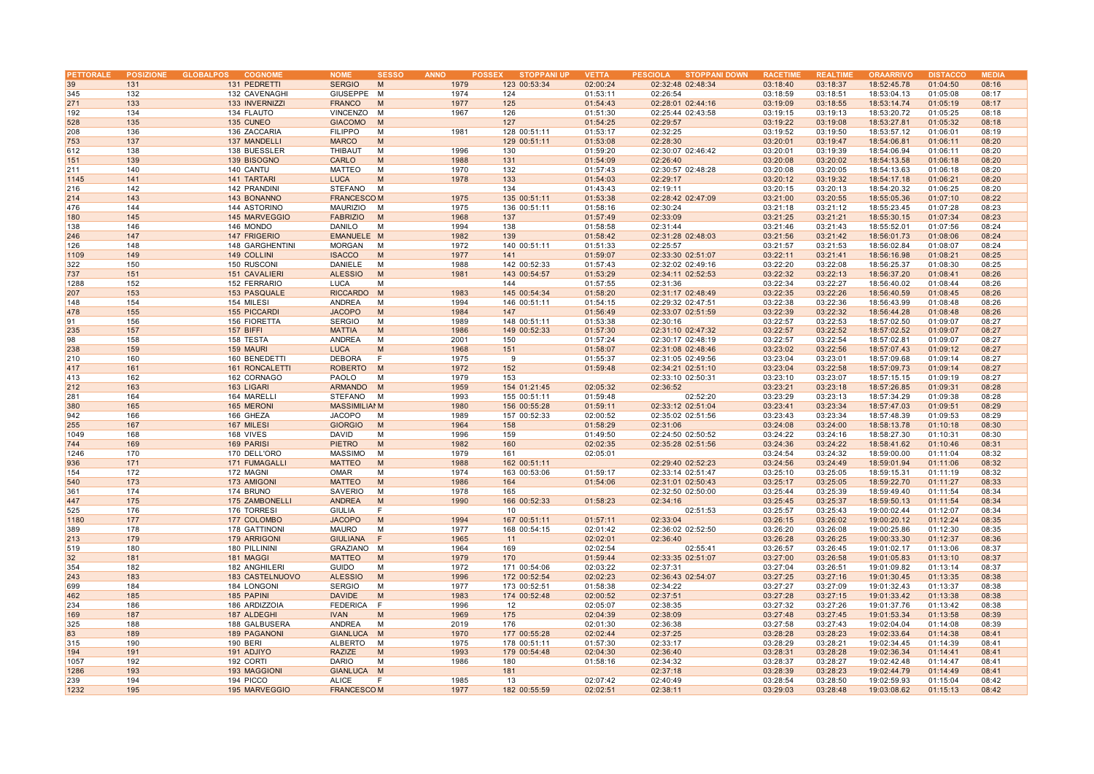| PETTORALE       |     | POSIZIONE GLOBALPOS<br><b>COGNOME</b> | <b>NOME</b>          | <b>SESSO</b> | <b>ANNO</b> | <b>POSSEX</b><br><b>STOPPANI UP</b> | <b>VETTA</b> | PESCIOLA STOPPANI DOWN | <b>RACETIME</b> | <b>REALTIME</b> | <b>ORAARRIVO</b> | <b>DISTACCO</b> | <b>MEDIA</b> |
|-----------------|-----|---------------------------------------|----------------------|--------------|-------------|-------------------------------------|--------------|------------------------|-----------------|-----------------|------------------|-----------------|--------------|
| 39              | 131 | 131 PEDRETTI                          | <b>SERGIO</b>        | M            | 1979        | 123 00:53:34                        | 02:00:24     | 02:32:48 02:48:34      | 03:18:40        | 03:18:37        | 18:52:45.78      | 01:04:50        | 08:16        |
| 345             | 132 | 132 CAVENAGHI                         | GIUSEPPE             | M            | 1974        | 124                                 | 01:53:11     | 02:26:54               | 03:18:59        | 03:18:51        | 18:53:04.13      | 01:05:08        | 08:17        |
| 271             | 133 | 133 INVERNIZZI                        | <b>FRANCO</b>        | M            | 1977        | 125                                 | 01:54:43     | 02:28:01 02:44:16      | 03:19:09        | 03:18:55        | 18:53:14.74      | 01:05:19        | 08:17        |
|                 |     |                                       |                      |              |             |                                     |              |                        |                 |                 |                  |                 |              |
| 192             | 134 | 134 FLAUTO                            | VINCENZO             | M            | 1967        | 126                                 | 01:51:30     | 02:25:44 02:43:58      | 03:19:15        | 03:19:13        | 18:53:20.72      | 01:05:25        | 08:18        |
| 528             | 135 | 135 CUNEO                             | <b>GIACOMO</b>       | M            |             | 127                                 | 01:54:25     | 02:29:57               | 03:19:22        | 03:19:08        | 18:53:27.81      | 01:05:32        | 08:18        |
| 208             | 136 | 136 ZACCARIA                          | <b>FILIPPO</b>       | M            | 1981        | 128 00:51:11                        | 01:53:17     | 02:32:25               | 03:19:52        | 03:19:50        | 18:53:57.12      | 01:06:01        | 08:19        |
| 753             | 137 | 137 MANDELLI                          | <b>MARCO</b>         | M            |             | 129 00:51:11                        | 01:53:08     | 02:28:30               | 03:20:01        | 03:19:47        | 18:54:06.81      | 01:06:11        | 08:20        |
| 612             | 138 | 138 BUESSLER                          | THIBAUT              | M            | 1996        | 130                                 | 01:59:20     | 02:30:07 02:46:42      | 03:20:01        | 03:19:39        | 18:54:06.94      | 01:06:11        | 08:20        |
| 151             | 139 | 139 BISOGNO                           | CARLO                | M            | 1988        | 131                                 | 01:54:09     | 02:26:40               | 03:20:08        | 03:20:02        | 18:54:13.58      | 01:06:18        | 08:20        |
| 211             | 140 | 140 CANTU                             | <b>MATTEO</b>        | M            | 1970        | 132                                 | 01:57:43     | 02:30:57 02:48:28      | 03:20:08        | 03:20:05        | 18:54:13.63      | 01:06:18        | 08:20        |
| 1145            | 141 | 141 TARTARI                           | <b>LUCA</b>          | M            | 1978        | 133                                 | 01:54:03     | 02:29:17               | 03:20:12        | 03:19:32        | 18:54:17.18      | 01:06:21        | 08:20        |
| 216             | 142 | 142 PRANDINI                          | STEFANO              | M            |             | 134                                 | 01:43:43     | 02:19:11               | 03:20:15        | 03:20:13        | 18:54:20.32      | 01:06:25        | 08:20        |
| 214             | 143 | 143 BONANNO                           | <b>FRANCESCOM</b>    |              | 1975        | 135 00:51:11                        | 01:53:38     | 02:28:42 02:47:09      | 03:21:00        | 03:20:55        | 18:55:05.36      | 01:07:10        | 08:22        |
| 476             | 144 | 144 ASTORINO                          | <b>MAURIZIO</b>      | M            | 1975        | 136 00:51:11                        | 01:58:16     | 02:30:24               | 03:21:18        | 03:21:12        | 18:55:23.45      | 01:07:28        | 08:23        |
| 180             | 145 | 145 MARVEGGIO                         | <b>FABRIZIO</b>      | M            | 1968        | 137                                 | 01:57:49     | 02:33:09               | 03:21:25        | 03:21:21        | 18:55:30.15      | 01:07:34        | 08:23        |
| 138             | 146 | 146 MONDO                             | <b>DANILO</b>        | M            | 1994        | 138                                 | 01:58:58     | 02:31:44               | 03:21:46        | 03:21:43        | 18:55:52.01      | 01:07:56        | 08:24        |
|                 |     |                                       |                      |              |             |                                     |              |                        |                 |                 |                  |                 |              |
| 246             | 147 | 147 FRIGERIO                          | EMANUELE M           |              | 1982        | 139                                 | 01:58:42     | 02:31:28 02:48:03      | 03:21:56        | 03:21:42        | 18:56:01.73      | 01:08:06        | 08:24        |
| 126             | 148 | 148 GARGHENTINI                       | <b>MORGAN</b>        | M            | 1972        | 140 00:51:11                        | 01:51:33     | 02:25:57               | 03:21:57        | 03:21:53        | 18:56:02.84      | 01:08:07        | 08:24        |
| 1109            | 149 | 149 COLLINI                           | <b>ISACCO</b>        | M            | 1977        | 141                                 | 01:59:07     | 02:33:30 02:51:07      | 03:22:11        | 03:21:41        | 18:56:16.98      | 01:08:21        | 08:25        |
| 322             | 150 | 150 RUSCONI                           | DANIELE              | M            | 1988        | 142 00:52:33                        | 01:57:43     | 02:32:02 02:49:16      | 03:22:20        | 03:22:08        | 18:56:25.37      | 01:08:30        | 08:25        |
| 737             | 151 | 151 CAVALIERI                         | <b>ALESSIO</b>       | M            | 1981        | 143 00:54:57                        | 01:53:29     | 02:34:11 02:52:53      | 03:22:32        | 03:22:13        | 18:56:37.20      | 01:08:41        | 08:26        |
| 1288            | 152 | 152 FERRARIO                          | <b>LUCA</b>          | M            |             | 144                                 | 01:57:55     | 02:31:36               | 03:22:34        | 03:22:27        | 18:56:40.02      | 01:08:44        | 08:26        |
| 207             | 153 | 153 PASQUALE                          | RICCARDO M           |              | 1983        | 145 00:54:34                        | 01:58:20     | 02:31:17 02:48:49      | 03:22:35        | 03:22:26        | 18:56:40.59      | 01:08:45        | 08:26        |
| 148             | 154 | 154 MILESI                            | ANDREA               | M            | 1994        | 146 00:51:11                        | 01:54:15     | 02:29:32 02:47:51      | 03:22:38        | 03:22:36        | 18:56:43.99      | 01:08:48        | 08:26        |
| 478             | 155 | 155 PICCARDI                          | <b>JACOPO</b>        | M            | 1984        | 147                                 | 01:56:49     | 02:33:07 02:51:59      | 03:22:39        | 03:22:32        | 18:56:44.28      | 01:08:48        | 08:26        |
| 91              | 156 | 156 FIORETTA                          | <b>SERGIO</b>        | M            | 1989        | 148 00:51:11                        | 01:53:38     | 02:30:16               | 03:22:57        | 03:22:53        | 18:57:02.50      | 01:09:07        | 08:27        |
| 235             | 157 | 157 BIFFI                             | <b>MATTIA</b>        | M            | 1986        | 149 00:52:33                        | 01:57:30     | 02:31:10 02:47:32      | 03:22:57        | 03:22:52        | 18:57:02.52      | 01:09:07        | 08:27        |
| 98              | 158 | 158 TESTA                             | <b>ANDREA</b>        | M            | 2001        | 150                                 | 01:57:24     | 02:30:17 02:48:19      | 03:22:57        | 03:22:54        | 18:57:02.81      | 01:09:07        | 08:27        |
| 238             | 159 | 159 MAURI                             | <b>LUCA</b>          | M            | 1968        | 151                                 | 01:58:07     | 02:31:08 02:48:46      | 03:23:02        | 03:22:56        | 18:57:07.43      | 01:09:12        | 08:27        |
|                 | 160 |                                       |                      | F            | 1975        | 9                                   |              |                        | 03:23:04        |                 |                  |                 | 08:27        |
| 210             |     | 160 BENEDETTI                         | <b>DEBORA</b>        |              |             |                                     | 01:55:37     | 02:31:05 02:49:56      |                 | 03:23:01        | 18:57:09.68      | 01:09:14        |              |
| 417             | 161 | 161 RONCALETTI                        | <b>ROBERTO</b>       | M            | 1972        | 152                                 | 01:59:48     | 02:34:21 02:51:10      | 03:23:04        | 03:22:58        | 18:57:09.73      | 01:09:14        | 08:27        |
| 413             | 162 | 162 CORNAGO                           | PAOLO                | M            | 1979        | 153                                 |              | 02:33:10 02:50:31      | 03:23:10        | 03:23:07        | 18:57:15.15      | 01:09:19        | 08:27        |
| 212             | 163 | 163 LIGARI                            | <b>ARMANDO</b>       | M            | 1959        | 154 01:21:45                        | 02:05:32     | 02:36:52               | 03:23:21        | 03:23:18        | 18:57:26.85      | 01:09:31        | 08:28        |
| 281             | 164 | 164 MARELL                            | STEFANO              | м            | 1993        | 155 00:51:11                        | 01:59:48     | 02:52:20               | 03:23:29        | 03:23:13        | 18:57:34.29      | 01:09:38        | 08:28        |
| 380             | 165 | 165 MERONI                            | <b>MASSIMILIAI M</b> |              | 1980        | 156 00:55:28                        | 01:59:11     | 02:33:12 02:51:04      | 03:23:41        | 03:23:34        | 18:57:47.03      | 01:09:51        | 08:29        |
| 942             | 166 | 166 GHEZA                             | <b>JACOPO</b>        | M            | 1989        | 157 00:52:33                        | 02:00:52     | 02:35:02 02:51:56      | 03:23:43        | 03:23:34        | 18:57:48.39      | 01:09:53        | 08:29        |
| 255             | 167 | 167 MILESI                            | <b>GIORGIO</b>       | M            | 1964        | 158                                 | 01:58:29     | 02:31:06               | 03:24:08        | 03:24:00        | 18:58:13.78      | 01:10:18        | 08:30        |
| 1049            | 168 | 168 VIVES                             | DAVID                | M            | 1996        | 159                                 | 01:49:50     | 02:24:50 02:50:52      | 03:24:22        | 03:24:16        | 18:58:27.30      | 01:10:31        | 08:30        |
| 744             | 169 | 169 PARISI                            | <b>PIETRO</b>        | M            | 1982        | 160                                 | 02:02:35     | 02:35:28 02:51:56      | 03:24:36        | 03:24:22        | 18:58:41.62      | 01:10:46        | 08:31        |
| 1246            | 170 | 170 DELL'ORO                          | <b>MASSIMO</b>       | M            | 1979        | 161                                 | 02:05:01     |                        | 03:24:54        | 03:24:32        | 18:59:00.00      | 01:11:04        | 08:32        |
| 936             | 171 | 171 FUMAGALLI                         | <b>MATTEO</b>        | M            | 1988        | 162 00:51:11                        |              | 02:29:40 02:52:23      | 03:24:56        | 03:24:49        | 18:59:01.94      | 01:11:06        | 08:32        |
| 154             | 172 | 172 MAGNI                             | OMAR                 | M            | 1974        | 163 00:53:06                        | 01:59:17     | 02:33:14 02:51:47      | 03:25:10        | 03:25:05        | 18:59:15.31      | 01:11:19        | 08:32        |
| 540             | 173 | 173 AMIGONI                           | <b>MATTEO</b>        | M            | 1986        | 164                                 | 01:54:06     | 02:31:01 02:50:43      | 03:25:17        | 03:25:05        | 18:59:22.70      | 01:11:27        | 08:33        |
| 361             | 174 | 174 BRUNO                             | SAVERIO              | M            | 1978        | 165                                 |              | 02:32:50 02:50:00      | 03:25:44        | 03:25:39        | 18:59:49.40      | 01:11:54        | 08:34        |
|                 |     |                                       |                      |              |             |                                     |              |                        |                 |                 |                  |                 |              |
| 447             | 175 | 175 ZAMBONELLI                        | <b>ANDREA</b>        | M            | 1990        | 166 00:52:33                        | 01:58:23     | 02:34:16               | 03:25:45        | 03:25:37        | 18:59:50.13      | 01:11:54        | 08:34        |
| 525             | 176 | 176 TORRESI                           | <b>GIULIA</b>        | F            |             | 10                                  |              | 02:51:53               | 03:25:57        | 03:25:43        | 19:00:02.44      | 01:12:07        | 08:34        |
| 1180            | 177 | 177 COLOMBO                           | <b>JACOPO</b>        | M            | 1994        | 167 00:51:11                        | 01:57:11     | 02:33:04               | 03:26:15        | 03:26:02        | 19:00:20.12      | 01:12:24        | 08:35        |
| 389             | 178 | 178 GATTINONI                         | <b>MAURO</b>         | M            | 1977        | 168 00:54:15                        | 02:01:42     | 02:36:02 02:52:50      | 03:26:20        | 03:26:08        | 19:00:25.86      | 01:12:30        | 08:35        |
| 213             | 179 | 179 ARRIGONI                          | <b>GIULIANA</b>      | F            | 1965        | 11                                  | 02:02:01     | 02:36:40               | 03:26:28        | 03:26:25        | 19:00:33.30      | 01:12:37        | 08:36        |
| 519             | 180 | 180 PILLININI                         | GRAZIANO             | M            | 1964        | 169                                 | 02:02:54     | 02:55:41               | 03:26:57        | 03:26:45        | 19:01:02.17      | 01:13:06        | 08:37        |
| 32 <sup>2</sup> | 181 | 181 MAGGI                             | <b>MATTEO</b>        | M            | 1979        | 170                                 | 01:59:44     | 02:33:35 02:51:07      | 03:27:00        | 03:26:58        | 19:01:05.83      | 01:13:10        | 08:37        |
| 354             | 182 | 182 ANGHILERI                         | GUIDO                | M            | 1972        | 171 00:54:06                        | 02:03:22     | 02:37:31               | 03:27:04        | 03:26:51        | 19:01:09.82      | 01:13:14        | 08:37        |
| 243             | 183 | 183 CASTELNUOVO                       | <b>ALESSIO</b>       | M            | 1996        | 172 00:52:54                        | 02:02:23     | 02:36:43 02:54:07      | 03:27:25        | 03:27:16        | 19:01:30.45      | 01:13:35        | 08:38        |
| 699             | 184 | 184 LONGONI                           | <b>SERGIO</b>        | M            | 1977        | 173 00:52:51                        | 01:58:38     | 02:34:22               | 03:27:27        | 03:27:09        | 19:01:32.43      | 01:13:37        | 08:38        |
| 462             | 185 | 185 PAPINI                            | <b>DAVIDE</b>        | M            | 1983        | 174 00:52:48                        | 02:00:52     | 02:37:51               | 03:27:28        | 03:27:15        | 19:01:33.42      | 01:13:38        | 08:38        |
| 234             | 186 | 186 ARDIZZOIA                         | <b>FEDERICA</b>      | E            | 1996        | 12                                  | 02:05:07     | 02:38:35               | 03:27:32        | 03:27:26        | 19:01:37.76      | 01:13:42        | 08:38        |
| 169             | 187 | 187 ALDEGHI                           | <b>IVAN</b>          | M            | 1969        | 175                                 | 02:04:39     | 02:38:09               | 03:27:48        | 03:27:45        | 19:01:53.34      | 01:13:58        | 08:39        |
|                 |     |                                       |                      |              |             |                                     |              |                        |                 |                 |                  |                 |              |
| 325             | 188 | 188 GALBUSERA                         | ANDREA               | M            | 2019        | 176                                 | 02:01:30     | 02:36:38               | 03:27:58        | 03:27:43        | 19:02:04.04      | 01:14:08        | 08:39        |
| 83              | 189 | <b>189 PAGANONI</b>                   | <b>GIANLUCA</b>      | M            | 1970        | 177 00:55:28                        | 02:02:44     | 02:37:25               | 03:28:28        | 03:28:23        | 19:02:33.64      | 01:14:38        | 08:41        |
| 315             | 190 | <b>190 BERI</b>                       | ALBERTO              | M            | 1975        | 178 00:51:11                        | 01:57:30     | 02:33:17               | 03:28:29        | 03:28:21        | 19:02:34.45      | 01:14:39        | 08:41        |
| 194             | 191 | 191 ADJIYO                            | <b>RAZIZE</b>        | M            | 1993        | 179 00:54:48                        | 02:04:30     | 02:36:40               | 03:28:31        | 03:28:28        | 19:02:36.34      | 01:14:41        | 08:41        |
| 1057            | 192 | 192 CORTI                             | <b>DARIO</b>         | M            | 1986        | 180                                 | 01:58:16     | 02:34:32               | 03:28:37        | 03:28:27        | 19:02:42.48      | 01:14:47        | 08:41        |
| 1286            | 193 | 193 MAGGIONI                          | <b>GIANLUCA</b>      | M            |             | 181                                 |              | 02:37:18               | 03:28:39        | 03:28:23        | 19:02:44.79      | 01:14:49        | 08:41        |
| 239             | 194 | 194 PICCO                             | <b>ALICE</b>         | F            | 1985        | 13                                  | 02:07:42     | 02:40:49               | 03:28:54        | 03:28:50        | 19:02:59.93      | 01:15:04        | 08:42        |
| 1232            | 195 | 195 MARVEGGIO                         | <b>FRANCESCOM</b>    |              | 1977        | 182 00:55:59                        | 02:02:51     | 02:38:11               | 03:29:03        | 03:28:48        | 19:03:08.62      | 01:15:13        | 08:42        |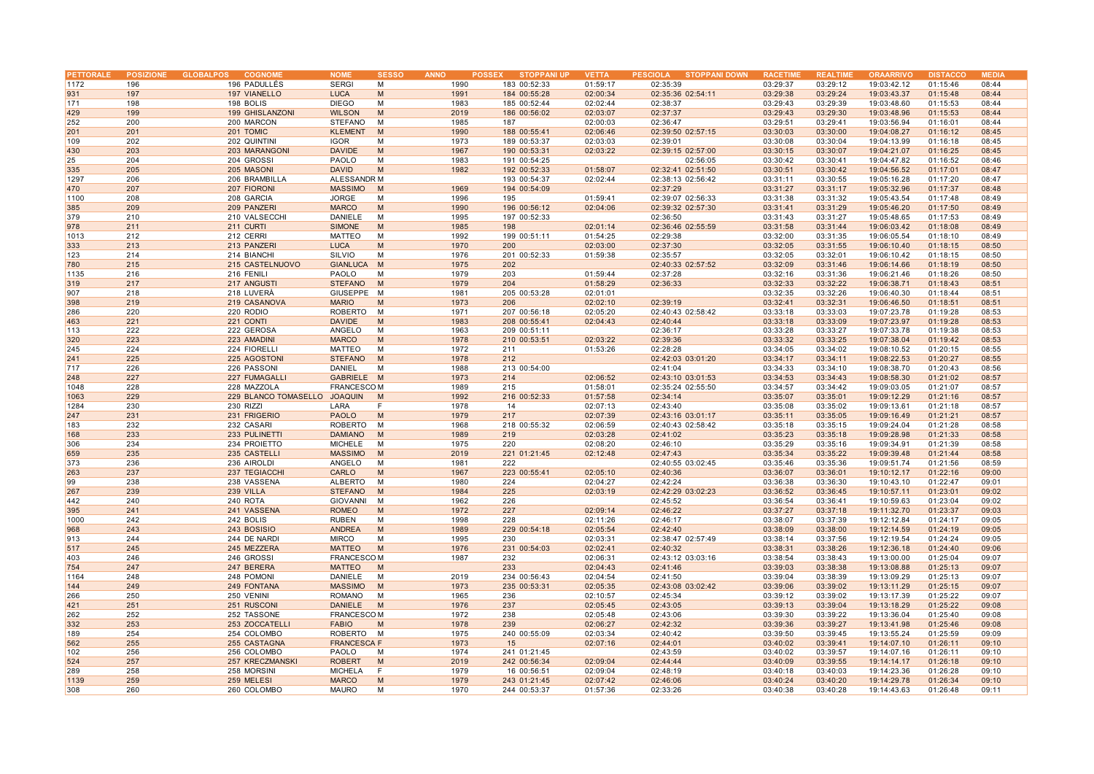| <b>PETTORALE</b> |            | POSIZIONE GLOBALPOS<br><b>COGNOME</b> | <b>NOME</b>                     | <b>SESSO</b> | <b>ANNO</b>  | <b>STOPPANI UP</b><br><b>POSSEX</b> | <b>VETTA</b> | <b>STOPPANI DOWN</b><br><b>PESCIOLA</b> | <b>RACETIME</b>      | <b>REALTIME</b>      | <b>ORAARRIVO</b>           | <b>DISTACCO</b>      | <b>MEDIA</b>   |
|------------------|------------|---------------------------------------|---------------------------------|--------------|--------------|-------------------------------------|--------------|-----------------------------------------|----------------------|----------------------|----------------------------|----------------------|----------------|
| 1172             | 196        | 196 PADULLÉS                          | <b>SERGI</b>                    | М            | 1990         | 183 00:52:33                        | 01:59:17     | 02:35:39                                | 03:29:37             | 03:29:12             | 19:03:42.12                | 01:15:46             | 08:44          |
| 931              | 197        | 197 VIANELLO                          | <b>LUCA</b>                     | M            | 1991         | 184 00:55:28                        | 02:00:34     | 02:35:36 02:54:11                       | 03:29:38             | 03:29:24             | 19:03:43.37                | 01:15:48             | 08:44          |
| 171              | 198        | 198 BOLIS                             | <b>DIEGO</b>                    | M            | 1983         | 185 00:52:44                        | 02:02:44     | 02:38:37                                | 03:29:43             | 03:29:39             | 19:03:48.60                | 01:15:53             | 08:44          |
|                  |            |                                       |                                 |              | 2019         | 186 00:56:02                        |              |                                         |                      |                      |                            |                      |                |
| 429              | 199        | 199 GHISLANZONI                       | <b>WILSON</b>                   | M            |              |                                     | 02:03:07     | 02:37:37                                | 03:29:43             | 03:29:30             | 19:03:48.96                | 01:15:53             | 08:44          |
| 252              | 200        | 200 MARCON                            | <b>STEFANO</b>                  | M            | 1985         | 187                                 | 02:00:03     | 02:36:47                                | 03:29:51             | 03:29:41             | 19:03:56.94                | 01:16:01             | 08:44          |
| 201              | 201        | 201 TOMIC                             | <b>KLEMENT</b>                  | M            | 1990         | 188 00:55:41                        | 02:06:46     | 02:39:50 02:57:15                       | 03:30:03             | 03:30:00             | 19:04:08.27                | 01:16:12             | 08:45          |
| 109              | 202        | 202 QUINTINI                          | <b>IGOR</b>                     | M            | 1973         | 189 00:53:37                        | 02:03:03     | 02:39:01                                | 03:30:08             | 03:30:04             | 19:04:13.99                | 01:16:18             | 08:45          |
| 430              | 203        | 203 MARANGONI                         | <b>DAVIDE</b>                   | M            | 1967         | 190 00:53:31                        | 02:03:22     | 02:39:15 02:57:00                       | 03:30:15             | 03:30:07             | 19:04:21.07                | 01:16:25             | 08:45          |
| 25               | 204        | 204 GROSSI                            | PAOLO                           | M            | 1983         | 191 00:54:25                        |              | 02:56:05                                | 03:30:42             | 03:30:41             | 19:04:47.82                | 01:16:52             | 08:46          |
| 335              | 205        | 205 MASONI                            | <b>DAVID</b>                    | M            | 1982         | 192 00:52:33                        | 01:58:07     | 02:32:41 02:51:50                       | 03:30:51             | 03:30:42             | 19:04:56.52                | 01:17:01             | 08:47          |
| 1297             | 206        | 206 BRAMBILLA                         | ALESSANDR M                     |              |              | 193 00:54:37                        | 02:02:44     | 02:38:13 02:56:42                       | 03:31:11             | 03:30:55             | 19:05:16.28                | 01:17:20             | 08:47          |
| 470              | 207        | 207 FIORONI                           | <b>MASSIMO</b>                  | M            | 1969         | 194 00:54:09                        |              | 02:37:29                                | 03:31:27             | 03:31:17             | 19:05:32.96                | 01:17:37             | 08:48          |
| 1100             | 208        | 208 GARCIA                            | <b>JORGE</b>                    | M            | 1996         | 195                                 | 01:59:41     | 02:39:07 02:56:33                       | 03:31:38             | 03:31:32             | 19:05:43.54                | 01:17:48             | 08:49          |
| 385              | 209        | 209 PANZERI                           | <b>MARCO</b>                    | M            | 1990         | 196 00:56:12                        | 02:04:06     | 02:39:32 02:57:30                       | 03:31:41             | 03:31:29             | 19:05:46.20                | 01:17:50             | 08:49          |
| 379              | 210        | 210 VALSECCHI                         | DANIELE                         | M            | 1995         | 197 00:52:33                        |              | 02:36:50                                | 03:31:43             | 03:31:27             | 19:05:48.65                | 01:17:53             | 08:49          |
| 978              | 211        | 211 CURTI                             | <b>SIMONE</b>                   | M            | 1985         | 198                                 | 02:01:14     | 02:36:46 02:55:59                       | 03:31:58             | 03:31:44             | 19:06:03.42                | 01:18:08             | 08:49          |
|                  |            |                                       |                                 |              |              |                                     |              |                                         |                      |                      |                            |                      |                |
| 1013             | 212        | 212 CERRI                             | <b>MATTEO</b>                   | M            | 1992         | 199 00:51:11                        | 01:54:25     | 02:29:38                                | 03:32:00             | 03:31:35             | 19:06:05.54                | 01:18:10             | 08:49          |
| 333              | 213        | 213 PANZERI                           | <b>LUCA</b>                     | M            | 1970         | 200                                 | 02:03:00     | 02:37:30                                | 03:32:05             | 03:31:55             | 19:06:10.40                | 01:18:15             | 08:50          |
| 123              | 214        | 214 BIANCHI                           | SILVIO                          | M            | 1976         | 201 00:52:33                        | 01:59:38     | 02:35:57                                | 03:32:05             | 03:32:01             | 19:06:10.42                | 01:18:15             | 08:50          |
| 780              | 215        | 215 CASTELNUOVO                       | <b>GIANLUCA</b>                 | M            | 1975         | 202                                 |              | 02:40:33 02:57:52                       | 03:32:09             | 03:31:46             | 19:06:14.66                | 01:18:19             | 08:50          |
| 1135             | 216        | 216 FENILI                            | PAOLO                           | M            | 1979         | 203                                 | 01:59:44     | 02:37:28                                | 03:32:16             | 03:31:36             | 19:06:21.46                | 01:18:26             | 08:50          |
| 319              | 217        | 217 ANGUSTI                           | <b>STEFANO</b>                  | M            | 1979         | 204                                 | 01:58:29     | 02:36:33                                | 03:32:33             | 03:32:22             | 19:06:38.71                | 01:18:43             | 08:51          |
| 907              | 218        | 218 LUVERÀ                            | GIUSEPPE                        | M            | 1981         | 205 00:53:28                        | 02:01:01     |                                         | 03:32:35             | 03:32:26             | 19:06:40.30                | 01:18:44             | 08:51          |
| 398              | 219        | 219 CASANOVA                          | <b>MARIO</b>                    | M            | 1973         | 206                                 | 02:02:10     | 02:39:19                                | 03:32:41             | 03:32:31             | 19:06:46.50                | 01:18:51             | 08:51          |
| 286              | 220        | 220 RODIO                             | <b>ROBERTO</b>                  | M            | 1971         | 207 00:56:18                        | 02:05:20     | 02:40:43 02:58:42                       | 03:33:18             | 03:33:03             | 19:07:23.78                | 01:19:28             | 08:53          |
| 463              | 221        | 221 CONTI                             | <b>DAVIDE</b>                   | M            | 1983         | 208 00:55:41                        | 02:04:43     | 02:40:44                                | 03:33:18             | 03:33:09             | 19:07:23.97                | 01:19:28             | 08:53          |
| 113              | 222        | 222 GEROSA                            | ANGELO                          | M            | 1963         | 209 00:51:11                        |              | 02:36:17                                | 03:33:28             | 03:33:27             | 19:07:33.78                | 01:19:38             | 08:53          |
| 320              | 223        | 223 AMADINI                           | <b>MARCO</b>                    | M            | 1978         | 210 00:53:51                        | 02:03:22     | 02:39:36                                | 03:33:32             | 03:33:25             | 19:07:38.04                | 01:19:42             | 08:53          |
| 245              | 224        | 224 FIORELLI                          | MATTEO                          | M            | 1972         | 211                                 | 01:53:26     | 02:28:28                                | 03:34:05             | 03:34:02             | 19:08:10.52                | 01:20:15             | 08:55          |
| 241              | 225        | 225 AGOSTONI                          | <b>STEFANO</b>                  | M            | 1978         | 212                                 |              | 02:42:03 03:01:20                       | 03:34:17             | 03:34:11             | 19:08:22.53                | 01:20:27             | 08:55          |
|                  |            |                                       |                                 |              |              |                                     |              |                                         |                      |                      |                            |                      |                |
| 717              | 226        | 226 PASSONI                           | <b>DANIEL</b>                   | M            | 1988         | 213 00:54:00                        |              | 02:41:04                                | 03:34:33             | 03:34:10             | 19:08:38.70                | 01:20:43             | 08:56          |
| 248              | 227        | 227 FUMAGALLI                         | GABRIELE M                      |              | 1973         | 214                                 | 02:06:52     | 02:43:10 03:01:53                       | 03:34:53             | 03:34:43             | 19:08:58.30                | 01:21:02             | 08:57          |
| 1048             | 228        | 228 MAZZOLA                           | <b>FRANCESCOM</b>               |              | 1989         | 215                                 | 01:58:01     | 02:35:24 02:55:50                       | 03:34:57             | 03:34:42             | 19:09:03.05                | 01:21:07             | 08:57          |
| 1063             | 229        | 229 BLANCO TOMASELLO                  | <b>JOAQUIN</b>                  | M            | 1992         | 216 00:52:33                        | 01:57:58     | 02:34:14                                | 03:35:07             | 03:35:01             | 19:09:12.29                | 01:21:16             | 08:57          |
| 1284             | 230        | 230 RIZZI                             | LARA                            | F            | 1978         | 14                                  | 02:07:13     | 02:43:40                                | 03:35:08             | 03:35:02             | 19:09:13.61                | 01:21:18             | 08:57          |
| 247              | 231        | 231 FRIGERIO                          | <b>PAOLO</b>                    | M            | 1979         | 217                                 | 02:07:39     | 02:43:16 03:01:17                       | 03:35:11             | 03:35:05             | 19:09:16.49                | 01:21:21             | 08:57          |
| 183              | 232        | 232 CASARI                            | <b>ROBERTO</b>                  | M            | 1968         | 218 00:55:32                        | 02:06:59     | 02:40:43 02:58:42                       | 03:35:18             | 03:35:15             | 19:09:24.04                | 01:21:28             | 08:58          |
| 168              | 233        | 233 PULINETTI                         | <b>DAMIANO</b>                  | M            | 1989         | 219                                 | 02:03:28     | 02:41:02                                | 03:35:23             | 03:35:18             | 19:09:28.98                | 01:21:33             | 08:58          |
| 306              | 234        | 234 PROIETTO                          | <b>MICHELE</b>                  | M            | 1975         | 220                                 | 02:08:20     | 02:46:10                                | 03:35:29             | 03:35:16             | 19:09:34.91                | 01:21:39             | 08:58          |
| 659              | 235        | 235 CASTELLI                          | <b>MASSIMO</b>                  | M            | 2019         | 221 01:21:45                        | 02:12:48     | 02:47:43                                | 03:35:34             | 03:35:22             | 19:09:39.48                | 01:21:44             | 08:58          |
| 373              | 236        | 236 AIROLDI                           | ANGELO                          | M            | 1981         | 222                                 |              | 02:40:55 03:02:45                       | 03:35:46             | 03:35:36             | 19:09:51.74                | 01:21:56             | 08:59          |
| 263              | 237        | 237 TEGIACCHI                         | CARLO                           | M            | 1967         | 223 00:55:41                        | 02:05:10     | 02:40:36                                | 03:36:07             | 03:36:01             | 19:10:12.17                | 01:22:16             | 09:00          |
| 99               | 238        | 238 VASSENA                           | ALBERTO                         | M            | 1980         | 224                                 | 02:04:27     | 02:42:24                                | 03:36:38             | 03:36:30             | 19:10:43.10                | 01:22:47             | 09:01          |
| 267              | 239        | 239 VILLA                             | <b>STEFANO</b>                  | M            | 1984         | 225                                 | 02:03:19     | 02:42:29 03:02:23                       | 03:36:52             | 03:36:45             | 19:10:57.11                | 01:23:01             | 09:02          |
|                  |            |                                       |                                 |              |              |                                     |              |                                         |                      |                      |                            |                      |                |
| 442<br>395       | 240<br>241 | 240 ROTA<br>241 VASSENA               | <b>GIOVANNI</b><br><b>ROMEO</b> | M            | 1962<br>1972 | 226<br>227                          | 02:09:14     | 02:45:52<br>02:46:22                    | 03:36:54<br>03:37:27 | 03:36:41<br>03:37:18 | 19:10:59.63<br>19:11:32.70 | 01:23:04<br>01:23:37 | 09:02<br>09:03 |
|                  |            |                                       |                                 | M            |              |                                     |              |                                         |                      |                      |                            |                      |                |
| 1000             | 242        | 242 BOLIS                             | <b>RUBEN</b>                    | M            | 1998         | 228                                 | 02:11:26     | 02:46:17                                | 03:38:07             | 03:37:39             | 19:12:12.84                | 01:24:17             | 09:05          |
| 968              | 243        | 243 BOSISIO                           | <b>ANDREA</b>                   | M            | 1989         | 229 00:54:18                        | 02:05:54     | 02:42:40                                | 03:38:09             | 03:38:00             | 19:12:14.59                | 01:24:19             | 09:05          |
| 913              | 244        | 244 DE NARDI                          | <b>MIRCO</b>                    | M            | 1995         | 230                                 | 02:03:31     | 02:38:47 02:57:49                       | 03:38:14             | 03:37:56             | 19:12:19.54                | 01:24:24             | 09:05          |
| 517              | 245        | 245 MEZZERA                           | <b>MATTEO</b>                   | M            | 1976         | 231 00:54:03                        | 02:02:41     | 02:40:32                                | 03:38:31             | 03:38:26             | 19:12:36.18                | 01:24:40             | 09:06          |
| 403              | 246        | 246 GROSSI                            | <b>FRANCESCOM</b>               |              | 1987         | 232                                 | 02:06:31     | 02:43:12 03:03:16                       | 03:38:54             | 03:38:43             | 19:13:00.00                | 01:25:04             | 09:07          |
| 754              | 247        | 247 BERERA                            | <b>MATTEO</b>                   | M            |              | 233                                 | 02:04:43     | 02:41:46                                | 03:39:03             | 03:38:38             | 19:13:08.88                | 01:25:13             | 09:07          |
| 1164             | 248        | 248 POMONI                            | DANIELE                         | M            | 2019         | 234 00:56:43                        | 02:04:54     | 02:41:50                                | 03:39:04             | 03:38:39             | 19:13:09.29                | 01:25:13             | 09:07          |
| 144              | 249        | 249 FONTANA                           | <b>MASSIMO</b>                  | M            | 1973         | 235 00:53:31                        | 02:05:35     | 02:43:08 03:02:42                       | 03:39:06             | 03:39:02             | 19:13:11.29                | 01:25:15             | 09:07          |
| 266              | 250        | 250 VENINI                            | ROMANO                          | M            | 1965         | 236                                 | 02:10:57     | 02:45:34                                | 03:39:12             | 03:39:02             | 19:13:17.39                | 01:25:22             | 09:07          |
| 421              | 251        | 251 RUSCONI                           | <b>DANIELE</b>                  | M            | 1976         | 237                                 | 02:05:45     | 02:43:05                                | 03:39:13             | 03:39:04             | 19:13:18.29                | 01:25:22             | 09:08          |
| 262              | 252        | 252 TASSONE                           | <b>FRANCESCOM</b>               |              | 1972         | 238                                 | 02:05:48     | 02:43:06                                | 03:39:30             | 03:39:22             | 19:13:36.04                | 01:25:40             | 09:08          |
| 332              | 253        | 253 ZOCCATELLI                        | <b>FABIO</b>                    | M            | 1978         | 239                                 | 02:06:27     | 02:42:32                                | 03:39:36             | 03:39:27             | 19:13:41.98                | 01:25:46             | 09:08          |
|                  | 254        |                                       |                                 |              |              |                                     |              |                                         |                      |                      |                            |                      |                |
| 189              |            | 254 COLOMBO                           | ROBERTO M                       |              | 1975         | 240 00:55:09                        | 02:03:34     | 02:40:42                                | 03:39:50             | 03:39:45             | 19:13:55.24                | 01:25:59             | 09:09          |
| 562              | 255        | 255 CASTAGNA                          | <b>FRANCESCA F</b>              |              | 1973         | 15                                  | 02:07:16     | 02:44:01                                | 03:40:02             | 03:39:41             | 19:14:07.10                | 01:26:11             | 09:10          |
| 102              | 256        | 256 COLOMBO                           | PAOLO                           | M            | 1974         | 241 01:21:45                        |              | 02:43:59                                | 03:40:02             | 03:39:57             | 19:14:07.16                | 01:26:11             | 09:10          |
| 524              | 257        | 257 KRECZMANSKI                       | <b>ROBERT</b>                   | M            | 2019         | 242 00:56:34                        | 02:09:04     | 02:44:44                                | 03:40:09             | 03:39:55             | 19:14:14.17                | 01:26:18             | 09:10          |
| 289              | 258        | 258 MORSINI                           | <b>MICHELA</b>                  | F            | 1979         | 16 00:56:51                         | 02:09:04     | 02:48:19                                | 03:40:18             | 03:40:03             | 19:14:23.36                | 01:26:28             | 09:10          |
| 1139             | 259        | 259 MELESI                            | <b>MARCO</b>                    | M            | 1979         | 243 01:21:45                        | 02:07:42     | 02:46:06                                | 03:40:24             | 03:40:20             | 19:14:29.78                | 01:26:34             | 09:10          |
| 308              | 260        | 260 COLOMBO                           | <b>MAURO</b>                    | M            | 1970         | 244 00:53:37                        | 01:57:36     | 02:33:26                                | 03:40:38             | 03:40:28             | 19:14:43.63                | 01:26:48             | 09:11          |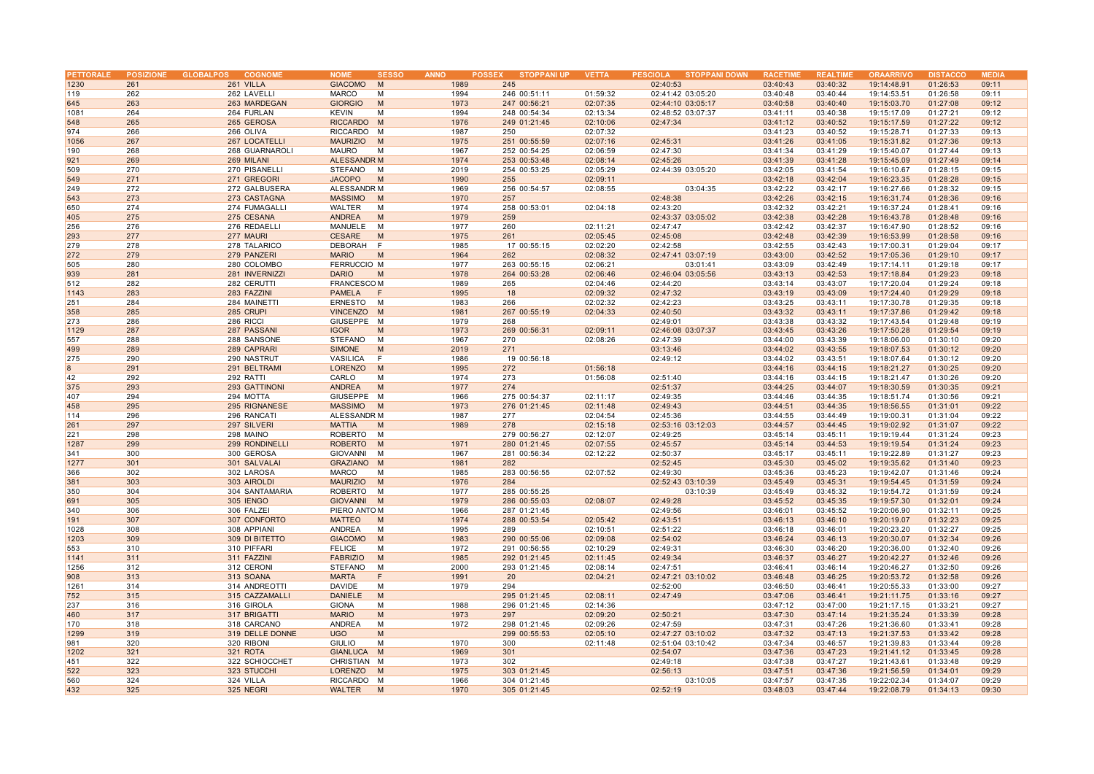| PETTORALE   |            | POSIZIONE GLOBALPOS<br><b>COGNOME</b> | <b>NOME</b><br><b>SESSO</b>            | <b>ANNO</b>  | <b>STOPPANI UP</b><br><b>POSSEX</b> | <b>VETTA</b>         | PESCIOLA STOPPANI DOWN | <b>RACETIME</b>      | <b>REALTIME</b>      | <b>ORAARRIVO</b>           | <b>DISTACCO</b>      | <b>MEDIA</b>   |
|-------------|------------|---------------------------------------|----------------------------------------|--------------|-------------------------------------|----------------------|------------------------|----------------------|----------------------|----------------------------|----------------------|----------------|
| 1230        | 261        | 261 VILLA                             | <b>GIACOMO</b><br>M                    | 1989         | 245                                 |                      | 02:40:53               | 03:40:43             | 03:40:32             | 19:14:48.91                | 01:26:53             | 09:11          |
| 119         | 262        | 262 LAVELLI                           | <b>MARCO</b><br>M                      | 1994         | 246 00:51:11                        | 01:59:32             | 02:41:42 03:05:20      | 03:40:48             | 03:40:44             | 19:14:53.51                | 01:26:58             | 09:11          |
| 645         | 263        | 263 MARDEGAN                          | <b>GIORGIO</b><br>M                    | 1973         | 247 00:56:21                        | 02:07:35             | 02:44:10 03:05:17      | 03:40:58             | 03:40:40             | 19:15:03.70                | 01:27:08             | 09:12          |
| 1081        | 264        | 264 FURLAN                            | <b>KEVIN</b><br>M                      | 1994         | 248 00:54:34                        | 02:13:34             | 02:48:52 03:07:37      | 03:41:11             | 03:40:38             | 19:15:17.09                | 01:27:21             | 09:12          |
| 548         | 265        | 265 GEROSA                            | RICCARDO M                             | 1976         | 249 01:21:45                        | 02:10:06             | 02:47:34               | 03:41:12             | 03:40:52             | 19:15:17.59                | 01:27:22             | 09:12          |
| 974         | 266        | 266 OLIVA                             | RICCARDO M                             | 1987         | 250                                 | 02:07:32             |                        | 03:41:23             | 03:40:52             | 19:15:28.71                | 01:27:33             | 09:13          |
| 1056        | 267        | 267 LOCATELLI                         | <b>MAURIZIO</b><br>M                   | 1975         | 251 00:55:59                        | 02:07:16             | 02:45:31               | 03:41:26             | 03:41:05             | 19:15:31.82                | 01:27:36             | 09:13          |
| 190         | 268        | 268 GUARNAROLI                        | <b>MAURO</b><br>M                      | 1967         | 252 00:54:25                        | 02:06:59             | 02:47:30               | 03:41:34             | 03:41:29             | 19:15:40.07                | 01:27:44             | 09:13          |
| 921         | 269        | 269 MILANI                            | <b>ALESSANDR M</b>                     | 1974         | 253 00:53:48                        | 02:08:14             | 02:45:26               | 03:41:39             | 03:41:28             | 19:15:45.09                | 01:27:49             | 09:14          |
| 509         | 270        | 270 PISANELLI                         | STEFANO<br>м                           | 2019         | 254 00:53:25                        | 02:05:29             | 02:44:39 03:05:20      | 03:42:05             | 03:41:54             | 19:16:10.67                | 01:28:15             | 09:15          |
| 549         | 271        | 271 GREGORI                           | <b>JACOPO</b><br>M                     | 1990         | 255                                 | 02:09:11             |                        | 03:42:18             | 03:42:04             | 19:16:23.35                | 01:28:28             | 09:15          |
| 249         | 272        | 272 GALBUSERA                         | ALESSANDR M                            | 1969         | 256 00:54:57                        | 02:08:55             | 03:04:35               | 03:42:22             | 03:42:17             | 19:16:27.66                | 01:28:32             | 09:15          |
| 543         | 273        | 273 CASTAGNA                          | <b>MASSIMO</b><br>M                    | 1970         | 257                                 |                      | 02:48:38               | 03:42:26             | 03:42:15             | 19:16:31.74                | 01:28:36             | 09:16          |
| 650         | 274        | 274 FUMAGALLI                         | WALTER<br>M                            | 1974         | 258 00:53:01                        | 02:04:18             | 02:43:20               | 03:42:32             | 03:42:21             | 19:16:37.24                | 01:28:41             | 09:16          |
| 405         | 275        | 275 CESANA                            | ANDREA<br>M                            | 1979         | 259                                 |                      | 02:43:37 03:05:02      | 03:42:38             | 03:42:28             | 19:16:43.78                | 01:28:48             | 09:16          |
| 256         | 276        | 276 REDAELLI                          | MANUELE<br>M                           | 1977         | 260                                 | 02:11:21             | 02:47:47               | 03:42:42             | 03:42:37             | 19:16:47.90                | 01:28:52             | 09:16          |
| 293         | 277        | 277 MAURI                             | CESARE<br>M                            | 1975         | 261                                 | 02:05:45             | 02:45:08               | 03:42:48             | 03:42:39             | 19:16:53.99                | 01:28:58             | 09:16          |
| 279         | 278        | 278 TALARICO                          | <b>DEBORAH</b><br>F                    | 1985         | 17 00:55:15                         | 02:02:20             | 02:42:58               | 03:42:55             | 03:42:43             | 19:17:00.31                | 01:29:04             | 09:17          |
| 272         | 279        | 279 PANZERI                           | <b>MARIO</b><br>M                      | 1964         | 262                                 | 02:08:32             | 02:47:41 03:07:19      | 03:43:00             | 03:42:52             | 19:17:05.36                | 01:29:10             | 09:17          |
| 505         | 280        | 280 COLOMBO                           | <b>FERRUCCIO M</b>                     | 1977         | 263 00:55:15                        | 02:06:21             | 03:01:41               | 03:43:09             | 03:42:49             | 19:17:14.11                | 01:29:18             | 09:17          |
| 939         | 281        | 281 INVERNIZZI                        | <b>DARIO</b><br>M                      | 1978         | 264 00:53:28                        | 02:06:46             | 02:46:04 03:05:56      | 03:43:13             | 03:42:53             | 19:17:18.84                | 01:29:23             | 09:18          |
| 512         | 282        | 282 CERUTTI                           | FRANCESCO M                            | 1989         | 265                                 | 02:04:46             | 02:44:20               | 03:43:14             | 03:43:07             | 19:17:20.04                | 01:29:24             | 09:18          |
|             |            |                                       |                                        |              |                                     |                      |                        |                      |                      |                            |                      |                |
| 1143<br>251 | 283<br>284 | 283 FAZZINI<br>284 MAINETTI           | PAMELA<br>-F                           | 1995         | 18<br>266                           | 02:09:32             | 02:47:32               | 03:43:19<br>03:43:25 | 03:43:09             | 19:17:24.40<br>19:17:30.78 | 01:29:29             | 09:18          |
| 358         | 285        | 285 CRUPI                             | <b>ERNESTO</b><br>M<br><b>VINCENZO</b> | 1983<br>1981 | 267 00:55:19                        | 02:02:32<br>02:04:33 | 02:42:23               | 03:43:32             | 03:43:11<br>03:43:11 | 19:17:37.86                | 01:29:35<br>01:29:42 | 09:18<br>09:18 |
| 273         | 286        | 286 RICCI                             | M<br>GIUSEPPE M                        | 1979         | 268                                 |                      | 02:40:50<br>02:49:01   | 03:43:38             | 03:43:32             | 19:17:43.54                | 01:29:48             | 09:19          |
|             | 287        |                                       | M                                      |              |                                     |                      |                        |                      |                      |                            |                      |                |
| 1129        |            | 287 PASSANI                           | <b>IGOR</b>                            | 1973         | 269 00:56:31                        | 02:09:11             | 02:46:08 03:07:37      | 03:43:45             | 03:43:26             | 19:17:50.28                | 01:29:54             | 09:19          |
| 557         | 288        | 288 SANSONE                           | STEFANO<br>M<br>M                      | 1967<br>2019 | 270<br>271                          | 02:08:26             | 02:47:39               | 03:44:00<br>03:44:02 | 03:43:39             | 19:18:06.00                | 01:30:10             | 09:20<br>09:20 |
| 499<br>275  | 289<br>290 | 289 CAPRARI<br>290 NASTRUT            | <b>SIMONE</b><br>VASILICA<br>E         | 1986         | 19 00:56:18                         |                      | 03:13:46<br>02:49:12   | 03:44:02             | 03:43:55<br>03:43:51 | 19:18:07.53<br>19:18:07.64 | 01:30:12<br>01:30:12 | 09:20          |
| 8           | 291        |                                       |                                        | 1995         | 272                                 | 01:56:18             |                        | 03:44:16             | 03:44:15             | 19:18:21.27                | 01:30:25             | 09:20          |
| 42          |            | 291 BELTRAMI                          | <b>LORENZO</b><br>M<br>CARLO           |              |                                     | 01:56:08             | 02:51:40               | 03:44:16             | 03:44:15             | 19:18:21.47                | 01:30:26             |                |
|             | 292<br>293 | 292 RATTI                             | M                                      | 1974         | 273<br>274                          |                      |                        |                      |                      |                            |                      | 09:20          |
| 375         |            | 293 GATTINONI                         | ANDREA<br>M                            | 1977         |                                     |                      | 02:51:37               | 03:44:25<br>03:44:46 | 03:44:07             | 19:18:30.59                | 01:30:35             | 09:21          |
| 407         | 294        | 294 MOTTA                             | GIUSEPPE M                             | 1966         | 275 00:54:37                        | 02:11:17             | 02:49:35               |                      | 03:44:35             | 19:18:51.74                | 01:30:56             | 09:21          |
| 458         | 295        | 295 RIGNANESE                         | <b>MASSIMO</b><br>M                    | 1973         | 276 01:21:45                        | 02:11:48             | 02:49:43               | 03:44:51             | 03:44:35             | 19:18:56.55                | 01:31:01             | 09:22          |
| 114         | 296        | 296 RANCATI                           | ALESSANDR M                            | 1987         | 277                                 | 02:04:54             | 02:45:36               | 03:44:55             | 03:44:49             | 19:19:00.31                | 01:31:04             | 09:22          |
| 261         | 297        | 297 SILVERI                           | <b>MATTIA</b><br>M                     | 1989         | 278                                 | 02:15:18             | 02:53:16 03:12:03      | 03:44:57             | 03:44:45             | 19:19:02.92                | 01:31:07             | 09:22          |
| 221         | 298        | 298 MAINO                             | ROBERTO<br>M                           |              | 279 00:56:27                        | 02:12:07             | 02:49:25               | 03:45:14             | 03:45:11             | 19:19:19.44                | 01:31:24             | 09:23          |
| 1287        | 299        | 299 RONDINELLI                        | <b>ROBERTO</b><br>M                    | 1971         | 280 01:21:45                        | 02:07:55             | 02:45:57               | 03:45:14             | 03:44:53             | 19:19:19.54                | 01:31:24             | 09:23          |
| 341         | 300        | 300 GEROSA                            | <b>GIOVANNI</b><br>M                   | 1967         | 281 00:56:34                        | 02:12:22             | 02:50:37               | 03:45:17             | 03:45:11             | 19:19:22.89                | 01:31:27             | 09:23          |
| 1277        | 301        | 301 SALVALAI                          | GRAZIANO M                             | 1981         | 282                                 |                      | 02:52:45               | 03:45:30             | 03:45:02             | 19:19:35.62                | 01:31:40             | 09:23          |
| 366         | 302        | 302 LAROSA                            | <b>MARCO</b><br>M                      | 1985         | 283 00:56:55                        | 02:07:52             | 02:49:30               | 03:45:36             | 03:45:23             | 19:19:42.07                | 01:31:46             | 09:24          |
| 381         | 303        | 303 AIROLDI                           | <b>MAURIZIO</b><br>M                   | 1976         | 284                                 |                      | 02:52:43 03:10:39      | 03:45:49             | 03:45:31             | 19:19:54.45                | 01:31:59             | 09:24          |
| 350         | 304        | 304 SANTAMARIA                        | ROBERTO M                              | 1977         | 285 00:55:25                        |                      | 03:10:39               | 03:45:49             | 03:45:32             | 19:19:54.72                | 01:31:59             | 09:24          |
| 691         | 305        | 305 IENGO                             | GIOVANNI M                             | 1979         | 286 00:55:03                        | 02:08:07             | 02:49:28               | 03:45:52             | 03:45:35             | 19:19:57.30                | 01:32:01             | 09:24          |
| 340         | 306        | 306 FALZEI                            | PIERO ANTO M                           | 1966         | 287 01:21:45                        |                      | 02:49:56               | 03:46:01             | 03:45:52             | 19:20:06.90                | 01:32:11             | 09:25          |
| 191         | 307        | 307 CONFORTO                          | <b>MATTEO</b><br>M                     | 1974         | 288 00:53:54                        | 02:05:42             | 02:43:51               | 03:46:13             | 03:46:10             | 19:20:19.07                | 01:32:23             | 09:25          |
| 1028        | 308        | 308 APPIANI                           | ANDREA<br>M                            | 1995         | 289                                 | 02:10:51             | 02:51:22               | 03:46:18             | 03:46:01             | 19:20:23.20                | 01:32:27             | 09:25          |
| 1203        | 309        | 309 DI BITETTO                        | <b>GIACOMO</b><br>M                    | 1983         | 290 00:55:06                        | 02:09:08             | 02:54:02               | 03:46:24             | 03:46:13             | 19:20:30.07                | 01:32:34             | 09:26          |
| 553         | 310        | 310 PIFFARI                           | <b>FELICE</b><br>M                     | 1972         | 291 00:56:55                        | 02:10:29             | 02:49:31               | 03:46:30             | 03:46:20             | 19:20:36.00                | 01:32:40             | 09:26          |
| 1141        | 311        | 311 FAZZINI                           | <b>FABRIZIO</b><br>M                   | 1985         | 292 01:21:45                        | 02:11:45             | 02:49:34               | 03:46:37             | 03:46:27             | 19:20:42.27                | 01:32:46             | 09:26          |
| 1256        | 312        | 312 CERONI                            | <b>STEFANO</b><br>M                    | 2000         | 293 01:21:45                        | 02:08:14             | 02:47:51               | 03:46:41             | 03:46:14             | 19:20:46.27                | 01:32:50             | 09:26          |
| 908         | 313        | 313 SOANA                             | <b>MARTA</b><br>F                      | 1991         | 20                                  | 02:04:21             | 02:47:21 03:10:02      | 03:46:48             | 03:46:25             | 19:20:53.72                | 01:32:58             | 09:26          |
| 1261        | 314        | 314 ANDREOTTI                         | <b>DAVIDE</b><br>M                     | 1979         | 294                                 |                      | 02:52:00               | 03:46:50             | 03:46:41             | 19:20:55.33                | 01:33:00             | 09:27          |
| 752         | 315        | 315 CAZZAMALLI                        | <b>DANIELE</b><br>M                    |              | 295 01:21:45                        | 02:08:11             | 02:47:49               | 03:47:06             | 03:46:41             | 19:21:11.75                | 01:33:16             | 09:27          |
| 237         | 316        | 316 GIROLA                            | <b>GIONA</b><br>М                      | 1988         | 296 01:21:45                        | 02:14:36             |                        | 03:47:12             | 03:47:00             | 19:21:17.15                | 01:33:21             | 09:27          |
| 460         | 317        | 317 BRIGATTI                          | <b>MARIO</b><br>M                      | 1973         | 297                                 | 02:09:20             | 02:50:21               | 03:47:30             | 03:47:14             | 19:21:35.24                | 01:33:39             | 09:28          |
| 170         | 318        | 318 CARCANO                           | <b>ANDREA</b><br>M                     | 1972         | 298 01:21:45                        | 02:09:26             | 02:47:59               | 03:47:31             | 03:47:26             | 19:21:36.60                | 01:33:41             | 09:28          |
| 1299        | 319        | 319 DELLE DONNE                       | <b>UGO</b><br>M                        |              | 299 00:55:53                        | 02:05:10             | 02:47:27 03:10:02      | 03:47:32             | 03:47:13             | 19:21:37.53                | 01:33:42             | 09:28          |
| 981         | 320        | 320 RIBONI                            | <b>GIULIO</b><br>M                     | 1970         | 300                                 | 02:11:48             | 02:51:04 03:10:42      | 03:47:34             | 03:46:57             | 19:21:39.83                | 01:33:44             | 09:28          |
| 1202        | 321        | 321 ROTA                              | GIANLUCA M                             | 1969         | 301                                 |                      | 02:54:07               | 03:47:36             | 03:47:23             | 19:21:41.12                | 01:33:45             | 09:28          |
| 451         | 322        | 322 SCHIOCCHET                        | CHRISTIAN M                            | 1973         | 302                                 |                      | 02:49:18               | 03:47:38             | 03:47:27             | 19:21:43.61                | 01:33:48             | 09:29          |
| 522         | 323        | 323 STUCCHI                           | LORENZO<br>M                           | 1975         | 303 01:21:45                        |                      | 02:56:13               | 03:47:51             | 03:47:36             | 19:21:56.59                | 01:34:01             | 09:29          |
| 560         | 324        | 324 VILLA                             | RICCARDO M                             | 1966         | 304 01:21:45                        |                      | 03:10:05               | 03:47:57             | 03:47:35             | 19:22:02.34                | 01:34:07             | 09:29          |
| 432         | 325        | 325 NEGRI                             | WALTER<br>M                            | 1970         | 305 01:21:45                        |                      | 02:52:19               | 03:48:03             | 03:47:44             | 19:22:08.79                | 01:34:13             | 09:30          |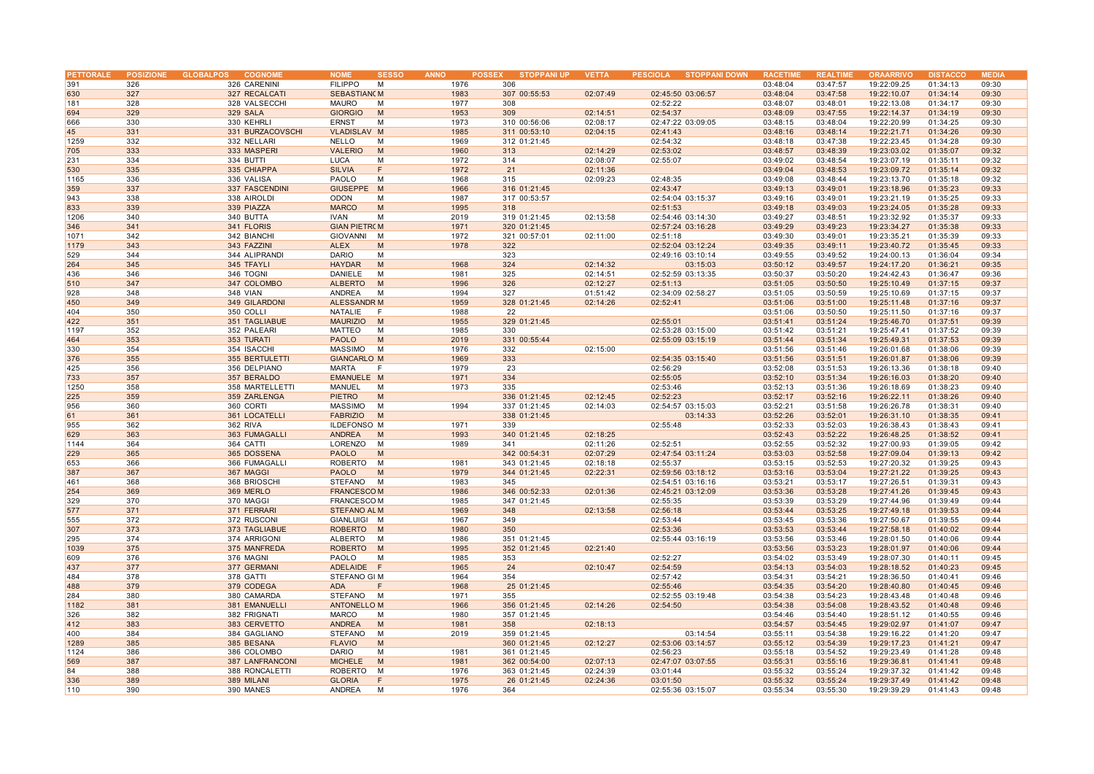| <b>PETTORALE</b> |     | POSIZIONE GLOBALPOS<br><b>COGNOME</b> | <b>NOME</b>          | <b>SESSO</b><br><b>ANNO</b> | <b>STOPPANI UP</b><br><b>POSSEX</b> | <b>VETTA</b> | <b>PESCIOLA</b><br><b>STOPPANI DOWN</b> | <b>RACETIME</b> | <b>REALTIME</b> | <b>ORAARRIVO</b> | <b>DISTACCO</b> | <b>MEDIA</b> |
|------------------|-----|---------------------------------------|----------------------|-----------------------------|-------------------------------------|--------------|-----------------------------------------|-----------------|-----------------|------------------|-----------------|--------------|
| 391              | 326 | 326 CARENINI                          | <b>FILIPPO</b><br>м  | 1976                        | 306                                 |              |                                         | 03:48:04        | 03:47:57        | 19:22:09.25      | 01:34:13        | 09:30        |
| 630              | 327 | 327 RECALCATI                         | <b>SEBASTIAN M</b>   | 1983                        | 307 00:55:53                        | 02:07:49     | 02:45:50 03:06:57                       | 03:48:04        | 03:47:58        | 19:22:10.07      | 01:34:14        | 09:30        |
| 181              | 328 | 328 VALSECCHI                         | <b>MAURO</b><br>M    | 1977                        | 308                                 |              | 02:52:22                                | 03:48:07        | 03:48:01        | 19:22:13.08      | 01:34:17        | 09:30        |
| 694              | 329 | 329 SALA                              | <b>GIORGIO</b><br>M  | 1953                        | 309                                 | 02:14:51     | 02:54:37                                | 03:48:09        | 03:47:55        | 19:22:14.37      | 01:34:19        | 09:30        |
| 666              | 330 | 330 KEHRLI                            | <b>ERNST</b><br>M    | 1973                        | 310 00:56:06                        | 02:08:17     | 02:47:22 03:09:05                       | 03:48:15        | 03:48:04        | 19:22:20.99      | 01:34:25        | 09:30        |
|                  |     |                                       |                      |                             |                                     |              |                                         |                 |                 |                  |                 |              |
| 45               | 331 | 331 BURZACOVSCHI                      | VLADISLAV M          | 1985                        | 311 00:53:10                        | 02:04:15     | 02:41:43                                | 03:48:16        | 03:48:14        | 19:22:21.71      | 01:34:26        | 09:30        |
| 1259             | 332 | 332 NELLARI                           | <b>NELLO</b><br>M    | 1969                        | 312 01:21:45                        |              | 02:54:32                                | 03:48:18        | 03:47:38        | 19:22:23.45      | 01:34:28        | 09:30        |
| 705              | 333 | 333 MASPERI                           | <b>VALERIO</b><br>M  | 1960                        | 313                                 | 02:14:29     | 02:53:02                                | 03:48:57        | 03:48:39        | 19:23:03.02      | 01:35:07        | 09:32        |
| 231              | 334 | 334 BUTTI                             | <b>LUCA</b><br>M     | 1972                        | 314                                 | 02:08:07     | 02:55:07                                | 03:49:02        | 03:48:54        | 19:23:07.19      | 01:35:11        | 09:32        |
| 530              | 335 | 335 CHIAPPA                           | <b>SILVIA</b><br>F   | 1972                        | 21                                  | 02:11:36     |                                         | 03:49:04        | 03:48:53        | 19:23:09.72      | 01:35:14        | 09:32        |
| 1165             | 336 | 336 VALISA                            | PAOLO<br>М           | 1968                        | 315                                 | 02:09:23     | 02:48:35                                | 03:49:08        | 03:48:44        | 19:23:13.70      | 01:35:18        | 09:32        |
| 359              | 337 | 337 FASCENDINI                        | <b>GIUSEPPE</b><br>M | 1966                        | 316 01:21:45                        |              | 02:43:47                                | 03:49:13        | 03:49:01        | 19:23:18.96      | 01:35:23        | 09:33        |
| 943              | 338 | 338 AIROLDI                           | <b>ODON</b><br>M     | 1987                        | 317 00:53:57                        |              | 02:54:04 03:15:37                       | 03:49:16        | 03:49:01        | 19:23:21.19      | 01:35:25        | 09:33        |
| 833              | 339 | 339 PIAZZA                            | <b>MARCO</b><br>M    | 1995                        | 318                                 |              | 02:51:53                                | 03:49:18        | 03:49:03        | 19:23:24.05      | 01:35:28        | 09:33        |
| 1206             | 340 | 340 BUTTA                             | <b>IVAN</b><br>M     | 2019                        | 319 01:21:45                        | 02:13:58     | 02:54:46 03:14:30                       | 03:49:27        | 03:48:51        | 19:23:32.92      | 01:35:37        | 09:33        |
| 346              | 341 | 341 FLORIS                            | <b>GIAN PIETROM</b>  | 1971                        | 320 01:21:45                        |              | 02:57:24 03:16:28                       | 03:49:29        | 03:49:23        | 19:23:34.27      | 01:35:38        | 09:33        |
| 1071             | 342 | 342 BIANCHI                           | GIOVANNI<br>M        | 1972                        | 321 00:57:01                        | 02:11:00     |                                         | 03:49:30        | 03:49:01        | 19:23:35.21      | 01:35:39        | 09:33        |
|                  |     |                                       |                      |                             |                                     |              | 02:51:18                                |                 |                 | 19:23:40.72      |                 |              |
| 1179             | 343 | 343 FAZZINI                           | <b>ALEX</b><br>M     | 1978                        | 322                                 |              | 02:52:04 03:12:24                       | 03:49:35        | 03:49:11        |                  | 01:35:45        | 09:33        |
| 529              | 344 | 344 ALIPRANDI                         | <b>DARIO</b><br>M    |                             | 323                                 |              | 02:49:16 03:10:14                       | 03:49:55        | 03:49:52        | 19:24:00.13      | 01:36:04        | 09:34        |
| 264              | 345 | 345 TFAYLI                            | <b>HAYDAR</b><br>M   | 1968                        | 324                                 | 02:14:32     | 03:15:03                                | 03:50:12        | 03:49:57        | 19:24:17.20      | 01:36:21        | 09:35        |
| 436              | 346 | 346 TOGNI                             | DANIELE<br>M         | 1981                        | 325                                 | 02:14:51     | 02:52:59 03:13:35                       | 03:50:37        | 03:50:20        | 19:24:42.43      | 01:36:47        | 09:36        |
| 510              | 347 | 347 COLOMBO                           | ALBERTO<br>M         | 1996                        | 326                                 | 02:12:27     | 02:51:13                                | 03:51:05        | 03:50:50        | 19:25:10.49      | 01:37:15        | 09:37        |
| 928              | 348 | <b>348 VIAN</b>                       | ANDREA<br>M          | 1994                        | 327                                 | 01:51:42     | 02:34:09 02:58:27                       | 03:51:05        | 03:50:59        | 19:25:10.69      | 01:37:15        | 09:37        |
| 450              | 349 | 349 GILARDONI                         | <b>ALESSANDR M</b>   | 1959                        | 328 01:21:45                        | 02:14:26     | 02:52:41                                | 03:51:06        | 03:51:00        | 19:25:11.48      | 01:37:16        | 09:37        |
| 404              | 350 | 350 COLLI                             | NATALIE<br>F         | 1988                        | 22                                  |              |                                         | 03:51:06        | 03:50:50        | 19:25:11.50      | 01:37:16        | 09:37        |
| 422              | 351 | 351 TAGLIABUE                         | <b>MAURIZIO</b><br>M | 1955                        | 329 01:21:45                        |              | 02:55:01                                | 03:51:41        | 03:51:24        | 19:25:46.70      | 01:37:51        | 09:39        |
| 1197             | 352 | 352 PALEARI                           | MATTEO<br>M          | 1985                        | 330                                 |              | 02:53:28 03:15:00                       | 03:51:42        | 03:51:21        | 19:25:47.41      | 01:37:52        | 09:39        |
| 464              | 353 | 353 TURATI                            | <b>PAOLO</b><br>M    | 2019                        | 331 00:55:44                        |              | 02:55:09 03:15:19                       | 03:51:44        | 03:51:34        | 19:25:49.31      | 01:37:53        | 09:39        |
| 330              | 354 |                                       | MASSIMO<br>M         | 1976                        | 332                                 | 02:15:00     |                                         | 03:51:56        | 03:51:46        | 19:26:01.68      | 01:38:06        | 09:39        |
|                  |     | 354 ISACCHI                           |                      |                             |                                     |              |                                         |                 |                 |                  |                 |              |
| 376              | 355 | 355 BERTULETTI                        | <b>GIANCARLO M</b>   | 1969                        | 333                                 |              | 02:54:35 03:15:40                       | 03:51:56        | 03:51:51        | 19:26:01.87      | 01:38:06        | 09:39        |
| 425              | 356 | 356 DELPIANO                          | MARTA<br>F           | 1979                        | 23                                  |              | 02:56:29                                | 03:52:08        | 03:51:53        | 19:26:13.36      | 01:38:18        | 09:40        |
| 733              | 357 | 357 BERALDO                           | EMANUELE M           | 1971                        | 334                                 |              | 02:55:05                                | 03:52:10        | 03:51:34        | 19:26:16.03      | 01:38:20        | 09:40        |
| 1250             | 358 | 358 MARTELLETTI                       | MANUEL<br>M          | 1973                        | 335                                 |              | 02:53:46                                | 03:52:13        | 03:51:36        | 19:26:18.69      | 01:38:23        | 09:40        |
| 225              | 359 | 359 ZARLENGA                          | <b>PIETRO</b><br>M   |                             | 336 01:21:45                        | 02:12:45     | 02:52:23                                | 03:52:17        | 03:52:16        | 19:26:22.11      | 01:38:26        | 09:40        |
| 956              | 360 | 360 CORTI                             | MASSIMO<br>M         | 1994                        | 337 01:21:45                        | 02:14:03     | 02:54:57 03:15:03                       | 03:52:21        | 03:51:58        | 19:26:26.78      | 01:38:31        | 09:40        |
| 61               | 361 | 361 LOCATELLI                         | <b>FABRIZIO</b><br>M |                             | 338 01:21:45                        |              | 03:14:33                                | 03:52:26        | 03:52:01        | 19:26:31.10      | 01:38:35        | 09:41        |
| 955              | 362 | 362 RIVA                              | <b>ILDEFONSO M</b>   | 1971                        | 339                                 |              | 02:55:48                                | 03:52:33        | 03:52:03        | 19:26:38.43      | 01:38:43        | 09:41        |
| 629              | 363 | 363 FUMAGALLI                         | ANDREA<br>M          | 1993                        | 340 01:21:45                        | 02:18:25     |                                         | 03:52:43        | 03:52:22        | 19:26:48.25      | 01:38:52        | 09:41        |
| 1144             | 364 | 364 CATTI                             | LORENZO<br>M         | 1989                        | 341                                 | 02:11:26     | 02:52:51                                | 03:52:55        | 03:52:32        | 19:27:00.93      | 01:39:05        | 09:42        |
| 229              | 365 | 365 DOSSENA                           | <b>PAOLO</b><br>M    |                             | 342 00:54:31                        | 02:07:29     | 02:47:54 03:11:24                       | 03:53:03        | 03:52:58        | 19:27:09.04      | 01:39:13        | 09:42        |
| 653              | 366 |                                       | M                    | 1981                        | 343 01:21:45                        |              |                                         | 03:53:15        |                 |                  |                 | 09:43        |
|                  |     | 366 FUMAGALLI                         | ROBERTO              |                             |                                     | 02:18:18     | 02:55:37                                |                 | 03:52:53        | 19:27:20.32      | 01:39:25        |              |
| 387              | 367 | 367 MAGGI                             | <b>PAOLO</b><br>M    | 1979                        | 344 01:21:45                        | 02:22:31     | 02:59:56 03:18:12                       | 03:53:16        | 03:53:04        | 19:27:21.22      | 01:39:25        | 09:43        |
| 461              | 368 | 368 BRIOSCHI                          | STEFANO<br>M         | 1983                        | 345                                 |              | 02:54:51 03:16:16                       | 03:53:21        | 03:53:17        | 19:27:26.51      | 01:39:31        | 09:43        |
| 254              | 369 | 369 MERLO                             | <b>FRANCESCOM</b>    | 1986                        | 346 00:52:33                        | 02:01:36     | 02:45:21 03:12:09                       | 03:53:36        | 03:53:28        | 19:27:41.26      | 01:39:45        | 09:43        |
| 329              | 370 | 370 MAGGI                             | <b>FRANCESCOM</b>    | 1985                        | 347 01:21:45                        |              | 02:55:35                                | 03:53:39        | 03:53:29        | 19:27:44.96      | 01:39:49        | 09:44        |
| 577              | 371 | 371 FERRARI                           | <b>STEFANO AL M</b>  | 1969                        | 348                                 | 02:13:58     | 02:56:18                                | 03:53:44        | 03:53:25        | 19:27:49.18      | 01:39:53        | 09:44        |
| 555              | 372 | 372 RUSCONI                           | GIANLUIGI M          | 1967                        | 349                                 |              | 02:53:44                                | 03:53:45        | 03:53:36        | 19:27:50.67      | 01:39:55        | 09:44        |
| 307              | 373 | 373 TAGLIABUE                         | <b>ROBERTO</b><br>M  | 1980                        | 350                                 |              | 02:53:36                                | 03:53:53        | 03:53:44        | 19:27:58.18      | 01:40:02        | 09:44        |
| 295              | 374 | 374 ARRIGONI                          | ALBERTO<br>M         | 1986                        | 351 01:21:45                        |              | 02:55:44 03:16:19                       | 03:53:56        | 03:53:46        | 19:28:01.50      | 01:40:06        | 09:44        |
| 1039             | 375 | 375 MANFREDA                          | <b>ROBERTO</b><br>M  | 1995                        | 352 01:21:45                        | 02:21:40     |                                         | 03:53:56        | 03:53:23        | 19:28:01.97      | 01:40:06        | 09:44        |
| 609              | 376 | 376 MAGNI                             | PAOLO<br>M           | 1985                        | 353                                 |              | 02:52:27                                | 03:54:02        | 03:53:49        | 19:28:07.30      | 01:40:11        | 09:45        |
| 437              | 377 | 377 GERMANI                           | ADELAIDE F           | 1965                        | 24                                  | 02:10:47     | 02:54:59                                | 03:54:13        | 03:54:03        | 19:28:18.52      | 01:40:23        | 09:45        |
|                  | 378 |                                       | STEFANO GI M         |                             | 354                                 |              |                                         |                 |                 |                  | 01:40:41        | 09:46        |
| 484              |     | 378 GATTI                             |                      | 1964                        |                                     |              | 02:57:42                                | 03:54:31        | 03:54:21        | 19:28:36.50      |                 |              |
| 488              | 379 | 379 CODEGA                            | <b>ADA</b><br>F      | 1968                        | 25 01:21:45                         |              | 02:55:46                                | 03:54:35        | 03:54:20        | 19:28:40.80      | 01:40:45        | 09:46        |
| 284              | 380 | 380 CAMARDA                           | STEFANO<br>м         | 1971                        | 355                                 |              | 02:52:55 03:19:48                       | 03:54:38        | 03:54:23        | 19:28:43.48      | 01:40:48        | 09:46        |
| 1182             | 381 | 381 EMANUELLI                         | <b>ANTONELLO M</b>   | 1966                        | 356 01:21:45                        | 02:14:26     | 02:54:50                                | 03:54:38        | 03:54:08        | 19:28:43.52      | 01:40:48        | 09:46        |
| 326              | 382 | 382 FRIGNATI                          | <b>MARCO</b><br>M    | 1980                        | 357 01:21:45                        |              |                                         | 03:54:46        | 03:54:40        | 19:28:51.12      | 01:40:55        | 09:46        |
| 412              | 383 | 383 CERVETTO                          | <b>ANDREA</b><br>M   | 1981                        | 358                                 | 02:18:13     |                                         | 03:54:57        | 03:54:45        | 19:29:02.97      | 01:41:07        | 09:47        |
| 400              | 384 | 384 GAGLIANO                          | <b>STEFANO</b><br>M  | 2019                        | 359 01:21:45                        |              | 03:14:54                                | 03:55:11        | 03:54:38        | 19:29:16.22      | 01:41:20        | 09:47        |
| 1289             | 385 | 385 BESANA                            | <b>FLAVIO</b><br>M   |                             | 360 01:21:45                        | 02:12:27     | 02:53:06 03:14:57                       | 03:55:12        | 03:54:39        | 19:29:17.23      | 01:41:21        | 09:47        |
| 1124             | 386 | 386 COLOMBO                           | <b>DARIO</b><br>M    | 1981                        | 361 01:21:45                        |              | 02:56:23                                | 03:55:18        | 03:54:52        | 19:29:23.49      | 01:41:28        | 09:48        |
| 569              | 387 | 387 LANFRANCONI                       | <b>MICHELE</b><br>M  | 1981                        | 362 00:54:00                        | 02:07:13     | 02:47:07 03:07:55                       | 03:55:31        | 03:55:16        | 19:29:36.81      | 01:41:41        | 09:48        |
| 84               | 388 |                                       | M                    | 1976                        |                                     |              | 03:01:44                                |                 |                 |                  | 01:41:42        | 09:48        |
|                  |     | 388 RONCALETTI                        | <b>ROBERTO</b>       |                             | 363 01:21:45                        | 02:24:39     |                                         | 03:55:32        | 03:55:24        | 19:29:37.32      |                 |              |
| 336              | 389 | 389 MILANI                            | <b>GLORIA</b><br>F   | 1975                        | 26 01:21:45                         | 02:24:36     | 03:01:50                                | 03:55:32        | 03:55:24        | 19:29:37.49      | 01:41:42        | 09:48        |
| 110              | 390 | 390 MANES                             | ANDREA<br>M          | 1976                        | 364                                 |              | 02:55:36 03:15:07                       | 03:55:34        | 03:55:30        | 19:29:39.29      | 01:41:43        | 09:48        |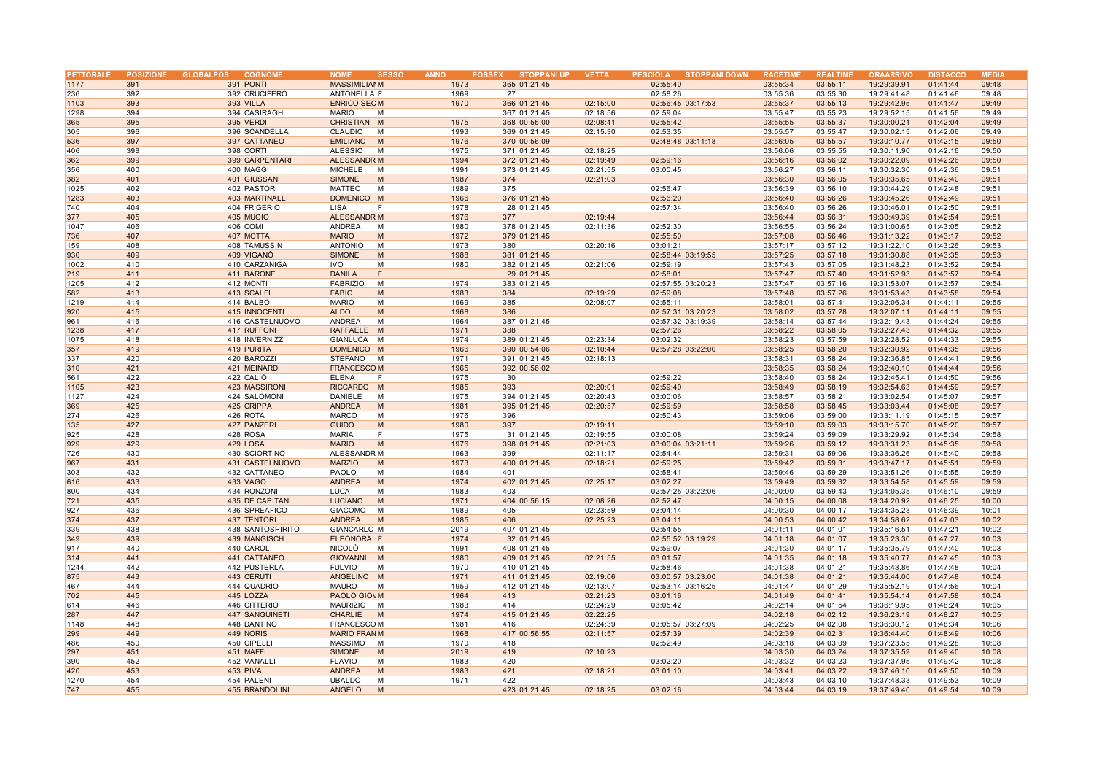| PETTORALE |            | POSIZIONE GLOBALPOS<br><b>COGNOME</b> | <b>NOME</b><br><b>SESSO</b>      | <b>ANNO</b> | <b>STOPPANI UP</b><br><b>POSSEX</b> | <b>VETTA</b> | <b>PESCIOLA</b><br><b>STOPPANI DOWN</b> | <b>RACETIME</b> | <b>REALTIME</b> | <b>ORAARRIVO</b>           | <b>DISTACCO</b> | <b>MEDIA</b>   |
|-----------|------------|---------------------------------------|----------------------------------|-------------|-------------------------------------|--------------|-----------------------------------------|-----------------|-----------------|----------------------------|-----------------|----------------|
| 1177      | 391        | 391 PONTI                             | <b>MASSIMILIAI M</b>             | 1973        | 365 01:21:45                        |              | 02:55:40                                | 03:55:34        | 03:55:11        | 19:29:39.91                | 01:41:44        | 09:48          |
| 236       | 392        | 392 CRUCIFERO                         | ANTONELLA F                      | 1969        | 27                                  |              | 02:58:26                                | 03:55:36        | 03:55:30        | 19:29:41.48                | 01:41:46        | 09:48          |
| 1103      | 393        | 393 VILLA                             | <b>ENRICO SEC M</b>              | 1970        | 366 01:21:45                        | 02:15:00     | 02:56:45 03:17:53                       | 03:55:37        | 03:55:13        | 19:29:42.95                | 01:41:47        | 09:49          |
| 1298      | 394        | 394 CASIRAGHI                         | <b>MARIO</b><br>M                |             | 367 01:21:45                        | 02:18:56     | 02:59:04                                | 03:55:47        | 03:55:23        | 19:29:52.15                | 01:41:56        | 09:49          |
| 365       | 395        | 395 VERDI                             | CHRISTIAN M                      | 1975        | 368 00:55:00                        | 02:08:41     | 02:55:42                                | 03:55:55        | 03:55:37        | 19:30:00.21                | 01:42:04        | 09:49          |
| 305       | 396        | 396 SCANDELLA                         | CLAUDIO<br>M                     | 1993        | 369 01:21:45                        | 02:15:30     | 02:53:35                                | 03:55:57        | 03:55:47        | 19:30:02.15                | 01:42:06        | 09:49          |
| 536       | 397        | 397 CATTANEO                          | <b>EMILIANO</b><br>M             | 1976        | 370 00:56:09                        |              | 02:48:48 03:11:18                       | 03:56:05        | 03:55:57        | 19:30:10.77                | 01:42:15        | 09:50          |
| 406       | 398        | 398 CORTI                             | ALESSIO<br>M                     | 1975        | 371 01:21:45                        | 02:18:25     |                                         | 03:56:06        | 03:55:55        | 19:30:11.90                | 01:42:16        | 09:50          |
| 362       | 399        | 399 CARPENTARI                        | <b>ALESSANDR M</b>               | 1994        | 372 01:21:45                        | 02:19:49     | 02:59:16                                | 03:56:16        | 03:56:02        | 19:30:22.09                | 01:42:26        | 09:50          |
| 356       | 400        | 400 MAGGI                             | <b>MICHELE</b><br>M              | 1991        | 373 01:21:45                        | 02:21:55     | 03:00:45                                | 03:56:27        | 03:56:11        | 19:30:32.30                | 01:42:36        | 09:51          |
| 382       | 401        | 401 GIUSSANI                          | <b>SIMONE</b><br>M               | 1987        | 374                                 | 02:21:03     |                                         | 03:56:30        | 03:56:05        | 19:30:35.65                | 01:42:40        | 09:51          |
| 1025      | 402        | 402 PASTORI                           | MATTEO<br>M                      | 1989        | 375                                 |              | 02:56:47                                | 03:56:39        | 03:56:10        | 19:30:44.29                | 01:42:48        | 09:51          |
| 1283      | 403        | 403 MARTINALLI                        | DOMENICO M                       | 1966        | 376 01:21:45                        |              | 02:56:20                                | 03:56:40        | 03:56:26        | 19:30:45.26                | 01:42:49        | 09:51          |
| 740       | 404        | 404 FRIGERIO                          | F<br><b>LISA</b>                 | 1978        | 28 01:21:45                         |              | 02:57:34                                | 03:56:40        | 03:56:26        | 19:30:46.01                | 01:42:50        | 09:51          |
| 377       | 405        | 405 MUOIO                             | <b>ALESSANDR M</b>               | 1976        | 377                                 | 02:19:44     |                                         | 03:56:44        | 03:56:31        | 19:30:49.39                | 01:42:54        | 09:51          |
| 1047      | 406        | 406 COMI                              | <b>ANDREA</b><br>M               | 1980        | 378 01:21:45                        | 02:11:36     | 02:52:30                                | 03:56:55        | 03:56:24        | 19:31:00.65                | 01:43:05        | 09:52          |
| 736       | 407        | 407 MOTTA                             | <b>MARIO</b><br>M                | 1972        | 379 01:21:45                        |              | 02:55:50                                | 03:57:08        | 03:56:46        | 19:31:13.22                | 01:43:17        | 09:52          |
| 159       | 408        | 408 TAMUSSIN                          | <b>ANTONIO</b><br>M              | 1973        | 380                                 | 02:20:16     | 03:01:21                                | 03:57:17        | 03:57:12        | 19:31:22.10                | 01:43:26        | 09:53          |
| 930       | 409        | 409 VIGANO                            | <b>SIMONE</b><br>M               | 1988        | 381 01:21:45                        |              | 02:58:44 03:19:55                       | 03:57:25        | 03:57:18        | 19:31:30.88                | 01:43:35        | 09:53          |
| 1002      | 410        | 410 CARZANIGA                         | <b>IVO</b><br>M                  | 1980        | 382 01:21:45                        | 02:21:06     | 02:59:19                                | 03:57:43        | 03:57:05        | 19:31:48.23                | 01:43:52        | 09:54          |
|           |            |                                       | F                                |             |                                     |              |                                         |                 |                 |                            |                 |                |
| 219       | 411<br>412 | 411 BARONE                            | <b>DANILA</b><br><b>FABRIZIO</b> | 1974        | 29 01:21:45                         |              | 02:58:01                                | 03:57:47        | 03:57:40        | 19:31:52.93<br>19:31:53.07 | 01:43:57        | 09:54<br>09:54 |
| 1205      |            | 412 MONTI                             | M                                |             | 383 01:21:45                        |              | 02:57:55 03:20:23                       | 03:57:47        | 03:57:16        |                            | 01:43:57        |                |
| 582       | 413        | 413 SCALFI                            | <b>FABIO</b><br>M<br>M           | 1983        | 384                                 | 02:19:29     | 02:59:08                                | 03:57:48        | 03:57:26        | 19:31:53.43                | 01:43:58        | 09:54          |
| 1219      | 414        | 414 BALBO                             | <b>MARIO</b><br>M                | 1969        | 385                                 | 02:08:07     | 02:55:11                                | 03:58:01        | 03:57:41        | 19:32:06.34                | 01:44:11        | 09:55          |
| 920       | 415        | 415 INNOCENTI                         | <b>ALDO</b>                      | 1968        | 386                                 |              | 02:57:31 03:20:23                       | 03:58:02        | 03:57:28        | 19:32:07.11                | 01:44:11        | 09:55          |
| 961       | 416        | 416 CASTELNUOVO                       | ANDREA<br>M                      | 1964        | 387 01:21:45                        |              | 02:57:32 03:19:39                       | 03:58:14        | 03:57:44        | 19:32:19.43                | 01:44:24        | 09:55          |
| 1238      | 417        | 417 RUFFONI                           | RAFFAELE M                       | 1971        | 388                                 |              | 02:57:26                                | 03:58:22        | 03:58:05        | 19:32:27.43                | 01:44:32        | 09:55          |
| 1075      | 418        | 418 INVERNIZZI                        | GIANLUCA M                       | 1974        | 389 01:21:45                        | 02:23:34     | 03:02:32                                | 03:58:23        | 03:57:59        | 19:32:28.52                | 01:44:33        | 09:55          |
| 357       | 419        | 419 PURITA                            | DOMENICO M                       | 1966        | 390 00:54:06                        | 02:10:44     | 02:57:28 03:22:00                       | 03:58:25        | 03:58:20        | 19:32:30.92                | 01:44:35        | 09:56          |
| 337       | 420        | 420 BAROZZI                           | STEFANO M                        | 1971        | 391 01:21:45                        | 02:18:13     |                                         | 03:58:31        | 03:58:24        | 19:32:36.85                | 01:44:41        | 09:56          |
| 310       | 421        | 421 MEINARDI                          | <b>FRANCESCOM</b>                | 1965        | 392 00:56:02                        |              |                                         | 03:58:35        | 03:58:24        | 19:32:40.10                | 01:44:44        | 09:56          |
| 561       | 422        | 422 CALIO                             | <b>ELENA</b><br>F                | 1975        | 30                                  |              | 02:59:22                                | 03:58:40        | 03:58:24        | 19:32:45.41                | 01:44:50        | 09:56          |
| 1105      | 423        | 423 MASSIRONI                         | <b>RICCARDO</b><br>M             | 1985        | 393                                 | 02:20:01     | 02:59:40                                | 03:58:49        | 03:58:19        | 19:32:54.63                | 01:44:59        | 09:57          |
| 1127      | 424        | 424 SALOMONI                          | DANIELE<br>M                     | 1975        | 394 01:21:45                        | 02:20:43     | 03:00:06                                | 03:58:57        | 03:58:21        | 19:33:02.54                | 01:45:07        | 09:57          |
| 369       | 425        | 425 CRIPPA                            | <b>ANDREA</b><br>M               | 1981        | 395 01:21:45                        | 02:20:57     | 02:59:59                                | 03:58:58        | 03:58:45        | 19:33:03.44                | 01:45:08        | 09:57          |
| 274       | 426        | 426 ROTA                              | <b>MARCO</b><br>M                | 1976        | 396                                 |              | 02:50:43                                | 03:59:06        | 03:59:00        | 19:33:11.19                | 01:45:15        | 09:57          |
| 135       | 427        | 427 PANZERI                           | <b>GUIDO</b><br>M                | 1980        | 397                                 | 02:19:11     |                                         | 03:59:10        | 03:59:03        | 19:33:15.70                | 01:45:20        | 09:57          |
| 925       | 428        | 428 ROSA                              | <b>MARIA</b><br>F                | 1975        | 31 01:21:45                         | 02:19:55     | 03:00:08                                | 03:59:24        | 03:59:09        | 19:33:29.92                | 01:45:34        | 09:58          |
| 929       | 429        | 429 LOSA                              | <b>MARIO</b><br>M                | 1976        | 398 01:21:45                        | 02:21:03     | 03:00:04 03:21:11                       | 03:59:26        | 03:59:12        | 19:33:31.23                | 01:45:35        | 09:58          |
| 726       | 430        | 430 SCIORTINO                         | ALESSANDR M                      | 1963        | 399                                 | 02:11:17     | 02:54:44                                | 03:59:31        | 03:59:06        | 19:33:36.26                | 01:45:40        | 09:58          |
| 967       | 431        | 431 CASTELNUOVO                       | <b>MARZIO</b><br>M               | 1973        | 400 01:21:45                        | 02:18:21     | 02:59:25                                | 03:59:42        | 03:59:31        | 19:33:47.17                | 01:45:51        | 09:59          |
| 303       | 432        | 432 CATTANEO                          | PAOLO<br>M                       | 1984        | 401                                 |              | 02:58:41                                | 03:59:46        | 03:59:29        | 19:33:51.26                | 01:45:55        | 09:59          |
| 616       | 433        | 433 VAGO                              | <b>ANDREA</b><br>M               | 1974        | 402 01:21:45                        | 02:25:17     | 03:02:27                                | 03:59:49        | 03:59:32        | 19:33:54.58                | 01:45:59        | 09:59          |
| 800       | 434        | 434 RONZONI                           | LUCA<br>M                        | 1983        | 403                                 |              | 02:57:25 03:22:06                       | 04:00:00        | 03:59:43        | 19:34:05.35                | 01:46:10        | 09:59          |
| 721       | 435        | 435 DE CAPITANI                       | <b>LUCIANO</b><br>M              | 1971        | 404 00:56:15                        | 02:08:26     | 02:52:47                                | 04:00:15        | 04:00:08        | 19:34:20.92                | 01:46:25        | 10:00          |
| 927       | 436        | 436 SPREAFICO                         | <b>GIACOMO</b><br>M              | 1989        | 405                                 | 02:23:59     | 03:04:14                                | 04:00:30        | 04:00:17        | 19:34:35.23                | 01:46:39        | 10:01          |
| 374       | 437        | 437 TENTORI                           | ANDREA<br>M                      | 1985        | 406                                 | 02:25:23     | 03:04:11                                | 04:00:53        | 04:00:42        | 19:34:58.62                | 01:47:03        | 10:02          |
| 339       | 438        | 438 SANTOSPIRITO                      | <b>GIANCARLO M</b>               | 2019        | 407 01:21:45                        |              | 02:54:55                                | 04:01:11        | 04:01:01        | 19:35:16.51                | 01:47:21        | 10:02          |
| 349       | 439        | 439 MANGISCH                          | ELEONORA F                       | 1974        | 32 01:21:45                         |              | 02:55:52 03:19:29                       | 04:01:18        | 04:01:07        | 19:35:23.30                | 01:47:27        | 10:03          |
| 917       | 440        | 440 CAROLI                            | NICOLÒ<br>M                      | 1991        | 408 01:21:45                        |              | 02:59:07                                | 04:01:30        | 04:01:17        | 19:35:35.79                | 01:47:40        | 10:03          |
| 314       | 441        | 441 CATTANEO                          | <b>GIOVANNI</b><br>M             | 1980        | 409 01:21:45                        | 02:21:55     | 03:01:57                                | 04:01:35        | 04:01:18        | 19:35:40.77                | 01:47:45        | 10:03          |
| 1244      | 442        | 442 PUSTERLA                          | <b>FULVIO</b><br>M               | 1970        | 410 01:21:45                        |              | 02:58:46                                | 04:01:38        | 04:01:21        | 19:35:43.86                | 01:47:48        | 10:04          |
| 875       | 443        | 443 CERUTI                            | ANGELINO M                       | 1971        | 411 01:21:45                        | 02:19:06     | 03:00:57 03:23:00                       | 04:01:38        | 04:01:21        | 19:35:44.00                | 01:47:48        | 10:04          |
| 467       | 444        | 444 QUADRIO                           | <b>MAURO</b><br>M                | 1959        | 412 01:21:45                        | 02:13:07     | 02:53:14 03:16:25                       | 04:01:47        | 04:01:29        | 19:35:52.19                | 01:47:56        | 10:04          |
| 702       | 445        | 445 LOZZA                             | PAOLO GIOVM                      | 1964        | 413                                 | 02:21:23     | 03:01:16                                | 04:01:49        | 04:01:41        | 19:35:54.14                | 01:47:58        | 10:04          |
| 614       | 446        | 446 CITTERIO                          | <b>MAURIZIO</b><br>M             | 1983        | 414                                 | 02:24:29     | 03:05:42                                | 04:02:14        | 04:01:54        | 19:36:19.95                | 01:48:24        | 10:05          |
| 287       | 447        | <b>447 SANGUINETI</b>                 | <b>CHARLIE</b><br>M              | 1974        | 415 01:21:45                        | 02:22:25     |                                         | 04:02:18        | 04:02:12        | 19:36:23.19                | 01:48:27        | 10:05          |
| 1148      | 448        | 448 DANTINO                           | <b>FRANCESCOM</b>                | 1981        | 416                                 | 02:24:39     | 03:05:57 03:27:09                       | 04:02:25        | 04:02:08        | 19:36:30.12                | 01:48:34        | 10:06          |
| 299       | 449        | 449 NORIS                             | <b>MARIO FRANM</b>               | 1968        | 417 00:56:55                        | 02:11:57     | 02:57:39                                | 04:02:39        | 04:02:31        | 19:36:44.40                | 01:48:49        | 10:06          |
| 486       | 450        | 450 CIPELLI                           | MASSIMO<br>M                     | 1970        | 418                                 |              | 02:52:49                                | 04:03:18        | 04:03:09        | 19:37:23.55                | 01:49:28        | 10:08          |
| 297       | 451        | 451 MAFFI                             | <b>SIMONE</b><br>M               | 2019        | 419                                 | 02:10:23     |                                         | 04:03:30        | 04:03:24        | 19:37:35.59                | 01:49:40        | 10:08          |
| 390       | 452        | 452 VANALLI                           | <b>FLAVIO</b><br>M               | 1983        | 420                                 |              | 03:02:20                                | 04:03:32        | 04:03:23        | 19:37:37.95                | 01:49:42        | 10:08          |
| 420       | 453        | 453 PIVA                              | <b>ANDREA</b><br>M               | 1983        | 421                                 | 02:18:21     | 03:01:10                                | 04:03:41        | 04:03:22        | 19:37:46.10                | 01:49:50        | 10:09          |
| 1270      | 454        | 454 PALENI                            | <b>UBALDO</b><br>M               | 1971        | 422                                 |              |                                         | 04:03:43        | 04:03:10        | 19:37:48.33                | 01:49:53        | 10:09          |
| 747       | 455        | 455 BRANDOLINI                        | <b>ANGELO</b><br>M               |             | 423 01:21:45                        | 02:18:25     | 03:02:16                                | 04:03:44        | 04:03:19        | 19:37:49.40                | 01:49:54        | 10:09          |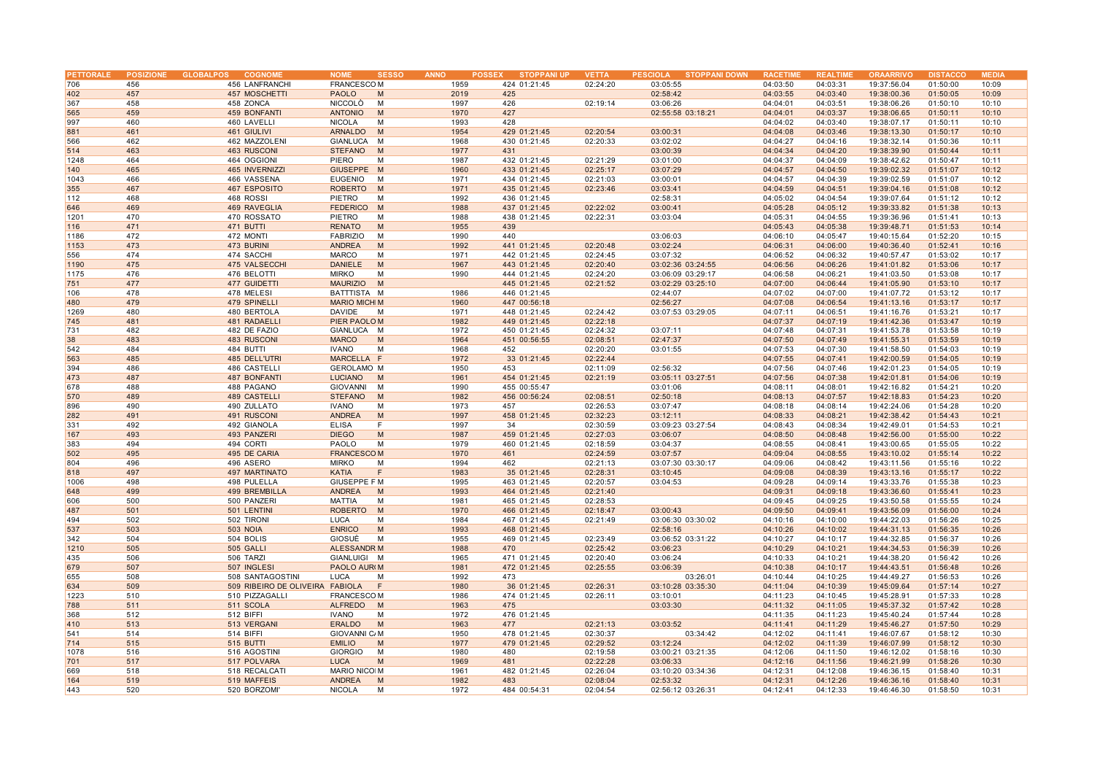| PETTORALE |     | POSIZIONE GLOBALPOS<br><b>COGNOME</b> | <b>NOME</b><br><b>SESSO</b> | <b>ANNO</b> | <b>STOPPANI UP</b><br><b>POSSEX</b> | <b>VETTA</b> | <b>STOPPANI DOWN</b><br><b>PESCIOLA</b> | <b>RACETIM</b> | <b>REALTIM</b> | <b>ORAARRIVO</b> | <b>DISTACCO</b> | <b>MEDIA</b> |
|-----------|-----|---------------------------------------|-----------------------------|-------------|-------------------------------------|--------------|-----------------------------------------|----------------|----------------|------------------|-----------------|--------------|
| 706       | 456 | 456 LANFRANCHI                        | <b>FRANCESCOM</b>           | 1959        | 424 01:21:45                        | 02:24:20     | 03:05:55                                | 04:03:50       | 04:03:31       | 19:37:56.04      | 01:50:00        | 10:09        |
| 402       | 457 | 457 MOSCHETTI                         | <b>PAOLO</b><br>M           | 2019        | 425                                 |              | 02:58:42                                | 04:03:55       | 04:03:40       | 19:38:00.36      | 01:50:05        | 10:09        |
|           |     |                                       |                             |             |                                     |              |                                         |                |                |                  |                 |              |
| 367       | 458 | 458 ZONCA                             | <b>NICCOLO</b><br>M         | 1997        | 426                                 | 02:19:14     | 03:06:26                                | 04:04:01       | 04:03:51       | 19:38:06.26      | 01:50:10        | 10:10        |
| 565       | 459 | 459 BONFANTI                          | <b>ANTONIO</b><br>M         | 1970        | 427                                 |              | 02:55:58 03:18:21                       | 04:04:01       | 04:03:37       | 19:38:06.65      | 01:50:11        | 10:10        |
| 997       | 460 | 460 LAVELLI                           | <b>NICOLA</b><br>M          | 1993        | 428                                 |              |                                         | 04:04:02       | 04:03:40       | 19:38:07.17      | 01:50:11        | 10:10        |
| 881       | 461 | 461 GIULIVI                           | <b>ARNALDO</b><br>M         | 1954        | 429 01:21:45                        | 02:20:54     | 03:00:31                                | 04:04:08       | 04:03:46       | 19:38:13.30      | 01:50:17        | 10:10        |
| 566       | 462 | 462 MAZZOLENI                         | GIANLUCA<br>M               | 1968        | 430 01:21:45                        | 02:20:33     | 03:02:02                                | 04:04:27       | 04:04:16       | 19:38:32.14      | 01:50:36        | 10:11        |
|           |     |                                       |                             |             |                                     |              |                                         |                |                |                  |                 |              |
| 514       | 463 | 463 RUSCONI                           | <b>STEFANO</b><br>M         | 1977        | 431                                 |              | 03:00:39                                | 04:04:34       | 04:04:20       | 19:38:39.90      | 01:50:44        | 10:11        |
| 1248      | 464 | 464 OGGIONI                           | PIERO<br>M                  | 1987        | 432 01:21:45                        | 02:21:29     | 03:01:00                                | 04:04:37       | 04:04:09       | 19:38:42.62      | 01:50:47        | 10:11        |
| 140       | 465 | 465 INVERNIZZ                         | GIUSEPPE M                  | 1960        | 433 01:21:45                        | 02:25:17     | 03:07:29                                | 04:04:57       | 04:04:50       | 19:39:02.32      | 01:51:07        | 10:12        |
| 1043      | 466 | 466 VASSENA                           | <b>EUGENIO</b><br>M         | 1971        | 434 01:21:45                        | 02:21:03     | 03:00:01                                | 04:04:57       | 04:04:39       | 19:39:02.59      | 01:51:07        | 10:12        |
| 355       | 467 | 467 ESPOSITO                          | <b>ROBERTO</b><br>M         | 1971        | 435 01:21:45                        | 02:23:46     | 03:03:41                                | 04:04:59       | 04:04:51       | 19:39:04.16      | 01:51:08        | 10:12        |
|           |     |                                       |                             |             |                                     |              |                                         |                |                |                  |                 |              |
| 112       | 468 | 468 ROSSI                             | PIETRO<br>M                 | 1992        | 436 01:21:45                        |              | 02:58:31                                | 04:05:02       | 04:04:54       | 19:39:07.64      | 01:51:12        | 10:12        |
| 646       | 469 | 469 RAVEGLIA                          | <b>FEDERICO</b><br>M        | 1988        | 437 01:21:45                        | 02:22:02     | 03:00:41                                | 04:05:28       | 04:05:12       | 19:39:33.82      | 01:51:38        | 10:13        |
| 1201      | 470 | 470 ROSSATO                           | PIETRO<br>M                 | 1988        | 438 01:21:45                        | 02:22:31     | 03:03:04                                | 04:05:31       | 04:04:55       | 19:39:36.96      | 01:51:41        | 10:13        |
| 116       | 471 | 471 BUTTI                             | <b>RENATO</b><br>M          | 1955        | 439                                 |              |                                         | 04:05:43       | 04:05:38       | 19:39:48.71      | 01:51:53        | 10:14        |
| 1186      | 472 | 472 MONTI                             | <b>FABRIZIO</b><br>M        | 1990        | 440                                 |              | 03:06:03                                | 04:06:10       | 04:05:47       | 19:40:15.64      | 01:52:20        | 10:15        |
|           | 473 | 473 BURINI                            | <b>ANDREA</b><br>M          | 1992        | 441 01:21:45                        | 02:20:48     | 03:02:24                                | 04:06:31       | 04:06:00       | 19:40:36.40      | 01:52:41        | 10:16        |
| 1153      |     |                                       |                             |             |                                     |              |                                         |                |                |                  |                 |              |
| 556       | 474 | 474 SACCHI                            | <b>MARCO</b><br>M           | 1971        | 442 01:21:45                        | 02:24:45     | 03:07:32                                | 04:06:52       | 04:06:32       | 19:40:57.47      | 01:53:02        | 10:17        |
| 1190      | 475 | 475 VALSECCHI                         | <b>DANIELE</b><br>M         | 1967        | 443 01:21:45                        | 02:20:40     | 03:02:36 03:24:55                       | 04:06:56       | 04:06:26       | 19:41:01.82      | 01:53:06        | 10:17        |
| 1175      | 476 | 476 BELOTTI                           | <b>MIRKO</b><br>M           | 1990        | 444 01:21:45                        | 02:24:20     | 03:06:09 03:29:17                       | 04:06:58       | 04:06:21       | 19:41:03.50      | 01:53:08        | 10:17        |
| 751       | 477 | 477 GUIDETTI                          | <b>MAURIZIO</b><br>M        |             | 445 01:21:45                        | 02:21:52     | 03:02:29 03:25:10                       | 04:07:00       | 04:06:44       | 19:41:05.90      | 01:53:10        | 10:17        |
| 106       | 478 | 478 MELESI                            | BATTTISTA M                 | 1986        | 446 01:21:45                        |              | 02:44:07                                | 04:07:02       | 04:07:00       | 19:41:07.72      | 01:53:12        | 10:17        |
|           |     |                                       |                             |             |                                     |              |                                         |                |                |                  |                 |              |
| 480       | 479 | 479 SPINELLI                          | <b>MARIO MICHI M</b>        | 1960        | 447 00:56:18                        |              | 02:56:27                                | 04:07:08       | 04:06:54       | 19:41:13.16      | 01:53:17        | 10:17        |
| 1269      | 480 | 480 BERTOLA                           | <b>DAVIDE</b><br>M          | 1971        | 448 01:21:45                        | 02:24:42     | 03:07:53 03:29:05                       | 04:07:11       | 04:06:51       | 19:41:16.76      | 01:53:21        | 10:17        |
| 745       | 481 | 481 RADAELLI                          | PIER PAOLO M                | 1982        | 449 01:21:45                        | 02:22:18     |                                         | 04:07:37       | 04:07:19       | 19:41:42.36      | 01:53:47        | 10:19        |
| 731       | 482 | 482 DE FAZIO                          | GIANLUCA M                  | 1972        | 450 01:21:45                        | 02:24:32     | 03:07:11                                | 04:07:48       | 04:07:31       | 19:41:53.78      | 01:53:58        | 10:19        |
| 38        | 483 | 483 RUSCONI                           | <b>MARCO</b><br>M           | 1964        | 451 00:56:55                        | 02:08:51     | 02:47:37                                | 04:07:50       | 04:07:49       | 19:41:55.31      | 01:53:59        | 10:19        |
| 542       | 484 | 484 BUTTI                             | <b>IVANO</b><br>M           | 1968        | 452                                 | 02:20:20     | 03:01:55                                | 04:07:53       | 04:07:30       | 19:41:58.50      | 01:54:03        | 10:19        |
|           |     |                                       |                             |             |                                     |              |                                         |                |                |                  |                 |              |
| 563       | 485 | 485 DELL'UTRI                         | MARCELLA F                  | 1972        | 33 01:21:45                         | 02:22:44     |                                         | 04:07:55       | 04:07:41       | 19:42:00.59      | 01:54:05        | 10:19        |
| 394       | 486 | 486 CASTELLI                          | <b>GEROLAMO M</b>           | 1950        | 453                                 | 02:11:09     | 02:56:32                                | 04:07:56       | 04:07:46       | 19:42:01.23      | 01:54:05        | 10:19        |
| 473       | 487 | 487 BONFANTI                          | <b>LUCIANO</b><br>M         | 1961        | 454 01:21:45                        | 02:21:19     | 03:05:11 03:27:51                       | 04:07:56       | 04:07:38       | 19:42:01.81      | 01:54:06        | 10:19        |
| 678       | 488 | 488 PAGANO                            | <b>GIOVANNI</b><br>M        | 1990        | 455 00:55:47                        |              | 03:01:06                                | 04:08:11       | 04:08:01       | 19:42:16.82      | 01:54:21        | 10:20        |
| 570       | 489 | 489 CASTELLI                          | <b>STEFANO</b><br>M         | 1982        | 456 00:56:24                        | 02:08:51     | 02:50:18                                | 04:08:13       | 04:07:57       | 19:42:18.83      | 01:54:23        | 10:20        |
| 896       | 490 | 490 ZULLATO                           | <b>IVANO</b><br>M           | 1973        | 457                                 | 02:26:53     | 03:07:47                                | 04:08:18       | 04:08:14       | 19:42:24.06      | 01:54:28        | 10:20        |
|           |     |                                       |                             |             |                                     |              |                                         |                |                |                  |                 |              |
| 282       | 491 | 491 RUSCONI                           | <b>ANDREA</b><br>M          | 1997        | 458 01:21:45                        | 02:32:23     | 03:12:11                                | 04:08:33       | 04:08:21       | 19:42:38.42      | 01:54:43        | 10:21        |
| 331       | 492 | 492 GIANOLA                           | <b>ELISA</b><br>F           | 1997        | 34                                  | 02:30:59     | 03:09:23 03:27:54                       | 04:08:43       | 04:08:34       | 19:42:49.01      | 01:54:53        | 10:21        |
| 167       | 493 | 493 PANZERI                           | <b>DIEGO</b><br>M           | 1987        | 459 01:21:45                        | 02:27:03     | 03:06:07                                | 04:08:50       | 04:08:48       | 19:42:56.00      | 01:55:00        | 10:22        |
| 383       | 494 | 494 CORTI                             | PAOLO<br>M                  | 1979        | 460 01:21:45                        | 02:18:59     | 03:04:37                                | 04:08:55       | 04:08:41       | 19:43:00.65      | 01:55:05        | 10:22        |
| 502       | 495 | 495 DE CARIA                          | <b>FRANCESCOM</b>           | 1970        | 461                                 | 02:24:59     | 03:07:57                                | 04:09:04       | 04:08:55       | 19:43:10.02      | 01:55:14        | 10:22        |
| 804       | 496 | 496 ASERO                             | <b>MIRKO</b><br>M           | 1994        | 462                                 | 02:21:13     | 03:07:30 03:30:17                       | 04:09:06       | 04:08:42       | 19:43:11.56      | 01:55:16        | 10:22        |
|           |     |                                       |                             |             |                                     |              |                                         |                |                |                  |                 |              |
| 818       | 497 | 497 MARTINATO                         | <b>KATIA</b><br>F           | 1983        | 35 01:21:45                         | 02:28:31     | 03:10:45                                | 04:09:08       | 04:08:39       | 19:43:13.16      | 01:55:17        | 10:22        |
| 1006      | 498 | 498 PULELLA                           | GIUSEPPE F M                | 1995        | 463 01:21:45                        | 02:20:57     | 03:04:53                                | 04:09:28       | 04:09:14       | 19:43:33.76      | 01:55:38        | 10:23        |
| 648       | 499 | 499 BREMBILLA                         | ANDREA<br>M                 | 1993        | 464 01:21:45                        | 02:21:40     |                                         | 04:09:31       | 04:09:18       | 19:43:36.60      | 01:55:41        | 10:23        |
| 606       | 500 | 500 PANZERI                           | MATTIA<br>M                 | 1981        | 465 01:21:45                        | 02:28:53     |                                         | 04:09:45       | 04:09:25       | 19:43:50.58      | 01:55:55        | 10:24        |
| 487       | 501 | 501 LENTINI                           | <b>ROBERTO</b><br>M         | 1970        | 466 01:21:45                        | 02:18:47     | 03:00:43                                | 04:09:50       | 04:09:41       | 19:43:56.09      | 01:56:00        | 10:24        |
| 494       | 502 | 502 TIRONI                            | <b>LUCA</b><br>M            | 1984        | 467 01:21:45                        | 02:21:49     | 03:06:30 03:30:02                       | 04:10:16       | 04:10:00       | 19:44:22.03      | 01:56:26        | 10:25        |
|           |     |                                       |                             |             |                                     |              |                                         |                |                |                  |                 |              |
| 537       | 503 | <b>503 NOIA</b>                       | <b>ENRICO</b><br>M          | 1993        | 468 01:21:45                        |              | 02:58:16                                | 04:10:26       | 04:10:02       | 19:44:31.13      | 01:56:35        | 10:26        |
| 342       | 504 | 504 BOLIS                             | GIOSUÈ<br>M                 | 1955        | 469 01:21:45                        | 02:23:49     | 03:06:52 03:31:22                       | 04:10:27       | 04:10:17       | 19:44:32.85      | 01:56:37        | 10:26        |
| 1210      | 505 | 505 GALLI                             | <b>ALESSANDR M</b>          | 1988        | 470                                 | 02:25:42     | 03:06:23                                | 04:10:29       | 04:10:21       | 19:44:34.53      | 01:56:39        | 10:26        |
| 435       | 506 | 506 TARZI                             | GIANLUIGI M                 | 1965        | 471 01:21:45                        | 02:20:40     | 03:06:24                                | 04:10:33       | 04:10:21       | 19:44:38.20      | 01:56:42        | 10:26        |
| 679       | 507 | 507 INGLESI                           | <b>PAOLO AUROM</b>          | 1981        | 472 01:21:45                        | 02:25:55     | 03:06:39                                | 04:10:38       | 04:10:17       | 19:44:43.51      | 01:56:48        | 10:26        |
| 655       | 508 | 508 SANTAGOSTINI                      | LUCA<br>M                   | 1992        | 473                                 |              | 03:26:01                                | 04:10:44       | 04:10:25       | 19:44:49.27      | 01:56:53        | 10:26        |
|           |     |                                       |                             |             |                                     |              |                                         |                |                |                  |                 |              |
| 634       | 509 | 509 RIBEIRO DE OLIVEIRA               | <b>FABIOLA</b><br>F         | 1980        | 36 01:21:45                         | 02:26:31     | 03:10:28 03:35:30                       | 04:11:04       | 04:10:39       | 19:45:09.64      | 01:57:14        | 10:27        |
| 1223      | 510 | 510 PIZZAGALLI                        | <b>FRANCESCOM</b>           | 1986        | 474 01:21:45                        | 02:26:11     | 03:10:01                                | 04:11:23       | 04:10:45       | 19:45:28.91      | 01:57:33        | 10:28        |
| 788       | 511 | 511 SCOLA                             | <b>ALFREDO</b><br>M         | 1963        | 475                                 |              | 03:03:30                                | 04:11:32       | 04:11:05       | 19:45:37.32      | 01:57:42        | 10:28        |
| 368       | 512 | 512 BIFFI                             | <b>IVANO</b><br>M           | 1972        | 476 01:21:45                        |              |                                         | 04:11:35       | 04:11:23       | 19:45:40.24      | 01:57:44        | 10:28        |
| 410       | 513 | 513 VERGANI                           | ERALDO<br>M                 | 1963        | 477                                 | 02:21:13     | 03:03:52                                | 04:11:41       | 04:11:29       | 19:45:46.27      | 01:57:50        | 10:29        |
| 541       | 514 | 514 BIFFI                             | <b>GIOVANNI C/M</b>         | 1950        | 478 01:21:45                        | 02:30:37     | 03:34:42                                | 04:12:02       | 04:11:41       | 19:46:07.67      | 01:58:12        | 10:30        |
|           |     |                                       |                             |             |                                     |              |                                         |                |                |                  |                 |              |
| 714       | 515 | 515 BUTTI                             | <b>EMILIO</b><br>M          | 1977        | 479 01:21:45                        | 02:29:52     | 03:12:24                                | 04:12:02       | 04:11:39       | 19:46:07.99      | 01:58:12        | 10:30        |
| 1078      | 516 | 516 AGOSTINI                          | <b>GIORGIO</b><br>M         | 1980        | 480                                 | 02:19:58     | 03:00:21 03:21:35                       | 04:12:06       | 04:11:50       | 19:46:12.02      | 01:58:16        | 10:30        |
| 701       | 517 | 517 POLVARA                           | <b>LUCA</b><br>M            | 1969        | 481                                 | 02:22:28     | 03:06:33                                | 04:12:16       | 04:11:56       | 19:46:21.99      | 01:58:26        | 10:30        |
| 669       | 518 | 518 RECALCATI                         | <b>MARIO NICOI M</b>        | 1961        | 482 01:21:45                        | 02:26:04     | 03:10:20 03:34:36                       | 04:12:31       | 04:12:08       | 19:46:36.15      | 01:58:40        | 10:31        |
| 164       | 519 | 519 MAFFEIS                           | ANDREA<br>M                 | 1982        | 483                                 | 02:08:04     | 02:53:32                                | 04:12:31       | 04:12:26       | 19:46:36.16      | 01:58:40        | 10:31        |
| 443       | 520 | 520 BORZOMI'                          | <b>NICOLA</b><br>M          | 1972        | 484 00:54:31                        | 02:04:54     | 02:56:12 03:26:31                       | 04:12:41       | 04:12:33       | 19:46:46.30      | 01:58:50        | 10:31        |
|           |     |                                       |                             |             |                                     |              |                                         |                |                |                  |                 |              |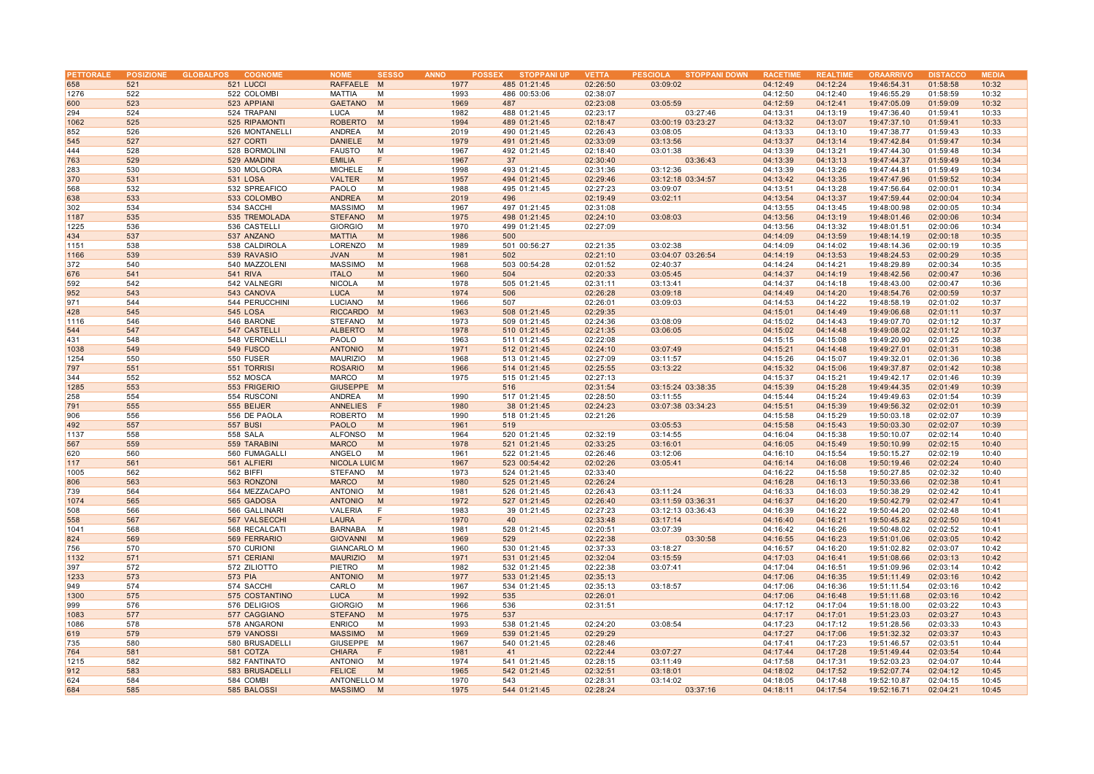| PETTORALE |     | POSIZIONE GLOBALPOS<br><b>COGNOME</b> | <b>NOME</b><br><b>SESSO</b> | <b>ANNO</b> | <b>STOPPANI UP</b><br><b>POSSEX</b> | <b>VETTA</b> | <b>PESCIOLA</b><br><b>STOPPANI DOWN</b> | <b>RACETIME</b> | <b>REALTIME</b> | <b>ORAARRIVO</b> | <b>DISTACCO</b> | <b>MEDIA</b> |
|-----------|-----|---------------------------------------|-----------------------------|-------------|-------------------------------------|--------------|-----------------------------------------|-----------------|-----------------|------------------|-----------------|--------------|
| 658       | 521 | 521 LUCCI                             | RAFFAELE M                  | 1977        | 485 01:21:45                        | 02:26:50     | 03:09:02                                | 04:12:49        | 04:12:24        | 19:46:54.31      | 01:58:58        | 10:32        |
| 1276      | 522 | 522 COLOMBI                           | <b>MATTIA</b><br>M          | 1993        | 486 00:53:06                        | 02:38:07     |                                         | 04:12:50        | 04:12:40        | 19:46:55.29      | 01:58:59        | 10:32        |
| 600       | 523 | 523 APPIANI                           | <b>GAETANO</b><br>M         | 1969        | 487                                 | 02:23:08     | 03:05:59                                | 04:12:59        | 04:12:41        | 19:47:05.09      | 01:59:09        | 10:32        |
|           |     |                                       |                             |             |                                     |              |                                         |                 |                 |                  |                 |              |
| 294       | 524 | 524 TRAPANI                           | <b>LUCA</b><br>M            | 1982        | 488 01:21:45                        | 02:23:17     | 03:27:46                                | 04:13:31        | 04:13:19        | 19:47:36.40      | 01:59:41        | 10:33        |
| 1062      | 525 | 525 RIPAMONTI                         | <b>ROBERTO</b><br>M         | 1994        | 489 01:21:45                        | 02:18:47     | 03:00:19 03:23:27                       | 04:13:32        | 04:13:07        | 19:47:37.10      | 01:59:41        | 10:33        |
| 852       | 526 | 526 MONTANELLI                        | ANDREA<br>M                 | 2019        | 490 01:21:45                        | 02:26:43     | 03:08:05                                | 04:13:33        | 04:13:10        | 19:47:38.77      | 01:59:43        | 10:33        |
| 545       | 527 | 527 CORTI                             | <b>DANIELE</b><br>M         | 1979        | 491 01:21:45                        | 02:33:09     | 03:13:56                                | 04:13:37        | 04:13:14        | 19:47:42.84      | 01:59:47        | 10:34        |
| 444       | 528 | 528 BORMOLINI                         | <b>FAUSTO</b><br>M          | 1967        | 492 01:21:45                        | 02:18:40     | 03:01:38                                | 04:13:39        | 04:13:21        | 19:47:44.30      | 01:59:48        | 10:34        |
| 763       | 529 | 529 AMADINI                           | <b>EMILIA</b><br>F          | 1967        | 37                                  | 02:30:40     | 03:36:43                                | 04:13:39        | 04:13:13        | 19:47:44.37      | 01:59:49        | 10:34        |
| 283       | 530 | 530 MOLGORA                           | <b>MICHELE</b><br>M         | 1998        | 493 01:21:45                        | 02:31:36     | 03:12:36                                | 04:13:39        | 04:13:26        | 19:47:44.81      | 01:59:49        | 10:34        |
| 370       | 531 | <b>531 LOSA</b>                       | <b>VALTER</b><br>M          | 1957        | 494 01:21:45                        | 02:29:46     | 03:12:18 03:34:57                       | 04:13:42        | 04:13:35        | 19:47:47.96      | 01:59:52        | 10:34        |
| 568       | 532 | 532 SPREAFICO                         | PAOLO<br>M                  | 1988        | 495 01:21:45                        | 02:27:23     | 03:09:07                                | 04:13:51        | 04:13:28        | 19:47:56.64      | 02:00:01        | 10:34        |
| 638       | 533 | 533 COLOMBO                           | <b>ANDREA</b><br>M          | 2019        | 496                                 | 02:19:49     | 03:02:11                                | 04:13:54        | 04:13:37        | 19:47:59.44      | 02:00:04        | 10:34        |
| 302       | 534 | 534 SACCHI                            | <b>MASSIMO</b><br>M         | 1967        | 497 01:21:45                        | 02:31:08     |                                         | 04:13:55        | 04:13:45        | 19:48:00.98      | 02:00:05        | 10:34        |
| 1187      | 535 | 535 TREMOLADA                         | <b>STEFANO</b><br>M         | 1975        | 498 01:21:45                        | 02:24:10     | 03:08:03                                | 04:13:56        | 04:13:19        | 19:48:01.46      | 02:00:06        | 10:34        |
|           | 536 |                                       |                             |             |                                     |              |                                         |                 | 04:13:32        | 19:48:01.51      |                 |              |
| 1225      |     | 536 CASTELLI                          | <b>GIORGIO</b><br>M         | 1970        | 499 01:21:45                        | 02:27:09     |                                         | 04:13:56        |                 |                  | 02:00:06        | 10:34        |
| 434       | 537 | 537 ANZANO                            | <b>MATTIA</b><br>M          | 1986        | 500                                 |              |                                         | 04:14:09        | 04:13:59        | 19:48:14.19      | 02:00:18        | 10:35        |
| 1151      | 538 | 538 CALDIROLA                         | LORENZO<br>M                | 1989        | 501 00:56:27                        | 02:21:35     | 03:02:38                                | 04:14:09        | 04:14:02        | 19:48:14.36      | 02:00:19        | 10:35        |
| 1166      | 539 | 539 RAVASIO                           | <b>JVAN</b><br>M            | 1981        | 502                                 | 02:21:10     | 03:04:07 03:26:54                       | 04:14:19        | 04:13:53        | 19:48:24.53      | 02:00:29        | 10:35        |
| 372       | 540 | 540 MAZZOLENI                         | <b>MASSIMO</b><br>M         | 1968        | 503 00:54:28                        | 02:01:52     | 02:40:37                                | 04:14:24        | 04:14:21        | 19:48:29.89      | 02:00:34        | 10:35        |
| 676       | 541 | <b>541 RIVA</b>                       | <b>ITALO</b><br>M           | 1960        | 504                                 | 02:20:33     | 03:05:45                                | 04:14:37        | 04:14:19        | 19:48:42.56      | 02:00:47        | 10:36        |
| 592       | 542 | 542 VALNEGRI                          | <b>NICOLA</b><br>M          | 1978        | 505 01:21:45                        | 02:31:11     | 03:13:41                                | 04:14:37        | 04:14:18        | 19:48:43.00      | 02:00:47        | 10:36        |
| 952       | 543 | 543 CANOVA                            | <b>LUCA</b><br>M            | 1974        | 506                                 | 02:26:28     | 03:09:18                                | 04:14:49        | 04:14:20        | 19:48:54.76      | 02:00:59        | 10:37        |
| 971       | 544 | 544 PERUCCHINI                        | LUCIANO<br>M                | 1966        | 507                                 | 02:26:01     | 03:09:03                                | 04:14:53        | 04:14:22        | 19:48:58.19      | 02:01:02        | 10:37        |
| 428       | 545 | <b>545 LOSA</b>                       | <b>RICCARDO</b><br>M        | 1963        | 508 01:21:45                        | 02:29:35     |                                         | 04:15:01        | 04:14:49        | 19:49:06.68      | 02:01:11        | 10:37        |
| 1116      | 546 | 546 BARONE                            | <b>STEFANO</b><br>M         | 1973        | 509 01:21:45                        | 02:24:36     | 03:08:09                                | 04:15:02        | 04:14:43        | 19:49:07.70      | 02:01:12        | 10:37        |
| 544       | 547 | 547 CASTELLI                          | <b>ALBERTO</b><br>M         | 1978        | 510 01:21:45                        | 02:21:35     | 03:06:05                                | 04:15:02        | 04:14:48        | 19:49:08.02      | 02:01:12        | 10:37        |
| 431       | 548 | 548 VERONELLI                         | PAOLO<br>M                  | 1963        | 511 01:21:45                        | 02:22:08     |                                         | 04:15:15        | 04:15:08        | 19:49:20.90      | 02:01:25        | 10:38        |
|           |     |                                       |                             |             |                                     |              |                                         |                 |                 |                  |                 |              |
| 1038      | 549 | 549 FUSCO                             | <b>ANTONIO</b><br>M         | 1971        | 512 01:21:45                        | 02:24:10     | 03:07:49                                | 04:15:21        | 04:14:48        | 19:49:27.01      | 02:01:31        | 10:38        |
| 1254      | 550 | 550 FUSER                             | <b>MAURIZIO</b><br>M        | 1968        | 513 01:21:45                        | 02:27:09     | 03:11:57                                | 04:15:26        | 04:15:07        | 19:49:32.01      | 02:01:36        | 10:38        |
| 797       | 551 | 551 TORRISI                           | <b>ROSARIO</b><br>M         | 1966        | 514 01:21:45                        | 02:25:55     | 03:13:22                                | 04:15:32        | 04:15:06        | 19:49:37.87      | 02:01:42        | 10:38        |
| 344       | 552 | 552 MOSCA                             | <b>MARCO</b><br>M           | 1975        | 515 01:21:45                        | 02:27:13     |                                         | 04:15:37        | 04:15:21        | 19:49:42.17      | 02:01:46        | 10:39        |
| 1285      | 553 | 553 FRIGERIO                          | GIUSEPPE M                  |             | 516                                 | 02:31:54     | 03:15:24 03:38:35                       | 04:15:39        | 04:15:28        | 19:49:44.35      | 02:01:49        | 10:39        |
| 258       | 554 | 554 RUSCONI                           | ANDREA<br>M                 | 1990        | 517 01:21:45                        | 02:28:50     | 03:11:55                                | 04:15:44        | 04:15:24        | 19:49:49.63      | 02:01:54        | 10:39        |
| 791       | 555 | 555 BEIJER                            | <b>ANNELIES</b><br>- F      | 1980        | 38 01:21:45                         | 02:24:23     | 03:07:38 03:34:23                       | 04:15:51        | 04:15:39        | 19:49:56.32      | 02:02:01        | 10:39        |
| 906       | 556 | 556 DE PAOLA                          | <b>ROBERTO</b><br>M         | 1990        | 518 01:21:45                        | 02:21:26     |                                         | 04:15:58        | 04:15:29        | 19:50:03.18      | 02:02:07        | 10:39        |
| 492       | 557 | <b>557 BUSI</b>                       | <b>PAOLO</b><br>M           | 1961        | 519                                 |              | 03:05:53                                | 04:15:58        | 04:15:43        | 19:50:03.30      | 02:02:07        | 10:39        |
| 1137      | 558 | <b>558 SALA</b>                       | <b>ALFONSO</b><br>M         | 1964        | 520 01:21:45                        | 02:32:19     | 03:14:55                                | 04:16:04        | 04:15:38        | 19:50:10.07      | 02:02:14        | 10:40        |
| 567       | 559 | 559 TARABINI                          | <b>MARCO</b><br>M           | 1978        | 521 01:21:45                        | 02:33:25     | 03:16:01                                | 04:16:05        | 04:15:49        | 19:50:10.99      | 02:02:15        | 10:40        |
| 620       | 560 | 560 FUMAGALLI                         | ANGELO<br>M                 | 1961        | 522 01:21:45                        | 02:26:46     | 03:12:06                                | 04:16:10        | 04:15:54        | 19:50:15.27      | 02:02:19        | 10:40        |
| 117       | 561 | 561 ALFIERI                           | <b>NICOLA LUICM</b>         | 1967        | 523 00:54:42                        | 02:02:26     | 03:05:41                                | 04:16:14        | 04:16:08        | 19:50:19.46      | 02:02:24        | 10:40        |
| 1005      | 562 | 562 BIFFI                             | <b>STEFANO</b><br>M         | 1973        | 524 01:21:45                        | 02:33:40     |                                         | 04:16:22        | 04:15:58        | 19:50:27.85      | 02:02:32        | 10:40        |
| 806       | 563 | 563 RONZONI                           | <b>MARCO</b><br>M           | 1980        | 525 01:21:45                        | 02:26:24     |                                         | 04:16:28        | 04:16:13        | 19:50:33.66      | 02:02:38        | 10:41        |
|           |     |                                       |                             |             |                                     |              |                                         |                 |                 |                  |                 |              |
| 739       | 564 | 564 MEZZACAPO                         | ANTONIO<br>M                | 1981        | 526 01:21:45                        | 02:26:43     | 03:11:24                                | 04:16:33        | 04:16:03        | 19:50:38.29      | 02:02:42        | 10:41        |
| 1074      | 565 | 565 GADOSA                            | <b>ANTONIO</b><br>M         | 1972        | 527 01:21:45                        | 02:26:40     | 03:11:59 03:36:31                       | 04:16:37        | 04:16:20        | 19:50:42.79      | 02:02:47        | 10:41        |
| 508       | 566 | 566 GALLINARI                         | VALERIA<br>F                | 1983        | 39 01:21:45                         | 02:27:23     | 03:12:13 03:36:43                       | 04:16:39        | 04:16:22        | 19:50:44.20      | 02:02:48        | 10:41        |
| 558       | 567 | 567 VALSECCHI                         | <b>LAURA</b><br>F           | 1970        | 40                                  | 02:33:48     | 03:17:14                                | 04:16:40        | 04:16:21        | 19:50:45.82      | 02:02:50        | 10:41        |
| 1041      | 568 | 568 RECALCATI                         | <b>BARNABA</b><br>M         | 1981        | 528 01:21:45                        | 02:20:51     | 03:07:39                                | 04:16:42        | 04:16:26        | 19:50:48.02      | 02:02:52        | 10:41        |
| 824       | 569 | 569 FERRARIO                          | GIOVANNI M                  | 1969        | 529                                 | 02:22:38     | 03:30:58                                | 04:16:55        | 04:16:23        | 19:51:01.06      | 02:03:05        | 10:42        |
| 756       | 570 | 570 CURIONI                           | <b>GIANCARLO M</b>          | 1960        | 530 01:21:45                        | 02:37:33     | 03:18:27                                | 04:16:57        | 04:16:20        | 19:51:02.82      | 02:03:07        | 10:42        |
| 1132      | 571 | 571 CERIANI                           | <b>MAURIZIO</b><br>M        | 1971        | 531 01:21:45                        | 02:32:04     | 03:15:59                                | 04:17:03        | 04:16:41        | 19:51:08.66      | 02:03:13        | 10:42        |
| 397       | 572 | 572 ZILIOTTO                          | PIETRO<br>M                 | 1982        | 532 01:21:45                        | 02:22:38     | 03:07:41                                | 04:17:04        | 04:16:51        | 19:51:09.96      | 02:03:14        | 10:42        |
| 1233      | 573 | 573 PIA                               | <b>ANTONIO</b><br>M         | 1977        | 533 01:21:45                        | 02:35:13     |                                         | 04:17:06        | 04:16:35        | 19:51:11.49      | 02:03:16        | 10:42        |
| 949       | 574 | 574 SACCHI                            | CARLO<br>M                  | 1967        | 534 01:21:45                        | 02:35:13     | 03:18:57                                | 04:17:06        | 04:16:36        | 19:51:11.54      | 02:03:16        | 10:42        |
| 1300      | 575 | 575 COSTANTINO                        | <b>LUCA</b><br>M            | 1992        | 535                                 | 02:26:01     |                                         | 04:17:06        | 04:16:48        | 19:51:11.68      | 02:03:16        | 10:42        |
| 999       | 576 | 576 DELIGIOS                          | <b>GIORGIO</b><br>M         | 1966        | 536                                 | 02:31:51     |                                         | 04:17:12        | 04:17:04        | 19:51:18.00      | 02:03:22        | 10:43        |
|           |     |                                       |                             |             |                                     |              |                                         |                 |                 |                  |                 |              |
| 1083      | 577 | 577 CAGGIANO                          | <b>STEFANO</b><br>M         | 1975        | 537                                 |              |                                         | 04:17:17        | 04:17:01        | 19:51:23.03      | 02:03:27        | 10:43        |
| 1086      | 578 | 578 ANGARONI                          | <b>ENRICO</b><br>M          | 1993        | 538 01:21:45                        | 02:24:20     | 03:08:54                                | 04:17:23        | 04:17:12        | 19:51:28.56      | 02:03:33        | 10:43        |
| 619       | 579 | 579 VANOSSI                           | <b>MASSIMO</b><br>M         | 1969        | 539 01:21:45                        | 02:29:29     |                                         | 04:17:27        | 04:17:06        | 19:51:32.32      | 02:03:37        | 10:43        |
| 735       | 580 | 580 BRUSADELLI                        | GIUSEPPE M                  | 1967        | 540 01:21:45                        | 02:28:46     |                                         | 04:17:41        | 04:17:23        | 19:51:46.57      | 02:03:51        | 10:44        |
| 764       | 581 | 581 COTZA                             | <b>CHIARA</b><br>F          | 1981        | 41                                  | 02:22:44     | 03:07:27                                | 04:17:44        | 04:17:28        | 19:51:49.44      | 02:03:54        | 10:44        |
| 1215      | 582 | 582 FANTINATO                         | <b>ANTONIO</b><br>M         | 1974        | 541 01:21:45                        | 02:28:15     | 03:11:49                                | 04:17:58        | 04:17:31        | 19:52:03.23      | 02:04:07        | 10:44        |
| 912       | 583 | 583 BRUSADELLI                        | <b>FELICE</b><br>M          | 1965        | 542 01:21:45                        | 02:32:51     | 03:18:01                                | 04:18:02        | 04:17:52        | 19:52:07.74      | 02:04:12        | 10:45        |
| 624       | 584 | 584 COMBI                             | <b>ANTONELLO M</b>          | 1970        | 543                                 | 02:28:31     | 03:14:02                                | 04:18:05        | 04:17:48        | 19:52:10.87      | 02:04:15        | 10:45        |
| 684       | 585 | 585 BALOSSI                           | <b>MASSIMO</b><br>M         | 1975        | 544 01:21:45                        | 02:28:24     | 03:37:16                                | 04:18:11        | 04:17:54        | 19:52:16.71      | 02:04:21        | 10:45        |
|           |     |                                       |                             |             |                                     |              |                                         |                 |                 |                  |                 |              |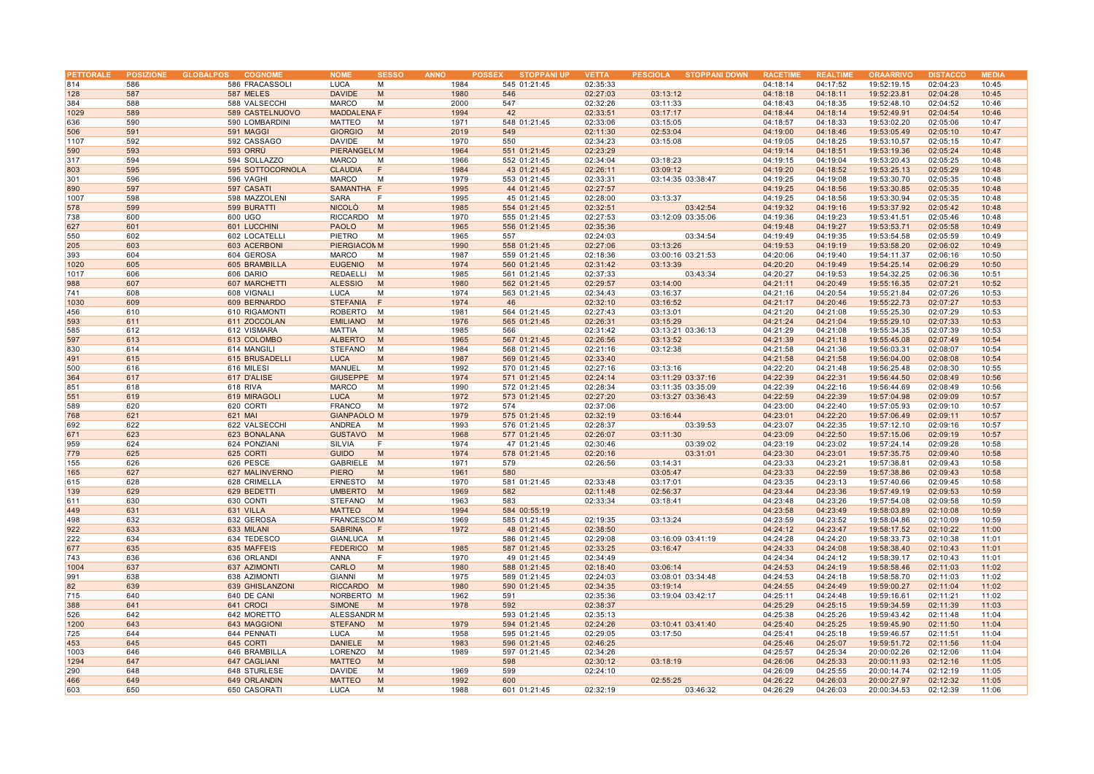| PETTORALE |     | POSIZIONE GLOBALPOS<br><b>COGNOM</b> | <b>NOME</b>        | <b>SESSO</b> | <b>ANNO</b> | <b>STOPPANI UP</b><br><b>POSSEX</b> | <b>VETTA</b> | PESCIOLA STOPPANI DOWN | <b>RACETIME</b> | <b>REALTIM</b> | <b>ORAARRIVO</b> | <b>DISTACCO</b> | ME DI 4 |
|-----------|-----|--------------------------------------|--------------------|--------------|-------------|-------------------------------------|--------------|------------------------|-----------------|----------------|------------------|-----------------|---------|
| 814       | 586 | 586 FRACASSOLI                       | <b>LUCA</b>        | M            | 1984        | 545 01:21:45                        | 02:35:33     |                        | 04:18:14        | 04:17:52       | 19:52:19.15      | 02:04:23        | 10:45   |
| 128       | 587 | 587 MELES                            | <b>DAVIDE</b>      | M            | 1980        | 546                                 | 02:27:03     | 03:13:12               | 04:18:18        | 04:18:11       | 19:52:23.81      | 02:04:28        | 10:45   |
| 384       | 588 | 588 VALSECCHI                        | <b>MARCO</b>       | M            | 2000        | 547                                 | 02:32:26     | 03:11:33               | 04:18:43        | 04:18:35       | 19:52:48.10      | 02:04:52        | 10:46   |
| 1029      | 589 | 589 CASTELNUOVO                      | <b>MADDALENA F</b> |              | 1994        | 42                                  | 02:33:51     | 03:17:17               | 04:18:44        | 04:18:14       | 19:52:49.91      | 02:04:54        | 10:46   |
|           |     |                                      |                    |              |             |                                     |              |                        |                 |                |                  |                 |         |
| 636       | 590 | 590 LOMBARDINI                       | MATTEO             | M            | 1971        | 548 01:21:45                        | 02:33:06     | 03:15:05               | 04:18:57        | 04:18:33       | 19:53:02.20      | 02:05:06        | 10:47   |
| 506       | 591 | 591 MAGGI                            | <b>GIORGIO</b>     | M            | 2019        | 549                                 | 02:11:30     | 02:53:04               | 04:19:00        | 04:18:46       | 19:53:05.49      | 02:05:10        | 10:47   |
| 1107      | 592 | 592 CASSAGO                          | <b>DAVIDE</b>      | M            | 1970        | 550                                 | 02:34:23     | 03:15:08               | 04:19:05        | 04:18:25       | 19:53:10.57      | 02:05:15        | 10:47   |
| 590       | 593 | 593 ORRÙ                             | <b>PIERANGEL(M</b> |              | 1964        | 551 01:21:45                        | 02:23:29     |                        | 04:19:14        | 04:18:51       | 19:53:19.36      | 02:05:24        | 10:48   |
| 317       | 594 | 594 SOLLAZZO                         | <b>MARCO</b>       | M            | 1966        | 552 01:21:45                        | 02:34:04     | 03:18:23               | 04:19:15        | 04:19:04       | 19:53:20.43      | 02:05:25        | 10:48   |
| 803       | 595 | 595 SOTTOCORNOLA                     | <b>CLAUDIA</b>     | F            | 1984        | 43 01:21:45                         | 02:26:11     | 03:09:12               | 04:19:20        | 04:18:52       | 19:53:25.13      | 02:05:29        | 10:48   |
| 301       | 596 | 596 VAGHI                            | <b>MARCO</b>       | M            | 1979        | 553 01:21:45                        | 02:33:31     | 03:14:35 03:38:47      | 04:19:25        | 04:19:08       | 19:53:30.70      | 02:05:35        | 10:48   |
| 890       | 597 | 597 CASATI                           | SAMANTHA F         |              | 1995        | 44 01:21:45                         | 02:27:57     |                        | 04:19:25        | 04:18:56       | 19:53:30.85      | 02:05:35        | 10:48   |
| 1007      | 598 | 598 MAZZOLENI                        | <b>SARA</b>        | F            | 1995        | 45 01:21:45                         | 02:28:00     | 03:13:37               | 04:19:25        | 04:18:56       | 19:53:30.94      | 02:05:35        | 10:48   |
| 578       | 599 | 599 BURATTI                          | <b>NICOLO</b>      | M            | 1985        | 554 01:21:45                        | 02:32:51     | 03:42:54               | 04:19:32        | 04:19:16       | 19:53:37.92      | 02:05:42        | 10:48   |
| 738       | 600 | 600 UGO                              | RICCARDO           | M            | 1970        | 555 01:21:45                        | 02:27:53     | 03:12:09 03:35:06      | 04:19:36        | 04:19:23       | 19:53:41.51      | 02:05:46        | 10:48   |
| 627       | 601 | 601 LUCCHINI                         | <b>PAOLO</b>       | M            | 1965        | 556 01:21:45                        | 02:35:36     |                        | 04:19:48        | 04:19:27       | 19:53:53.71      | 02:05:58        | 10:49   |
|           |     |                                      |                    | M            |             | 557                                 |              | 03:34:54               |                 |                |                  |                 |         |
| 550       | 602 | 602 LOCATELLI                        | PIETRO             |              | 1965        |                                     | 02:24:03     |                        | 04:19:49        | 04:19:35       | 19:53:54.58      | 02:05:59        | 10:49   |
| 205       | 603 | 603 ACERBONI                         | PIERGIACOMM        |              | 1990        | 558 01:21:45                        | 02:27:06     | 03:13:26               | 04:19:53        | 04:19:19       | 19:53:58.20      | 02:06:02        | 10:49   |
| 393       | 604 | 604 GEROSA                           | <b>MARCO</b>       | M            | 1987        | 559 01:21:45                        | 02:18:36     | 03:00:16 03:21:53      | 04:20:06        | 04:19:40       | 19:54:11.37      | 02:06:16        | 10:50   |
| 1020      | 605 | 605 BRAMBILLA                        | <b>EUGENIO</b>     | M            | 1974        | 560 01:21:45                        | 02:31:42     | 03:13:39               | 04:20:20        | 04:19:49       | 19:54:25.14      | 02:06:29        | 10:50   |
| 1017      | 606 | 606 DARIO                            | REDAELLI           | M            | 1985        | 561 01:21:45                        | 02:37:33     | 03:43:34               | 04:20:27        | 04:19:53       | 19:54:32.25      | 02:06:36        | 10:51   |
| 988       | 607 | 607 MARCHETTI                        | <b>ALESSIO</b>     | M            | 1980        | 562 01:21:45                        | 02:29:57     | 03:14:00               | 04:21:11        | 04:20:49       | 19:55:16.35      | 02:07:21        | 10:52   |
| 741       | 608 | 608 VIGNALI                          | <b>LUCA</b>        | M            | 1974        | 563 01:21:45                        | 02:34:43     | 03:16:37               | 04:21:16        | 04:20:54       | 19:55:21.84      | 02:07:26        | 10:53   |
| 1030      | 609 | 609 BERNARDO                         | <b>STEFANIA</b>    | F            | 1974        | 46                                  | 02:32:10     | 03:16:52               | 04:21:17        | 04:20:46       | 19:55:22.73      | 02:07:27        | 10:53   |
| 456       | 610 | 610 RIGAMONTI                        | <b>ROBERTO</b>     | M            | 1981        | 564 01:21:45                        | 02:27:43     | 03:13:01               | 04:21:20        | 04:21:08       | 19:55:25.30      | 02:07:29        | 10:53   |
| 593       | 611 | 611 ZOCCOLAN                         | <b>EMILIANO</b>    | M            | 1976        | 565 01:21:45                        | 02:26:31     | 03:15:29               | 04:21:24        | 04:21:04       | 19:55:29.10      | 02:07:33        | 10:53   |
| 585       | 612 | 612 VISMARA                          | MATTIA             | M            | 1985        | 566                                 | 02:31:42     | 03:13:21 03:36:13      | 04:21:29        | 04:21:08       | 19:55:34.35      | 02:07:39        | 10:53   |
| 597       | 613 | 613 COLOMBO                          | <b>ALBERTO</b>     | M            | 1965        | 567 01:21:45                        | 02:26:56     | 03:13:52               | 04:21:39        | 04:21:18       | 19:55:45.08      | 02:07:49        | 10:54   |
| 830       | 614 | 614 MANGILI                          | STEFANO            | M            | 1984        | 568 01:21:45                        | 02:21:16     | 03:12:38               | 04:21:58        | 04:21:36       | 19:56:03.31      | 02:08:07        | 10:54   |
| 491       | 615 | 615 BRUSADELLI                       | <b>LUCA</b>        | M            | 1987        | 569 01:21:45                        | 02:33:40     |                        | 04:21:58        | 04:21:58       | 19:56:04.00      | 02:08:08        | 10:54   |
| 500       | 616 | 616 MILESI                           | MANUEL             | M            | 1992        | 570 01:21:45                        | 02:27:16     | 03:13:16               | 04:22:20        | 04:21:48       | 19:56:25.48      | 02:08:30        | 10:55   |
| 364       | 617 |                                      | <b>GIUSEPPE</b>    | M            | 1974        | 571 01:21:45                        | 02:24:14     | 03:11:29 03:37:16      | 04:22:39        | 04:22:31       | 19:56:44.50      | 02:08:49        | 10:56   |
|           |     | 617 D'ALISE                          |                    |              |             |                                     |              |                        |                 |                |                  |                 |         |
| 851       | 618 | 618 RIVA                             | <b>MARCO</b>       | M            | 1990        | 572 01:21:45                        | 02:28:34     | 03:11:35 03:35:09      | 04:22:39        | 04:22:16       | 19:56:44.69      | 02:08:49        | 10:56   |
| 551       | 619 | 619 MIRAGOLI                         | <b>LUCA</b>        | M            | 1972        | 573 01:21:45                        | 02:27:20     | 03:13:27 03:36:43      | 04:22:59        | 04:22:39       | 19:57:04.98      | 02:09:09        | 10:57   |
| 589       | 620 | 620 CORTI                            | <b>FRANCO</b>      | M            | 1972        | 574                                 | 02:37:06     |                        | 04:23:00        | 04:22:40       | 19:57:05.93      | 02:09:10        | 10:57   |
| 768       | 621 | 621 MAI                              | <b>GIANPAOLO M</b> |              | 1979        | 575 01:21:45                        | 02:32:19     | 03:16:44               | 04:23:01        | 04:22:20       | 19:57:06.49      | 02:09:11        | 10:57   |
| 692       | 622 | 622 VALSECCHI                        | ANDREA             | M            | 1993        | 576 01:21:45                        | 02:28:37     | 03:39:53               | 04:23:07        | 04:22:35       | 19:57:12.10      | 02:09:16        | 10:57   |
| 671       | 623 | 623 BONALANA                         | <b>GUSTAVO</b>     | M            | 1968        | 577 01:21:45                        | 02:26:07     | 03:11:30               | 04:23:09        | 04:22:50       | 19:57:15.06      | 02:09:19        | 10:57   |
| 959       | 624 | 624 PONZIANI                         | SILVIA             | F            | 1974        | 47 01:21:45                         | 02:30:46     | 03:39:02               | 04:23:19        | 04:23:02       | 19:57:24.14      | 02:09:28        | 10:58   |
| 779       | 625 | 625 CORTI                            | <b>GUIDO</b>       | M            | 1974        | 578 01:21:45                        | 02:20:16     | 03:31:01               | 04:23:30        | 04:23:01       | 19:57:35.75      | 02:09:40        | 10:58   |
| 155       | 626 | 626 PESCE                            | GABRIELE           | M            | 1971        | 579                                 | 02:26:56     | 03:14:31               | 04:23:33        | 04:23:21       | 19:57:38.81      | 02:09:43        | 10:58   |
| 165       | 627 | 627 MALINVERNO                       | <b>PIERO</b>       | M            | 1961        | 580                                 |              | 03:05:47               | 04:23:33        | 04:22:59       | 19:57:38.86      | 02:09:43        | 10:58   |
| 615       | 628 | 628 CRIMELLA                         | <b>ERNESTO</b>     | M            | 1970        | 581 01:21:45                        | 02:33:48     | 03:17:01               | 04:23:35        | 04:23:13       | 19:57:40.66      | 02:09:45        | 10:58   |
| 139       | 629 | 629 BEDETTI                          | <b>UMBERTO</b>     | M            | 1969        | 582                                 | 02:11:48     | 02:56:37               | 04:23:44        | 04:23:36       | 19:57:49.19      | 02:09:53        | 10:59   |
| 611       | 630 | 630 CONTI                            | STEFANO            | M            | 1963        | 583                                 | 02:33:34     | 03:18:41               | 04:23:48        | 04:23:26       | 19:57:54.08      | 02:09:58        | 10:59   |
| 449       | 631 | 631 VILLA                            | <b>MATTEO</b>      | M            | 1994        | 584 00:55:19                        |              |                        | 04:23:58        | 04:23:49       | 19:58:03.89      | 02:10:08        | 10:59   |
|           |     |                                      |                    |              |             |                                     |              |                        |                 |                |                  |                 |         |
| 498       | 632 | 632 GEROSA                           | <b>FRANCESCOM</b>  |              | 1969        | 585 01:21:45                        | 02:19:35     | 03:13:24               | 04:23:59        | 04:23:52       | 19:58:04.86      | 02:10:09        | 10:59   |
| 922       | 633 | 633 MILANI                           | <b>SABRINA</b>     | F            | 1972        | 48 01:21:45                         | 02:38:50     |                        | 04:24:12        | 04:23:47       | 19:58:17.52      | 02:10:22        | 11:00   |
| 222       | 634 | 634 TEDESCO                          | GIANLUCA           | M            |             | 586 01:21:45                        | 02:29:08     | 03:16:09 03:41:19      | 04:24:28        | 04:24:20       | 19:58:33.73      | 02:10:38        | 11:01   |
| 677       | 635 | 635 MAFFEIS                          | <b>FEDERICO</b>    | M            | 1985        | 587 01:21:45                        | 02:33:25     | 03:16:47               | 04:24:33        | 04:24:08       | 19:58:38.40      | 02:10:43        | 11:01   |
| 743       | 636 | 636 ORLANDI                          | ANNA               | F            | 1970        | 49 01:21:45                         | 02:34:49     |                        | 04:24:34        | 04:24:12       | 19:58:39.17      | 02:10:43        | 11:01   |
| 1004      | 637 | 637 AZIMONTI                         | CARLO              | M            | 1980        | 588 01:21:45                        | 02:18:40     | 03:06:14               | 04:24:53        | 04:24:19       | 19:58:58.46      | 02:11:03        | 11:02   |
| 991       | 638 | 638 AZIMONTI                         | <b>GIANNI</b>      | M            | 1975        | 589 01:21:45                        | 02:24:03     | 03:08:01 03:34:48      | 04:24:53        | 04:24:18       | 19:58:58.70      | 02:11:03        | 11:02   |
| 82        | 639 | 639 GHISLANZONI                      | <b>RICCARDO</b>    | M            | 1980        | 590 01:21:45                        | 02:34:35     | 03:19:14               | 04:24:55        | 04:24:49       | 19:59:00.27      | 02:11:04        | 11:02   |
| 715       | 640 | 640 DE CANI                          | NORBERTO M         |              | 1962        | 591                                 | 02:35:36     | 03:19:04 03:42:17      | 04:25:11        | 04:24:48       | 19:59:16.61      | 02:11:21        | 11:02   |
| 388       | 641 | 641 CROCI                            | SIMONE             | M            | 1978        | 592                                 | 02:38:37     |                        | 04:25:29        | 04:25:15       | 19:59:34.59      | 02:11:39        | 11:03   |
| 526       | 642 | 642 MORETTO                          | ALESSANDR M        |              |             | 593 01:21:45                        | 02:35:13     |                        | 04:25:38        | 04:25:26       | 19:59:43.42      | 02:11:48        | 11:04   |
| 1200      | 643 | 643 MAGGIONI                         | <b>STEFANO</b>     | M            | 1979        | 594 01:21:45                        | 02:24:26     | 03:10:41 03:41:40      | 04:25:40        | 04:25:25       | 19:59:45.90      | 02:11:50        | 11:04   |
| 725       | 644 | 644 PENNATI                          | <b>LUCA</b>        | M            | 1958        | 595 01:21:45                        | 02:29:05     | 03:17:50               | 04:25:41        | 04:25:18       | 19:59:46.57      | 02:11:51        | 11:04   |
| 453       | 645 | 645 CORTI                            | <b>DANIELE</b>     | M            | 1983        | 596 01:21:45                        | 02:46:25     |                        | 04:25:46        | 04:25:07       | 19:59:51.72      | 02:11:56        | 11:04   |
| 1003      |     | 646 BRAMBILLA                        | LORENZO            | M            |             |                                     | 02:34:26     |                        |                 | 04:25:34       |                  |                 | 11:04   |
|           | 646 |                                      |                    |              | 1989        | 597 01:21:45                        |              |                        | 04:25:57        |                | 20:00:02.26      | 02:12:06        |         |
| 1294      | 647 | 647 CAGLIANI                         | <b>MATTEO</b>      | M            |             | 598                                 | 02:30:12     | 03:18:19               | 04:26:06        | 04:25:33       | 20:00:11.93      | 02:12:16        | 11:05   |
| 290       | 648 | 648 STURLESE                         | <b>DAVIDE</b>      | M            | 1969        | 599                                 | 02:24:10     |                        | 04:26:09        | 04:25:55       | 20:00:14.74      | 02:12:19        | 11:05   |
| 466       | 649 | 649 ORLANDIN                         | <b>MATTEO</b>      | M            | 1992        | 600                                 |              | 02:55:25               | 04:26:22        | 04:26:03       | 20:00:27.97      | 02:12:32        | 11:05   |
| 603       | 650 | 650 CASORATI                         | <b>LUCA</b>        | M            | 1988        | 601 01:21:45                        | 02:32:19     | 03:46:32               | 04:26:29        | 04:26:03       | 20:00:34.53      | 02:12:39        | 11:06   |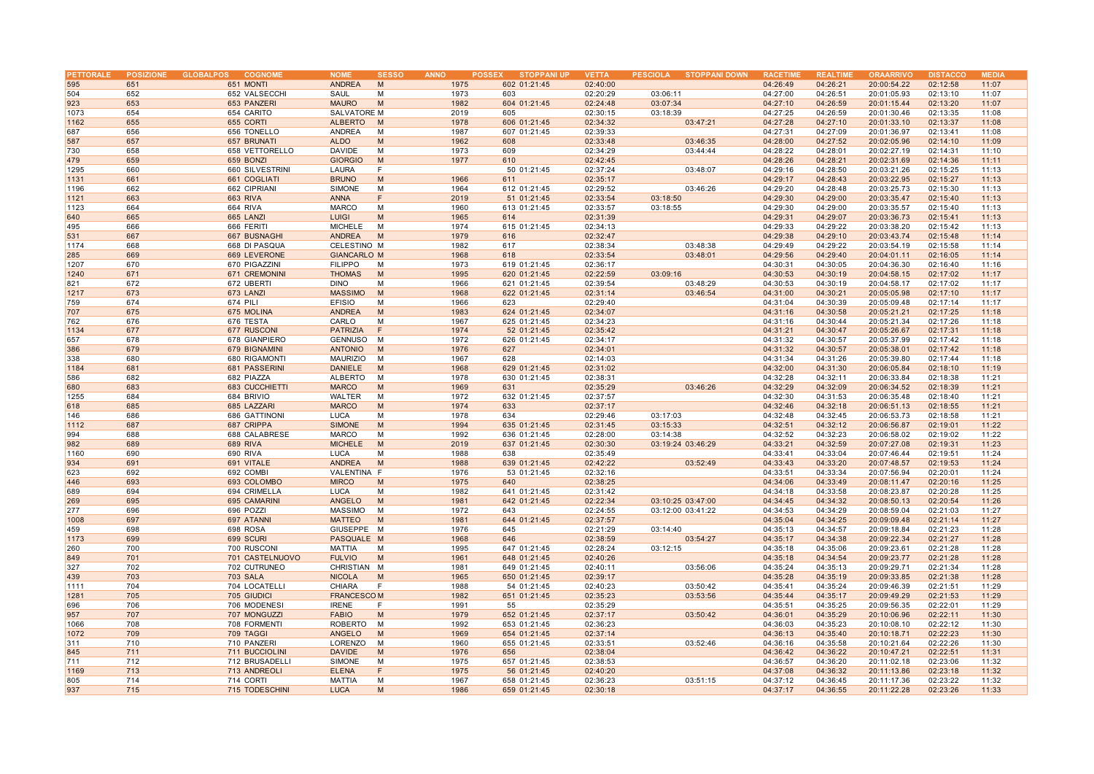| PETTORALE | <b>POSIZIONE</b> | <b>GLOBALPOS</b><br><b>COGNOME</b> | <b>NOME</b>        | <b>SESSO</b> | <b>ANNO</b><br><b>POSSEX</b> | <b>STOPPANI UP</b> | <b>VETTA</b> | PESCIOLA STOPPANI DOWN | <b>RACETIME</b> | <b>REALTIME</b> | <b>ORAARRIVO</b> | <b>DISTACCO</b> | <b>MEDIA</b> |
|-----------|------------------|------------------------------------|--------------------|--------------|------------------------------|--------------------|--------------|------------------------|-----------------|-----------------|------------------|-----------------|--------------|
| 595       | 651              | 651 MONTI                          | <b>ANDREA</b>      | M            | 1975                         | 602 01:21:45       | 02:40:00     |                        | 04:26:49        | 04:26:21        | 20:00:54.22      | 02:12:58        | 11:07        |
| 504       | 652              | 652 VALSECCHI                      | SAUL               | M            | 1973                         | 603                | 02:20:29     | 03:06:11               | 04:27:00        | 04:26:51        | 20:01:05.93      | 02:13:10        | 11:07        |
| 923       | 653              | 653 PANZERI                        | <b>MAURO</b>       | M            | 1982                         | 604 01:21:45       | 02:24:48     | 03:07:34               | 04:27:10        | 04:26:59        | 20:01:15.44      | 02:13:20        | 11:07        |
| 1073      | 654              | 654 CARITO                         | SALVATORE M        |              | 2019                         | 605                | 02:30:15     | 03:18:39               | 04:27:25        | 04:26:59        | 20:01:30.46      | 02:13:35        | 11:08        |
| 1162      | 655              | 655 CORTI                          | <b>ALBERTO</b>     | M            | 1978                         | 606 01:21:45       | 02:34:32     | 03:47:21               | 04:27:28        | 04:27:10        | 20:01:33.10      | 02:13:37        | 11:08        |
| 687       | 656              |                                    | ANDREA             | M            | 1987                         | 607 01:21:45       | 02:39:33     |                        | 04:27:31        | 04:27:09        | 20:01:36.97      | 02:13:41        | 11:08        |
|           |                  | 656 TONELLO                        |                    |              |                              |                    |              |                        |                 |                 |                  |                 |              |
| 587       | 657              | 657 BRUNATI                        | <b>ALDO</b>        | M            | 1962                         | 608                | 02:33:48     | 03:46:35               | 04:28:00        | 04:27:52        | 20:02:05.96      | 02:14:10        | 11:09        |
| 730       | 658              | 658 VETTORELLO                     | <b>DAVIDE</b>      | M            | 1973                         | 609                | 02:34:29     | 03:44:44               | 04:28:22        | 04:28:01        | 20:02:27.19      | 02:14:31        | 11:10        |
| 479       | 659              | 659 BONZI                          | <b>GIORGIO</b>     | M            | 1977                         | 610                | 02:42:45     |                        | 04:28:26        | 04:28:21        | 20:02:31.69      | 02:14:36        | 11:11        |
| 1295      | 660              | 660 SILVESTRINI                    | <b>LAURA</b>       | F            |                              | 50 01:21:45        | 02:37:24     | 03:48:07               | 04:29:16        | 04:28:50        | 20:03:21.26      | 02:15:25        | 11:13        |
| 1131      | 661              | 661 COGLIATI                       | <b>BRUNO</b>       | M            | 1966                         | 611                | 02:35:17     |                        | 04:29:17        | 04:28:43        | 20:03:22.95      | 02:15:27        | 11:13        |
| 1196      | 662              | 662 CIPRIANI                       | <b>SIMONE</b>      | M            | 1964                         | 612 01:21:45       | 02:29:52     | 03:46:26               | 04:29:20        | 04:28:48        | 20:03:25.73      | 02:15:30        | 11:13        |
| 1121      | 663              | <b>663 RIVA</b>                    | <b>ANNA</b>        | F            | 2019                         | 51 01:21:45        | 02:33:54     | 03:18:50               | 04:29:30        | 04:29:00        | 20:03:35.47      | 02:15:40        | 11:13        |
| 1123      | 664              | 664 RIVA                           | <b>MARCO</b>       | M            | 1960                         | 613 01:21:45       | 02:33:57     | 03:18:55               | 04:29:30        | 04:29:00        | 20:03:35.57      | 02:15:40        | 11:13        |
| 640       | 665              |                                    | <b>LUIGI</b>       | M            | 1965                         | 614                | 02:31:39     |                        | 04:29:31        | 04:29:07        |                  | 02:15:41        | 11:13        |
|           |                  | 665 LANZI                          |                    |              |                              |                    |              |                        |                 |                 | 20:03:36.73      |                 |              |
| 495       | 666              | 666 FERITI                         | <b>MICHELE</b>     | M            | 1974                         | 615 01:21:45       | 02:34:13     |                        | 04:29:33        | 04:29:22        | 20:03:38.20      | 02:15:42        | 11:13        |
| 531       | 667              | 667 BUSNAGHI                       | <b>ANDREA</b>      | M            | 1979                         | 616                | 02:32:47     |                        | 04:29:38        | 04:29:10        | 20:03:43.74      | 02:15:48        | 11:14        |
| 1174      | 668              | 668 DI PASQUA                      | CELESTINO M        |              | 1982                         | 617                | 02:38:34     | 03:48:38               | 04:29:49        | 04:29:22        | 20:03:54.19      | 02:15:58        | 11:14        |
| 285       | 669              | 669 LEVERONE                       | <b>GIANCARLO M</b> |              | 1968                         | 618                | 02:33:54     | 03:48:01               | 04:29:56        | 04:29:40        | 20:04:01.11      | 02:16:05        | 11:14        |
| 1207      | 670              | 670 PIGAZZINI                      | <b>FILIPPO</b>     | M            | 1973                         | 619 01:21:45       | 02:36:17     |                        | 04:30:31        | 04:30:05        | 20:04:36.30      | 02:16:40        | 11:16        |
| 1240      | 671              | 671 CREMONINI                      | <b>THOMAS</b>      | M            | 1995                         | 620 01:21:45       | 02:22:59     | 03:09:16               | 04:30:53        | 04:30:19        | 20:04:58.15      | 02:17:02        | 11:17        |
| 821       | 672              | 672 UBERTI                         | <b>DINO</b>        | M            | 1966                         | 621 01:21:45       | 02:39:54     | 03:48:29               | 04:30:53        | 04:30:19        | 20:04:58.17      | 02:17:02        | 11:17        |
| 1217      | 673              | 673 LANZI                          | <b>MASSIMO</b>     | M            | 1968                         | 622 01:21:45       | 02:31:14     | 03:46:54               | 04:31:00        | 04:30:21        | 20:05:05.98      | 02:17:10        | 11:17        |
| 759       | 674              |                                    | <b>EFISIO</b>      | M            | 1966                         |                    | 02:29:40     |                        |                 | 04:30:39        |                  |                 | 11:17        |
|           |                  | 674 PILI                           |                    |              |                              | 623                |              |                        | 04:31:04        |                 | 20:05:09.48      | 02:17:14        |              |
| 707       | 675              | 675 MOLINA                         | <b>ANDREA</b>      | M            | 1983                         | 624 01:21:45       | 02:34:07     |                        | 04:31:16        | 04:30:58        | 20:05:21.21      | 02:17:25        | 11:18        |
| 762       | 676              | 676 TESTA                          | CARLO              | M            | 1967                         | 625 01:21:45       | 02:34:23     |                        | 04:31:16        | 04:30:44        | 20:05:21.34      | 02:17:26        | 11:18        |
| 1134      | 677              | 677 RUSCONI                        | <b>PATRIZIA</b>    | F            | 1974                         | 52 01:21:45        | 02:35:42     |                        | 04:31:21        | 04:30:47        | 20:05:26.67      | 02:17:31        | 11:18        |
| 657       | 678              | 678 GIANPIERO                      | <b>GENNUSO</b>     | M            | 1972                         | 626 01:21:45       | 02:34:17     |                        | 04:31:32        | 04:30:57        | 20:05:37.99      | 02:17:42        | 11:18        |
| 386       | 679              | 679 BIGNAMINI                      | <b>ANTONIO</b>     | M            | 1976                         | 627                | 02:34:01     |                        | 04:31:32        | 04:30:57        | 20:05:38.01      | 02:17:42        | 11:18        |
| 338       | 680              | 680 RIGAMONTI                      | <b>MAURIZIO</b>    | M            | 1967                         | 628                | 02:14:03     |                        | 04:31:34        | 04:31:26        | 20:05:39.80      | 02:17:44        | 11:18        |
| 1184      | 681              | 681 PASSERINI                      | <b>DANIELE</b>     | M            | 1968                         | 629 01:21:45       | 02:31:02     |                        | 04:32:00        | 04:31:30        | 20:06:05.84      | 02:18:10        | 11:19        |
| 586       | 682              | 682 PIAZZA                         | <b>ALBERTO</b>     | M            | 1978                         | 630 01:21:45       | 02:38:31     |                        | 04:32:28        | 04:32:11        | 20:06:33.84      | 02:18:38        | 11:21        |
| 680       | 683              | 683 CUCCHIETTI                     | <b>MARCO</b>       | M            | 1969                         | 631                | 02:35:29     | 03:46:26               | 04:32:29        | 04:32:09        | 20:06:34.52      | 02:18:39        | 11:21        |
| 1255      | 684              | 684 BRIVIO                         | WALTER             | M            | 1972                         |                    | 02:37:57     |                        | 04:32:30        | 04:31:53        | 20:06:35.48      | 02:18:40        | 11:21        |
|           |                  |                                    |                    |              |                              | 632 01:21:45       |              |                        |                 |                 |                  |                 |              |
| 618       | 685              | 685 LAZZARI                        | <b>MARCO</b>       | M            | 1974                         | 633                | 02:37:17     |                        | 04:32:46        | 04:32:18        | 20:06:51.13      | 02:18:55        | 11:21        |
| 146       | 686              | 686 GATTINONI                      | <b>LUCA</b>        | М            | 1978                         | 634                | 02:29:46     | 03:17:03               | 04:32:48        | 04:32:45        | 20:06:53.73      | 02:18:58        | 11:21        |
| 1112      | 687              | 687 CRIPPA                         | <b>SIMONE</b>      | M            | 1994                         | 635 01:21:45       | 02:31:45     | 03:15:33               | 04:32:51        | 04:32:12        | 20:06:56.87      | 02:19:01        | 11:22        |
| 994       | 688              | 688 CALABRESE                      | <b>MARCO</b>       | M            | 1992                         | 636 01:21:45       | 02:28:00     | 03:14:38               | 04:32:52        | 04:32:23        | 20:06:58.02      | 02:19:02        | 11:22        |
| 982       | 689              | <b>689 RIVA</b>                    | <b>MICHELE</b>     | M            | 2019                         | 637 01:21:45       | 02:30:30     | 03:19:24 03:46:29      | 04:33:21        | 04:32:59        | 20:07:27.08      | 02:19:31        | 11:23        |
| 1160      | 690              | 690 RIVA                           | LUCA               | M            | 1988                         | 638                | 02:35:49     |                        | 04:33:41        | 04:33:04        | 20:07:46.44      | 02:19:51        | 11:24        |
| 934       | 691              | 691 VITALE                         | <b>ANDREA</b>      | M            | 1988                         | 639 01:21:45       | 02:42:22     | 03:52:49               | 04:33:43        | 04:33:20        | 20:07:48.57      | 02:19:53        | 11:24        |
| 623       | 692              | 692 COMBI                          | VALENTINA F        |              | 1976                         | 53 01:21:45        | 02:32:16     |                        | 04:33:51        | 04:33:34        | 20:07:56.94      | 02:20:01        | 11:24        |
| 446       | 693              | 693 COLOMBO                        | <b>MIRCO</b>       | M            | 1975                         | 640                | 02:38:25     |                        | 04:34:06        | 04:33:49        | 20:08:11.47      | 02:20:16        | 11:25        |
|           |                  |                                    |                    | M            |                              |                    |              |                        |                 |                 |                  |                 |              |
| 689       | 694              | 694 CRIMELLA                       | <b>LUCA</b>        |              | 1982                         | 641 01:21:45       | 02:31:42     |                        | 04:34:18        | 04:33:58        | 20:08:23.87      | 02:20:28        | 11:25        |
| 269       | 695              | 695 CAMARINI                       | <b>ANGELO</b>      | M            | 1981                         | 642 01:21:45       | 02:22:34     | 03:10:25 03:47:00      | 04:34:45        | 04:34:32        | 20:08:50.13      | 02:20:54        | 11:26        |
| 277       | 696              | 696 POZZI                          | <b>MASSIMO</b>     | M            | 1972                         | 643                | 02:24:55     | 03:12:00 03:41:22      | 04:34:53        | 04:34:29        | 20:08:59.04      | 02:21:03        | 11:27        |
| 1008      | 697              | 697 ATANNI                         | <b>MATTEO</b>      | M            | 1981                         | 644 01:21:45       | 02:37:57     |                        | 04:35:04        | 04:34:25        | 20:09:09.48      | 02:21:14        | 11:27        |
| 459       | 698              | 698 ROSA                           | GIUSEPPE           | M            | 1976                         | 645                | 02:21:29     | 03:14:40               | 04:35:13        | 04:34:57        | 20:09:18.84      | 02:21:23        | 11:28        |
| 1173      | 699              | 699 SCURI                          | PASQUALE M         |              | 1968                         | 646                | 02:38:59     | 03:54:27               | 04:35:17        | 04:34:38        | 20:09:22.34      | 02:21:27        | 11:28        |
| 260       | 700              | 700 RUSCONI                        | <b>MATTIA</b>      | M            | 1995                         | 647 01:21:45       | 02:28:24     | 03:12:15               | 04:35:18        | 04:35:06        | 20:09:23.61      | 02:21:28        | 11:28        |
| 849       | 701              | 701 CASTELNUOVO                    | <b>FULVIO</b>      | M            | 1961                         | 648 01:21:45       | 02:40:26     |                        | 04:35:18        | 04:34:54        | 20:09:23.77      | 02:21:28        | 11:28        |
| 327       | 702              | 702 CUTRUNEO                       | CHRISTIAN M        |              | 1981                         | 649 01:21:45       | 02:40:11     | 03:56:06               | 04:35:24        | 04:35:13        | 20:09:29.71      | 02:21:34        | 11:28        |
|           |                  |                                    |                    |              |                              |                    |              |                        |                 |                 |                  |                 |              |
| 439       | 703              | <b>703 SALA</b>                    | <b>NICOLA</b>      | M            | 1965                         | 650 01:21:45       | 02:39:17     |                        | 04:35:28        | 04:35:19        | 20:09:33.85      | 02:21:38        | 11:28        |
| 1111      | 704              | 704 LOCATELLI                      | <b>CHIARA</b>      | F            | 1988                         | 54 01:21:45        | 02:40:23     | 03:50:42               | 04:35:41        | 04:35:24        | 20:09:46.39      | 02:21:51        | 11:29        |
| 1281      | 705              | 705 GIUDICI                        | <b>FRANCESCOM</b>  |              | 1982                         | 651 01:21:45       | 02:35:23     | 03:53:56               | 04:35:44        | 04:35:17        | 20:09:49.29      | 02:21:53        | 11:29        |
| 696       | 706              | 706 MODENESI                       | <b>IRENE</b>       | F            | 1991                         | 55                 | 02:35:29     |                        | 04:35:51        | 04:35:25        | 20:09:56.35      | 02:22:01        | 11:29        |
| 957       | 707              | 707 MONGUZZI                       | <b>FABIO</b>       | M            | 1979                         | 652 01:21:45       | 02:37:17     | 03:50:42               | 04:36:01        | 04:35:29        | 20:10:06.96      | 02:22:11        | 11:30        |
| 1066      | 708              | 708 FORMENTI                       | <b>ROBERTO</b>     | м            | 1992                         | 653 01:21:45       | 02:36:23     |                        | 04:36:03        | 04:35:23        | 20:10:08.10      | 02:22:12        | 11:30        |
| 1072      | 709              | 709 TAGGI                          | ANGELO             | M            | 1969                         | 654 01:21:45       | 02:37:14     |                        | 04:36:13        | 04:35:40        | 20:10:18.71      | 02:22:23        | 11:30        |
| 311       | 710              | 710 PANZERI                        | LORENZO            | М            | 1960                         | 655 01:21:45       | 02:33:51     | 03:52:46               | 04:36:16        | 04:35:58        | 20:10:21.64      | 02:22:26        | 11:30        |
| 845       | 711              | 711 BUCCIOLINI                     | <b>DAVIDE</b>      | M            | 1976                         | 656                | 02:38:04     |                        | 04:36:42        | 04:36:22        | 20:10:47.21      | 02:22:51        | 11:31        |
|           |                  |                                    |                    |              |                              |                    |              |                        |                 |                 |                  |                 |              |
| 711       | 712              | 712 BRUSADELL                      | <b>SIMONE</b>      | M            | 1975                         | 657 01:21:45       | 02:38:53     |                        | 04:36:57        | 04:36:20        | 20:11:02.18      | 02:23:06        | 11:32        |
| 1169      | 713              | 713 ANDREOLI                       | <b>ELENA</b>       | F            | 1975                         | 56 01:21:45        | 02:40:20     |                        | 04:37:08        | 04:36:32        | 20:11:13.86      | 02:23:18        | 11:32        |
| 805       | 714              | 714 CORTI                          | MATTIA             | M            | 1967                         | 658 01:21:45       | 02:36:23     | 03:51:15               | 04:37:12        | 04:36:45        | 20:11:17.36      | 02:23:22        | 11:32        |
| 937       | 715              | 715 TODESCHINI                     | <b>LUCA</b>        | M            | 1986                         | 659 01:21:45       | 02:30:18     |                        | 04:37:17        | 04:36:55        | 20:11:22.28      | 02:23:26        | 11:33        |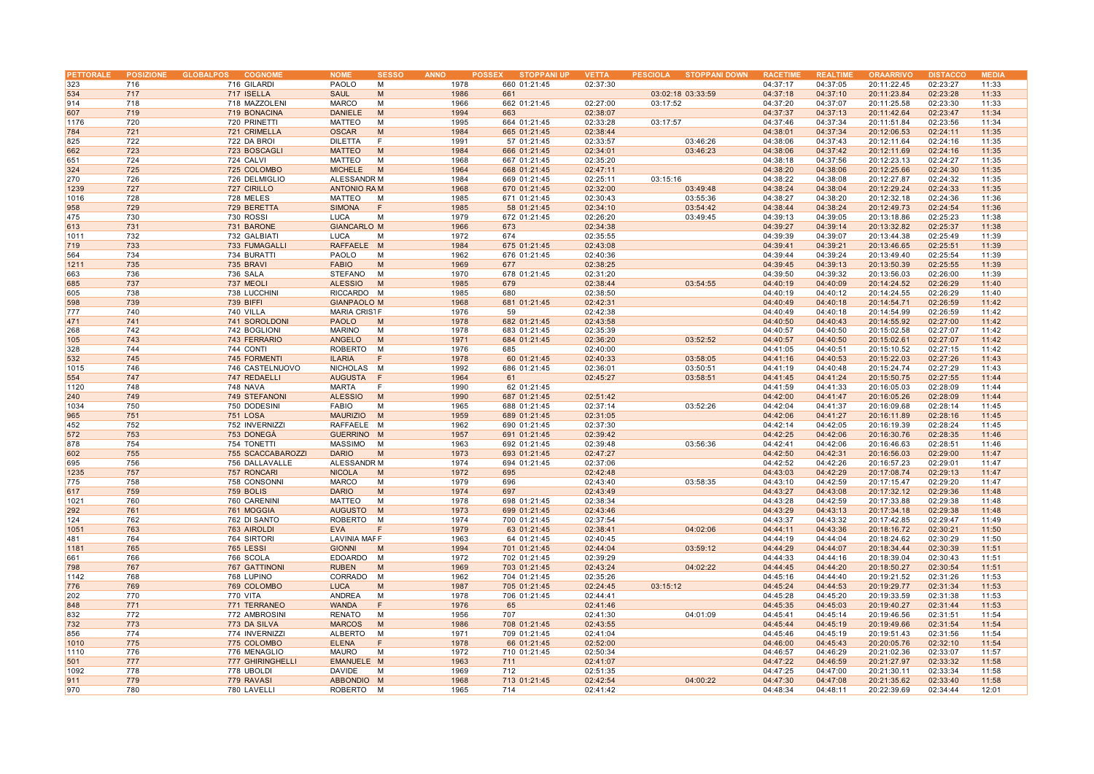| 323<br>716<br>716 GILARDI<br>PAOLO<br>1978<br>660 01:21:45<br>02:37:30<br>м<br>04:37:17<br>717<br>717 ISELLA<br><b>SAUL</b><br>M<br>1986<br>03:02:18 03:33:59<br>04:37:18<br>534<br>661<br>718<br>718 MAZZOLENI<br><b>MARCO</b><br>1966<br>02:27:00<br>04:37:20<br>914<br>M<br>662 01:21:45<br>03:17:52<br><b>DANIELE</b><br>M<br>04:37:37<br>607<br>719<br>719 BONACINA<br>1994<br>663<br>02:38:07<br>1176<br>720<br>720 PRINETTI<br><b>MATTEO</b><br>M<br>1995<br>664 01:21:45<br>02:33:28<br>03:17:57<br>04:37:46<br>784<br>721<br>721 CRIMELLA<br><b>OSCAR</b><br>M<br>1984<br>665 01:21:45<br>02:38:44<br>04:38:01<br>825<br>722<br>722 DA BROI<br><b>DILETTA</b><br>F<br>1991<br>57 01:21:45<br>02:33:57<br>03:46:26<br>04:38:06<br>723<br>03:46:23<br>662<br>723 BOSCAGLI<br><b>MATTEO</b><br>M<br>1984<br>666 01:21:45<br>02:34:01<br>04:38:06<br>724<br>724 CALVI<br><b>MATTEO</b><br>667 01:21:45<br>02:35:20<br>04:38:18<br>651<br>M<br>1968<br>725<br>725 COLOMBO<br><b>MICHELE</b><br>1964<br>668 01:21:45<br>02:47:11<br>04:38:20<br>324<br>M<br>270<br>726<br>726 DELMIGLIO<br>ALESSANDR M<br>1984<br>669 01:21:45<br>02:25:11<br>03:15:16<br>04:38:22<br>727<br>04:38:24<br>1239<br>727 CIRILLO<br><b>ANTONIO RAM</b><br>1968<br>670 01:21:45<br>02:32:00<br>03:49:48<br>03:55:36<br>1016<br>728<br>728 MELES<br><b>MATTEO</b><br>M<br>1985<br>671 01:21:45<br>02:30:43<br>04:38:27 | 20:11:22.45<br>04:37:05<br>04:37:10<br>20:11:23.84<br>04:37:07<br>20:11:25.58<br>20:11:42.64<br>04:37:13<br>04:37:34<br>20:11:51.84<br>04:37:34<br>20:12:06.53<br>04:37:43<br>20:12:11.64<br>04:37:42<br>20:12:11.69<br>04:37:56<br>20:12:23.13<br>20:12:25.66<br>04:38:06<br>04:38:08<br>20:12:27.87<br>20:12:29.24<br>04:38:04<br>20:12:32.18<br>04:38:20<br>20:12:49.73<br>04:38:24 | 11:33<br>02:23:27<br>02:23:28<br>11:33<br>02:23:30<br>11:33<br>02:23:47<br>11:34<br>02:23:56<br>11:34<br>02:24:11<br>11:35<br>02:24:16<br>11:35<br>11:35<br>02:24:16<br>02:24:27<br>11:35<br>02:24:30<br>11:35<br>02:24:32<br>11:35<br>02:24:33<br>11:35 |
|-----------------------------------------------------------------------------------------------------------------------------------------------------------------------------------------------------------------------------------------------------------------------------------------------------------------------------------------------------------------------------------------------------------------------------------------------------------------------------------------------------------------------------------------------------------------------------------------------------------------------------------------------------------------------------------------------------------------------------------------------------------------------------------------------------------------------------------------------------------------------------------------------------------------------------------------------------------------------------------------------------------------------------------------------------------------------------------------------------------------------------------------------------------------------------------------------------------------------------------------------------------------------------------------------------------------------------------------------------------------------------------------------------|----------------------------------------------------------------------------------------------------------------------------------------------------------------------------------------------------------------------------------------------------------------------------------------------------------------------------------------------------------------------------------------|----------------------------------------------------------------------------------------------------------------------------------------------------------------------------------------------------------------------------------------------------------|
|                                                                                                                                                                                                                                                                                                                                                                                                                                                                                                                                                                                                                                                                                                                                                                                                                                                                                                                                                                                                                                                                                                                                                                                                                                                                                                                                                                                                     |                                                                                                                                                                                                                                                                                                                                                                                        |                                                                                                                                                                                                                                                          |
|                                                                                                                                                                                                                                                                                                                                                                                                                                                                                                                                                                                                                                                                                                                                                                                                                                                                                                                                                                                                                                                                                                                                                                                                                                                                                                                                                                                                     |                                                                                                                                                                                                                                                                                                                                                                                        |                                                                                                                                                                                                                                                          |
|                                                                                                                                                                                                                                                                                                                                                                                                                                                                                                                                                                                                                                                                                                                                                                                                                                                                                                                                                                                                                                                                                                                                                                                                                                                                                                                                                                                                     |                                                                                                                                                                                                                                                                                                                                                                                        |                                                                                                                                                                                                                                                          |
|                                                                                                                                                                                                                                                                                                                                                                                                                                                                                                                                                                                                                                                                                                                                                                                                                                                                                                                                                                                                                                                                                                                                                                                                                                                                                                                                                                                                     |                                                                                                                                                                                                                                                                                                                                                                                        |                                                                                                                                                                                                                                                          |
|                                                                                                                                                                                                                                                                                                                                                                                                                                                                                                                                                                                                                                                                                                                                                                                                                                                                                                                                                                                                                                                                                                                                                                                                                                                                                                                                                                                                     |                                                                                                                                                                                                                                                                                                                                                                                        |                                                                                                                                                                                                                                                          |
|                                                                                                                                                                                                                                                                                                                                                                                                                                                                                                                                                                                                                                                                                                                                                                                                                                                                                                                                                                                                                                                                                                                                                                                                                                                                                                                                                                                                     |                                                                                                                                                                                                                                                                                                                                                                                        |                                                                                                                                                                                                                                                          |
|                                                                                                                                                                                                                                                                                                                                                                                                                                                                                                                                                                                                                                                                                                                                                                                                                                                                                                                                                                                                                                                                                                                                                                                                                                                                                                                                                                                                     |                                                                                                                                                                                                                                                                                                                                                                                        |                                                                                                                                                                                                                                                          |
|                                                                                                                                                                                                                                                                                                                                                                                                                                                                                                                                                                                                                                                                                                                                                                                                                                                                                                                                                                                                                                                                                                                                                                                                                                                                                                                                                                                                     |                                                                                                                                                                                                                                                                                                                                                                                        |                                                                                                                                                                                                                                                          |
|                                                                                                                                                                                                                                                                                                                                                                                                                                                                                                                                                                                                                                                                                                                                                                                                                                                                                                                                                                                                                                                                                                                                                                                                                                                                                                                                                                                                     |                                                                                                                                                                                                                                                                                                                                                                                        |                                                                                                                                                                                                                                                          |
|                                                                                                                                                                                                                                                                                                                                                                                                                                                                                                                                                                                                                                                                                                                                                                                                                                                                                                                                                                                                                                                                                                                                                                                                                                                                                                                                                                                                     |                                                                                                                                                                                                                                                                                                                                                                                        |                                                                                                                                                                                                                                                          |
|                                                                                                                                                                                                                                                                                                                                                                                                                                                                                                                                                                                                                                                                                                                                                                                                                                                                                                                                                                                                                                                                                                                                                                                                                                                                                                                                                                                                     |                                                                                                                                                                                                                                                                                                                                                                                        |                                                                                                                                                                                                                                                          |
|                                                                                                                                                                                                                                                                                                                                                                                                                                                                                                                                                                                                                                                                                                                                                                                                                                                                                                                                                                                                                                                                                                                                                                                                                                                                                                                                                                                                     |                                                                                                                                                                                                                                                                                                                                                                                        |                                                                                                                                                                                                                                                          |
|                                                                                                                                                                                                                                                                                                                                                                                                                                                                                                                                                                                                                                                                                                                                                                                                                                                                                                                                                                                                                                                                                                                                                                                                                                                                                                                                                                                                     |                                                                                                                                                                                                                                                                                                                                                                                        |                                                                                                                                                                                                                                                          |
|                                                                                                                                                                                                                                                                                                                                                                                                                                                                                                                                                                                                                                                                                                                                                                                                                                                                                                                                                                                                                                                                                                                                                                                                                                                                                                                                                                                                     |                                                                                                                                                                                                                                                                                                                                                                                        | 02:24:36<br>11:36                                                                                                                                                                                                                                        |
| 1985<br>03:54:42<br>958<br>729<br>729 BERETTA<br><b>SIMONA</b><br>F<br>58 01:21:45<br>02:34:10<br>04:38:44                                                                                                                                                                                                                                                                                                                                                                                                                                                                                                                                                                                                                                                                                                                                                                                                                                                                                                                                                                                                                                                                                                                                                                                                                                                                                          |                                                                                                                                                                                                                                                                                                                                                                                        | 02:24:54<br>11:36                                                                                                                                                                                                                                        |
| 475<br>730<br>730 ROSSI<br><b>LUCA</b><br>M<br>1979<br>672 01:21:45<br>02:26:20<br>03:49:45<br>04:39:13                                                                                                                                                                                                                                                                                                                                                                                                                                                                                                                                                                                                                                                                                                                                                                                                                                                                                                                                                                                                                                                                                                                                                                                                                                                                                             | 04:39:05<br>20:13:18.86                                                                                                                                                                                                                                                                                                                                                                | 02:25:23<br>11:38                                                                                                                                                                                                                                        |
|                                                                                                                                                                                                                                                                                                                                                                                                                                                                                                                                                                                                                                                                                                                                                                                                                                                                                                                                                                                                                                                                                                                                                                                                                                                                                                                                                                                                     |                                                                                                                                                                                                                                                                                                                                                                                        |                                                                                                                                                                                                                                                          |
| 613<br>731<br>731 BARONE<br><b>GIANCARLO M</b><br>1966<br>673<br>02:34:38<br>04:39:27                                                                                                                                                                                                                                                                                                                                                                                                                                                                                                                                                                                                                                                                                                                                                                                                                                                                                                                                                                                                                                                                                                                                                                                                                                                                                                               | 04:39:14<br>20:13:32.82                                                                                                                                                                                                                                                                                                                                                                | 02:25:37<br>11:38                                                                                                                                                                                                                                        |
| 732<br>LUCA<br>02:35:55<br>04:39:39<br>1011<br>732 GALBIATI<br>M<br>1972<br>674                                                                                                                                                                                                                                                                                                                                                                                                                                                                                                                                                                                                                                                                                                                                                                                                                                                                                                                                                                                                                                                                                                                                                                                                                                                                                                                     | 20:13:44.38<br>04:39:07                                                                                                                                                                                                                                                                                                                                                                | 02:25:49<br>11:39                                                                                                                                                                                                                                        |
| 733<br>1984<br>719<br>733 FUMAGALLI<br><b>RAFFAELE</b><br>M<br>675 01:21:45<br>02:43:08<br>04:39:41                                                                                                                                                                                                                                                                                                                                                                                                                                                                                                                                                                                                                                                                                                                                                                                                                                                                                                                                                                                                                                                                                                                                                                                                                                                                                                 | 04:39:21<br>20:13:46.65                                                                                                                                                                                                                                                                                                                                                                | 02:25:51<br>11:39                                                                                                                                                                                                                                        |
| 564<br>734<br>734 BURATTI<br>PAOLO<br>M<br>1962<br>676 01:21:45<br>02:40:36<br>04:39:44                                                                                                                                                                                                                                                                                                                                                                                                                                                                                                                                                                                                                                                                                                                                                                                                                                                                                                                                                                                                                                                                                                                                                                                                                                                                                                             | 04:39:24<br>20:13:49.40                                                                                                                                                                                                                                                                                                                                                                | 02:25:54<br>11:39                                                                                                                                                                                                                                        |
| 1211<br>735<br>735 BRAVI<br><b>FABIO</b><br>M<br>1969<br>677<br>02:38:25<br>04:39:45                                                                                                                                                                                                                                                                                                                                                                                                                                                                                                                                                                                                                                                                                                                                                                                                                                                                                                                                                                                                                                                                                                                                                                                                                                                                                                                | 04:39:13<br>20:13:50.39                                                                                                                                                                                                                                                                                                                                                                | 02:25:55<br>11:39                                                                                                                                                                                                                                        |
| M<br>1970<br>04:39:50<br>663<br>736<br>736 SALA<br>STEFANO<br>678 01:21:45<br>02:31:20                                                                                                                                                                                                                                                                                                                                                                                                                                                                                                                                                                                                                                                                                                                                                                                                                                                                                                                                                                                                                                                                                                                                                                                                                                                                                                              | 20:13:56.03<br>04:39:32                                                                                                                                                                                                                                                                                                                                                                | 02:26:00<br>11:39                                                                                                                                                                                                                                        |
| 737<br><b>ALESSIO</b><br>1985<br>03:54:55<br>04:40:19<br>685<br>737 MEOLI<br>M<br>679<br>02:38:44                                                                                                                                                                                                                                                                                                                                                                                                                                                                                                                                                                                                                                                                                                                                                                                                                                                                                                                                                                                                                                                                                                                                                                                                                                                                                                   | 20:14:24.52<br>04:40:09                                                                                                                                                                                                                                                                                                                                                                | 02:26:29<br>11:40                                                                                                                                                                                                                                        |
| 605<br>738<br>738 LUCCHINI<br>RICCARDO M<br>1985<br>680<br>02:38:50<br>04:40:19                                                                                                                                                                                                                                                                                                                                                                                                                                                                                                                                                                                                                                                                                                                                                                                                                                                                                                                                                                                                                                                                                                                                                                                                                                                                                                                     | 20:14:24.55<br>04:40:12                                                                                                                                                                                                                                                                                                                                                                | 11:40<br>02:26:29                                                                                                                                                                                                                                        |
| 598<br>739<br>739 BIFFI<br><b>GIANPAOLO M</b><br>1968<br>681 01:21:45<br>02:42:31<br>04:40:49                                                                                                                                                                                                                                                                                                                                                                                                                                                                                                                                                                                                                                                                                                                                                                                                                                                                                                                                                                                                                                                                                                                                                                                                                                                                                                       | 04:40:18<br>20:14:54.71                                                                                                                                                                                                                                                                                                                                                                | 02:26:59<br>11:42                                                                                                                                                                                                                                        |
| 777<br>1976<br>02:42:38<br>04:40:49<br>740<br>740 VILLA<br><b>MARIA CRISTF</b><br>59                                                                                                                                                                                                                                                                                                                                                                                                                                                                                                                                                                                                                                                                                                                                                                                                                                                                                                                                                                                                                                                                                                                                                                                                                                                                                                                | 20:14:54.99<br>04:40:18                                                                                                                                                                                                                                                                                                                                                                | 02:26:59<br>11:42                                                                                                                                                                                                                                        |
| 471<br>741<br>741 SOROLDONI<br><b>PAOLO</b><br>1978<br>682 01:21:45<br>02:43:58<br>04:40:50<br>M                                                                                                                                                                                                                                                                                                                                                                                                                                                                                                                                                                                                                                                                                                                                                                                                                                                                                                                                                                                                                                                                                                                                                                                                                                                                                                    | 04:40:43<br>20:14:55.92                                                                                                                                                                                                                                                                                                                                                                | 02:27:00<br>11:42                                                                                                                                                                                                                                        |
| 268<br>742<br><b>MARINO</b><br>M<br>1978<br>02:35:39<br>04:40:57<br>742 BOGLIONI<br>683 01:21:45                                                                                                                                                                                                                                                                                                                                                                                                                                                                                                                                                                                                                                                                                                                                                                                                                                                                                                                                                                                                                                                                                                                                                                                                                                                                                                    | 04:40:50<br>20:15:02.58                                                                                                                                                                                                                                                                                                                                                                | 02:27:07<br>11:42                                                                                                                                                                                                                                        |
| 743<br>1971<br>684 01:21:45<br>03:52:52<br>04:40:57<br>105<br>743 FERRARIO<br><b>ANGELO</b><br>M<br>02:36:20                                                                                                                                                                                                                                                                                                                                                                                                                                                                                                                                                                                                                                                                                                                                                                                                                                                                                                                                                                                                                                                                                                                                                                                                                                                                                        | 20:15:02.61<br>04:40:50                                                                                                                                                                                                                                                                                                                                                                | 02:27:07<br>11:42                                                                                                                                                                                                                                        |
| 328<br>744<br>744 CONTI<br><b>ROBERTO</b><br>м<br>1976<br>685<br>02:40:00<br>04:41:05                                                                                                                                                                                                                                                                                                                                                                                                                                                                                                                                                                                                                                                                                                                                                                                                                                                                                                                                                                                                                                                                                                                                                                                                                                                                                                               | 04:40:51<br>20:15:10.52                                                                                                                                                                                                                                                                                                                                                                | 02:27:15<br>11:42                                                                                                                                                                                                                                        |
| 532<br>745<br><b>ILARIA</b><br>1978<br>04:41:16<br>F                                                                                                                                                                                                                                                                                                                                                                                                                                                                                                                                                                                                                                                                                                                                                                                                                                                                                                                                                                                                                                                                                                                                                                                                                                                                                                                                                | 04:40:53                                                                                                                                                                                                                                                                                                                                                                               | 11:43                                                                                                                                                                                                                                                    |
| 03:58:05<br>745 FORMENTI<br>60 01:21:45<br>02:40:33                                                                                                                                                                                                                                                                                                                                                                                                                                                                                                                                                                                                                                                                                                                                                                                                                                                                                                                                                                                                                                                                                                                                                                                                                                                                                                                                                 | 20:15:22.03                                                                                                                                                                                                                                                                                                                                                                            | 02:27:26                                                                                                                                                                                                                                                 |
| 1015<br>746<br>746 CASTELNUOVO<br>NICHOLAS<br>M<br>1992<br>686 01:21:45<br>02:36:01<br>03:50:51<br>04:41:19                                                                                                                                                                                                                                                                                                                                                                                                                                                                                                                                                                                                                                                                                                                                                                                                                                                                                                                                                                                                                                                                                                                                                                                                                                                                                         | 04:40:48<br>20:15:24.74                                                                                                                                                                                                                                                                                                                                                                | 02:27:29<br>11:43                                                                                                                                                                                                                                        |
| 02:45:27<br>03:58:51<br>04:41:45<br>554<br>747<br>747 REDAELLI<br><b>AUGUSTA</b><br>1964<br>61<br>F                                                                                                                                                                                                                                                                                                                                                                                                                                                                                                                                                                                                                                                                                                                                                                                                                                                                                                                                                                                                                                                                                                                                                                                                                                                                                                 | 20:15:50.75<br>04:41:24                                                                                                                                                                                                                                                                                                                                                                | 02:27:55<br>11:44                                                                                                                                                                                                                                        |
| 748<br>748 NAVA<br><b>MARTA</b><br>1990<br>04:41:59<br>1120<br>F<br>62 01:21:45                                                                                                                                                                                                                                                                                                                                                                                                                                                                                                                                                                                                                                                                                                                                                                                                                                                                                                                                                                                                                                                                                                                                                                                                                                                                                                                     | 04:41:33<br>20:16:05.03                                                                                                                                                                                                                                                                                                                                                                | 02:28:09<br>11:44                                                                                                                                                                                                                                        |
| 749<br><b>ALESSIO</b><br>M<br>1990<br>687 01:21:45<br>02:51:42<br>04:42:00<br>240<br>749 STEFANONI                                                                                                                                                                                                                                                                                                                                                                                                                                                                                                                                                                                                                                                                                                                                                                                                                                                                                                                                                                                                                                                                                                                                                                                                                                                                                                  | 04:41:47<br>20:16:05.26                                                                                                                                                                                                                                                                                                                                                                | 02:28:09<br>11:44                                                                                                                                                                                                                                        |
| <b>FABIO</b><br>04:42:04<br>1034<br>750<br>750 DODESINI<br>M<br>1965<br>688 01:21:45<br>02:37:14<br>03:52:26                                                                                                                                                                                                                                                                                                                                                                                                                                                                                                                                                                                                                                                                                                                                                                                                                                                                                                                                                                                                                                                                                                                                                                                                                                                                                        | 04:41:37<br>20:16:09.68                                                                                                                                                                                                                                                                                                                                                                | 02:28:14<br>11:45                                                                                                                                                                                                                                        |
| <b>MAURIZIO</b><br>1959<br>965<br>751<br><b>751 LOSA</b><br>M<br>689 01:21:45<br>02:31:05<br>04:42:06                                                                                                                                                                                                                                                                                                                                                                                                                                                                                                                                                                                                                                                                                                                                                                                                                                                                                                                                                                                                                                                                                                                                                                                                                                                                                               | 04:41:27<br>20:16:11.89                                                                                                                                                                                                                                                                                                                                                                | 11:45<br>02:28:16                                                                                                                                                                                                                                        |
| 452<br>RAFFAELE M<br>1962<br>04:42:14<br>752<br>752 INVERNIZZI<br>690 01:21:45<br>02:37:30                                                                                                                                                                                                                                                                                                                                                                                                                                                                                                                                                                                                                                                                                                                                                                                                                                                                                                                                                                                                                                                                                                                                                                                                                                                                                                          | 04:42:05<br>20:16:19.39                                                                                                                                                                                                                                                                                                                                                                | 11:45<br>02:28:24                                                                                                                                                                                                                                        |
| 572<br>753<br>04:42:25<br>753 DONEGA<br><b>GUERRINO M</b><br>1957<br>691 01:21:45<br>02:39:42                                                                                                                                                                                                                                                                                                                                                                                                                                                                                                                                                                                                                                                                                                                                                                                                                                                                                                                                                                                                                                                                                                                                                                                                                                                                                                       | 04:42:06<br>20:16:30.76                                                                                                                                                                                                                                                                                                                                                                | 02:28:35<br>11:46                                                                                                                                                                                                                                        |
| 878<br>754<br>754 TONETTI<br>MASSIMO<br>M<br>1963<br>692 01:21:45<br>02:39:48<br>03:56:36<br>04:42:41                                                                                                                                                                                                                                                                                                                                                                                                                                                                                                                                                                                                                                                                                                                                                                                                                                                                                                                                                                                                                                                                                                                                                                                                                                                                                               | 04:42:06<br>20:16:46.63                                                                                                                                                                                                                                                                                                                                                                | 02:28:51<br>11:46                                                                                                                                                                                                                                        |
| 755<br>1973<br>04:42:50<br>602<br>755 SCACCABAROZZI<br><b>DARIO</b><br>M<br>693 01:21:45<br>02:47:27                                                                                                                                                                                                                                                                                                                                                                                                                                                                                                                                                                                                                                                                                                                                                                                                                                                                                                                                                                                                                                                                                                                                                                                                                                                                                                | 04:42:31<br>20:16:56.03                                                                                                                                                                                                                                                                                                                                                                | 02:29:00<br>11:47                                                                                                                                                                                                                                        |
| 695<br>756<br>ALESSANDR M<br>1974<br>694 01:21:45<br>02:37:06<br>04:42:52<br>756 DALLAVALLE                                                                                                                                                                                                                                                                                                                                                                                                                                                                                                                                                                                                                                                                                                                                                                                                                                                                                                                                                                                                                                                                                                                                                                                                                                                                                                         | 04:42:26<br>20:16:57.23                                                                                                                                                                                                                                                                                                                                                                | 02:29:01<br>11:47                                                                                                                                                                                                                                        |
| 757<br>757 RONCARI<br><b>NICOLA</b><br>1972<br>695<br>02:42:48<br>04:43:03<br>1235<br>M                                                                                                                                                                                                                                                                                                                                                                                                                                                                                                                                                                                                                                                                                                                                                                                                                                                                                                                                                                                                                                                                                                                                                                                                                                                                                                             | 04:42:29<br>20:17:08.74                                                                                                                                                                                                                                                                                                                                                                | 02:29:13<br>11:47                                                                                                                                                                                                                                        |
|                                                                                                                                                                                                                                                                                                                                                                                                                                                                                                                                                                                                                                                                                                                                                                                                                                                                                                                                                                                                                                                                                                                                                                                                                                                                                                                                                                                                     |                                                                                                                                                                                                                                                                                                                                                                                        |                                                                                                                                                                                                                                                          |
| 03:58:35<br>775<br>758<br>758 CONSONNI<br><b>MARCO</b><br>M<br>1979<br>696<br>02:43:40<br>04:43:10                                                                                                                                                                                                                                                                                                                                                                                                                                                                                                                                                                                                                                                                                                                                                                                                                                                                                                                                                                                                                                                                                                                                                                                                                                                                                                  | 04:42:59<br>20:17:15.47                                                                                                                                                                                                                                                                                                                                                                | 02:29:20<br>11:47                                                                                                                                                                                                                                        |
| 617<br>759<br>759 BOLIS<br><b>DARIO</b><br>M<br>1974<br>697<br>02:43:49<br>04:43:27                                                                                                                                                                                                                                                                                                                                                                                                                                                                                                                                                                                                                                                                                                                                                                                                                                                                                                                                                                                                                                                                                                                                                                                                                                                                                                                 | 04:43:08<br>20:17:32.12                                                                                                                                                                                                                                                                                                                                                                | 02:29:36<br>11:48                                                                                                                                                                                                                                        |
| 760<br><b>MATTEO</b><br>1978<br>698 01:21:45<br>04:43:28<br>1021<br>760 CARENINI<br>M<br>02:38:34                                                                                                                                                                                                                                                                                                                                                                                                                                                                                                                                                                                                                                                                                                                                                                                                                                                                                                                                                                                                                                                                                                                                                                                                                                                                                                   | 20:17:33.88<br>04:42:59                                                                                                                                                                                                                                                                                                                                                                | 02:29:38<br>11:48                                                                                                                                                                                                                                        |
| 761<br>761 MOGGIA<br><b>AUGUSTO</b><br>1973<br>699 01:21:45<br>02:43:46<br>04:43:29<br>292<br>M                                                                                                                                                                                                                                                                                                                                                                                                                                                                                                                                                                                                                                                                                                                                                                                                                                                                                                                                                                                                                                                                                                                                                                                                                                                                                                     | 04:43:13<br>20:17:34.18                                                                                                                                                                                                                                                                                                                                                                | 02:29:38<br>11:48                                                                                                                                                                                                                                        |
| 124<br>762<br>762 DI SANTO<br><b>ROBERTO</b><br>M<br>1974<br>700 01:21:45<br>02:37:54<br>04:43:37                                                                                                                                                                                                                                                                                                                                                                                                                                                                                                                                                                                                                                                                                                                                                                                                                                                                                                                                                                                                                                                                                                                                                                                                                                                                                                   | 20:17:42.85<br>04:43:32                                                                                                                                                                                                                                                                                                                                                                | 02:29:47<br>11:49                                                                                                                                                                                                                                        |
| 1979<br>1051<br>763<br>763 AIROLDI<br><b>EVA</b><br>F<br>63 01:21:45<br>02:38:41<br>04:02:06<br>04:44:11                                                                                                                                                                                                                                                                                                                                                                                                                                                                                                                                                                                                                                                                                                                                                                                                                                                                                                                                                                                                                                                                                                                                                                                                                                                                                            | 04:43:36<br>20:18:16.72                                                                                                                                                                                                                                                                                                                                                                | 02:30:21<br>11:50                                                                                                                                                                                                                                        |
| 764<br><b>LAVINIA MAFF</b><br>64 01:21:45<br>481<br>764 SIRTORI<br>1963<br>02:40:45<br>04:44:19                                                                                                                                                                                                                                                                                                                                                                                                                                                                                                                                                                                                                                                                                                                                                                                                                                                                                                                                                                                                                                                                                                                                                                                                                                                                                                     | 20:18:24.62<br>04:44:04                                                                                                                                                                                                                                                                                                                                                                | 02:30:29<br>11:50                                                                                                                                                                                                                                        |
| 1181<br>765<br><b>765 LESSI</b><br><b>GIONNI</b><br>M<br>1994<br>701 01:21:45<br>02:44:04<br>03:59:12<br>04:44:29                                                                                                                                                                                                                                                                                                                                                                                                                                                                                                                                                                                                                                                                                                                                                                                                                                                                                                                                                                                                                                                                                                                                                                                                                                                                                   | 04:44:07<br>20:18:34.44                                                                                                                                                                                                                                                                                                                                                                | 02:30:39<br>11:51                                                                                                                                                                                                                                        |
| 661<br>766<br><b>EDOARDO</b><br>M<br>1972<br>702 01:21:45<br>02:39:29<br>04:44:33<br>766 SCOLA                                                                                                                                                                                                                                                                                                                                                                                                                                                                                                                                                                                                                                                                                                                                                                                                                                                                                                                                                                                                                                                                                                                                                                                                                                                                                                      | 04:44:16<br>20:18:39.04                                                                                                                                                                                                                                                                                                                                                                | 11:51<br>02:30:43                                                                                                                                                                                                                                        |
| 767<br><b>RUBEN</b><br>1969<br>04:02:22<br>04:44:45<br>798<br>767 GATTINONI<br>M<br>703 01:21:45<br>02:43:24                                                                                                                                                                                                                                                                                                                                                                                                                                                                                                                                                                                                                                                                                                                                                                                                                                                                                                                                                                                                                                                                                                                                                                                                                                                                                        | 20:18:50.27<br>04:44:20                                                                                                                                                                                                                                                                                                                                                                | 02:30:54<br>11:51                                                                                                                                                                                                                                        |
| 1142<br>768<br>768 LUPINO<br>CORRADO<br>м<br>1962<br>704 01:21:45<br>02:35:26<br>04:45:16                                                                                                                                                                                                                                                                                                                                                                                                                                                                                                                                                                                                                                                                                                                                                                                                                                                                                                                                                                                                                                                                                                                                                                                                                                                                                                           | 04:44:40<br>20:19:21.52                                                                                                                                                                                                                                                                                                                                                                | 02:31:26<br>11:53                                                                                                                                                                                                                                        |
| 04:45:24<br>776<br>769<br>769 COLOMBO<br><b>LUCA</b><br>M<br>1987<br>705 01:21:45<br>02:24:45<br>03:15:12                                                                                                                                                                                                                                                                                                                                                                                                                                                                                                                                                                                                                                                                                                                                                                                                                                                                                                                                                                                                                                                                                                                                                                                                                                                                                           | 04:44:53<br>20:19:29.77                                                                                                                                                                                                                                                                                                                                                                | 02:31:34<br>11:53                                                                                                                                                                                                                                        |
| 202<br>770<br><b>770 VITA</b><br>ANDREA<br>M<br>1978<br>706 01:21:45<br>02:44:41<br>04:45:28                                                                                                                                                                                                                                                                                                                                                                                                                                                                                                                                                                                                                                                                                                                                                                                                                                                                                                                                                                                                                                                                                                                                                                                                                                                                                                        | 04:45:20<br>20:19:33.59                                                                                                                                                                                                                                                                                                                                                                | 02:31:38<br>11:53                                                                                                                                                                                                                                        |
| 771<br><b>WANDA</b><br>F<br>1976<br>02:41:46<br>04:45:35<br>848<br>771 TERRANEO<br>65                                                                                                                                                                                                                                                                                                                                                                                                                                                                                                                                                                                                                                                                                                                                                                                                                                                                                                                                                                                                                                                                                                                                                                                                                                                                                                               | 04:45:03<br>20:19:40.27                                                                                                                                                                                                                                                                                                                                                                | 02:31:44<br>11:53                                                                                                                                                                                                                                        |
| 772<br>772 AMBROSINI<br><b>RENATO</b><br>M<br>1956<br>707<br>02:41:30<br>04:01:09<br>04:45:41<br>832                                                                                                                                                                                                                                                                                                                                                                                                                                                                                                                                                                                                                                                                                                                                                                                                                                                                                                                                                                                                                                                                                                                                                                                                                                                                                                | 04:45:14<br>20:19:46.56                                                                                                                                                                                                                                                                                                                                                                | 02:31:51<br>11:54                                                                                                                                                                                                                                        |
|                                                                                                                                                                                                                                                                                                                                                                                                                                                                                                                                                                                                                                                                                                                                                                                                                                                                                                                                                                                                                                                                                                                                                                                                                                                                                                                                                                                                     |                                                                                                                                                                                                                                                                                                                                                                                        |                                                                                                                                                                                                                                                          |
| 732<br>773<br>773 DA SILVA<br><b>MARCOS</b><br>M<br>1986<br>02:43:55<br>04:45:44<br>708 01:21:45                                                                                                                                                                                                                                                                                                                                                                                                                                                                                                                                                                                                                                                                                                                                                                                                                                                                                                                                                                                                                                                                                                                                                                                                                                                                                                    | 04:45:19<br>20:19:49.66                                                                                                                                                                                                                                                                                                                                                                | 02:31:54<br>11:54                                                                                                                                                                                                                                        |
| 774<br>1971<br>856<br>774 INVERNIZZI<br>ALBERTO<br>M<br>709 01:21:45<br>02:41:04<br>04:45:46                                                                                                                                                                                                                                                                                                                                                                                                                                                                                                                                                                                                                                                                                                                                                                                                                                                                                                                                                                                                                                                                                                                                                                                                                                                                                                        | 04:45:19<br>20:19:51.43                                                                                                                                                                                                                                                                                                                                                                | 02:31:56<br>11:54                                                                                                                                                                                                                                        |
| 775<br>775 COLOMBO<br><b>ELENA</b><br>1978<br>66 01:21:45<br>02:52:00<br>04:46:00<br>1010<br>F                                                                                                                                                                                                                                                                                                                                                                                                                                                                                                                                                                                                                                                                                                                                                                                                                                                                                                                                                                                                                                                                                                                                                                                                                                                                                                      | 04:45:43<br>20:20:05.76                                                                                                                                                                                                                                                                                                                                                                | 11:54<br>02:32:10                                                                                                                                                                                                                                        |
| 776<br>776 MENAGLIO<br><b>MAURO</b><br>M<br>1972<br>710 01:21:45<br>02:50:34<br>04:46:57<br>1110                                                                                                                                                                                                                                                                                                                                                                                                                                                                                                                                                                                                                                                                                                                                                                                                                                                                                                                                                                                                                                                                                                                                                                                                                                                                                                    | 04:46:29<br>20:21:02.36                                                                                                                                                                                                                                                                                                                                                                | 02:33:07<br>11:57                                                                                                                                                                                                                                        |
| 777<br>EMANUELE M<br>1963<br>04:47:22<br>501<br>777 GHIRINGHELLI<br>711<br>02:41:07                                                                                                                                                                                                                                                                                                                                                                                                                                                                                                                                                                                                                                                                                                                                                                                                                                                                                                                                                                                                                                                                                                                                                                                                                                                                                                                 | 20:21:27.97<br>04:46:59                                                                                                                                                                                                                                                                                                                                                                | 02:33:32<br>11:58                                                                                                                                                                                                                                        |
| 1092<br>778<br>778 UBOLDI<br><b>DAVIDE</b><br>M<br>1969<br>712<br>02:51:35<br>04:47:25                                                                                                                                                                                                                                                                                                                                                                                                                                                                                                                                                                                                                                                                                                                                                                                                                                                                                                                                                                                                                                                                                                                                                                                                                                                                                                              | 04:47:00<br>20:21:30.11                                                                                                                                                                                                                                                                                                                                                                | 02:33:34<br>11:58                                                                                                                                                                                                                                        |
| 779<br>1968<br>713 01:21:45<br>911<br>779 RAVASI<br>ABBONDIO M<br>02:42:54<br>04:00:22<br>04:47:30                                                                                                                                                                                                                                                                                                                                                                                                                                                                                                                                                                                                                                                                                                                                                                                                                                                                                                                                                                                                                                                                                                                                                                                                                                                                                                  | 04:47:08<br>20:21:35.62                                                                                                                                                                                                                                                                                                                                                                | 02:33:40<br>11:58                                                                                                                                                                                                                                        |
| 970<br>780<br>780 LAVELLI<br><b>ROBERTO</b><br>1965<br>714<br>02:41:42<br>04:48:34<br>M                                                                                                                                                                                                                                                                                                                                                                                                                                                                                                                                                                                                                                                                                                                                                                                                                                                                                                                                                                                                                                                                                                                                                                                                                                                                                                             | 04:48:11<br>20:22:39.69                                                                                                                                                                                                                                                                                                                                                                | 02:34:44<br>12:01                                                                                                                                                                                                                                        |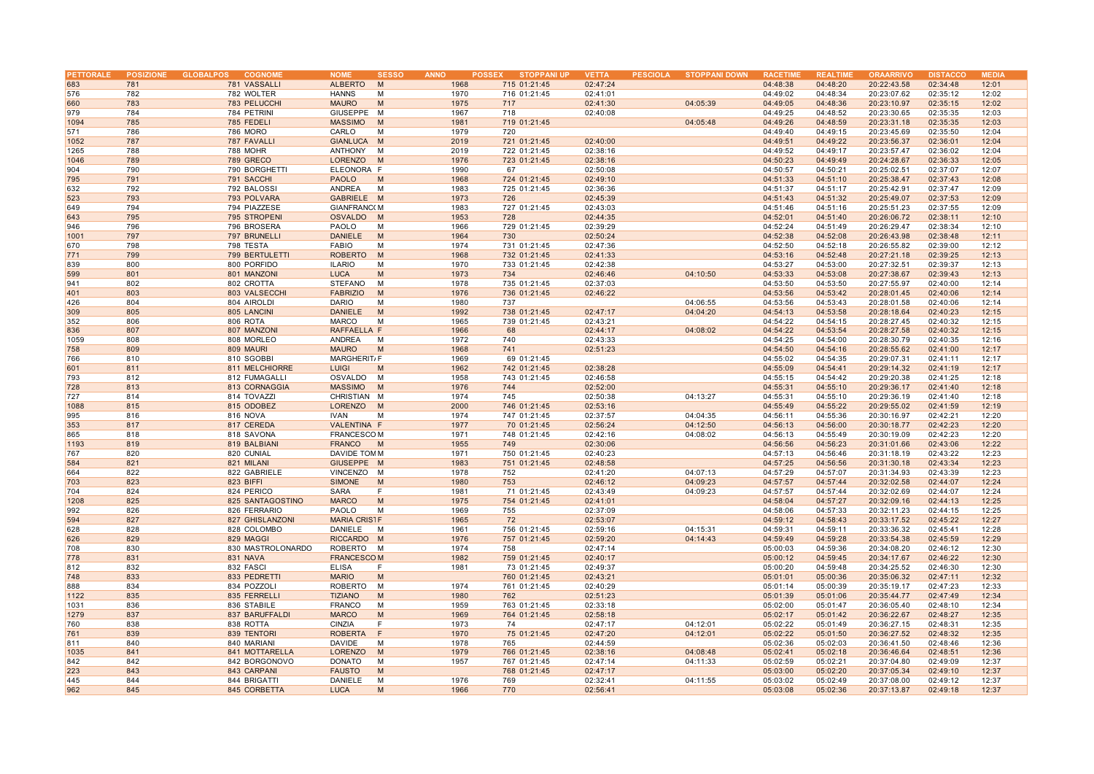| PETTORALE |            | POSIZIONE GLOBALPOS<br><b>COGNOME</b> | <b>NOME</b>         | <b>SESSO</b> | <b>ANNO</b> | <b>STOPPANI UP</b><br><b>POSSEX</b> | <b>VETTA</b>         | <b>PESCIOLA</b> | <b>STOPPANI DOWN</b> | <b>RACETIME</b> | <b>REALTIME</b> | <b>ORAARRIVO</b> | <b>DISTACCO</b> | <b>MEDIA</b> |
|-----------|------------|---------------------------------------|---------------------|--------------|-------------|-------------------------------------|----------------------|-----------------|----------------------|-----------------|-----------------|------------------|-----------------|--------------|
| 683       | 781        | 781 VASSALLI                          | <b>ALBERTO</b>      | M            | 1968        | 715 01:21:45                        | 02:47:24             |                 |                      | 04:48:38        | 04:48:20        | 20:22:43.58      | 02:34:48        | 12:01        |
| 576       | 782        | 782 WOLTER                            | <b>HANNS</b>        | M            | 1970        | 716 01:21:45                        | 02:41:01             |                 |                      | 04:49:02        | 04:48:34        | 20:23:07.62      | 02:35:12        | 12:02        |
| 660       | 783        | 783 PELUCCHI                          | <b>MAURO</b>        | M            | 1975        | 717                                 | 02:41:30             |                 | 04:05:39             | 04:49:05        | 04:48:36        | 20:23:10.97      | 02:35:15        | 12:02        |
| 979       | 784        | 784 PETRINI                           | GIUSEPPE M          |              | 1967        | 718                                 | 02:40:08             |                 |                      | 04:49:25        | 04:48:52        | 20:23:30.65      | 02:35:35        | 12:03        |
| 1094      | 785        | 785 FEDELI                            | <b>MASSIMO</b>      | M            | 1981        | 719 01:21:45                        |                      |                 | 04:05:48             | 04:49:26        | 04:48:59        | 20:23:31.18      | 02:35:35        | 12:03        |
| 571       | 786        | 786 MORO                              | CARLO               | M            | 1979        | 720                                 |                      |                 |                      | 04:49:40        | 04:49:15        | 20:23:45.69      | 02:35:50        | 12:04        |
| 1052      | 787        | 787 FAVALLI                           | GIANLUCA M          |              | 2019        | 721 01:21:45                        | 02:40:00             |                 |                      | 04:49:51        | 04:49:22        | 20:23:56.37      | 02:36:01        | 12:04        |
| 1265      | 788        | 788 MOHR                              | ANTHONY             | M            | 2019        | 722 01:21:45                        | 02:38:16             |                 |                      | 04:49:52        | 04:49:17        | 20:23:57.47      | 02:36:02        | 12:04        |
| 1046      | 789        | 789 GRECO                             | LORENZO             | M            | 1976        | 723 01:21:45                        |                      |                 |                      | 04:50:23        | 04:49:49        | 20:24:28.67      | 02:36:33        | 12:05        |
|           |            |                                       |                     |              | 1990        |                                     | 02:38:16<br>02:50:08 |                 |                      |                 | 04:50:21        | 20:25:02.51      |                 |              |
| 904       | 790<br>791 | 790 BORGHETTI                         | ELEONORA F          |              |             | 67                                  |                      |                 |                      | 04:50:57        |                 |                  | 02:37:07        | 12:07        |
| 795       |            | 791 SACCHI                            | <b>PAOLO</b>        | M            | 1968        | 724 01:21:45                        | 02:49:10             |                 |                      | 04:51:33        | 04:51:10        | 20:25:38.47      | 02:37:43        | 12:08        |
| 632       | 792        | 792 BALOSSI                           | ANDREA              | M            | 1983        | 725 01:21:45                        | 02:36:36             |                 |                      | 04:51:37        | 04:51:17        | 20:25:42.91      | 02:37:47        | 12:09        |
| 523       | 793        | 793 POLVARA                           | GABRIELE M          |              | 1973        | 726                                 | 02:45:39             |                 |                      | 04:51:43        | 04:51:32        | 20:25:49.07      | 02:37:53        | 12:09        |
| 649       | 794        | 794 PIAZZESE                          | <b>GIANFRANC(M</b>  |              | 1983        | 727 01:21:45                        | 02:43:03             |                 |                      | 04:51:46        | 04:51:16        | 20:25:51.23      | 02:37:55        | 12:09        |
| 643       | 795        | 795 STROPENI                          | <b>OSVALDO</b>      | <b>M</b>     | 1953        | 728                                 | 02:44:35             |                 |                      | 04:52:01        | 04:51:40        | 20:26:06.72      | 02:38:11        | 12:10        |
| 946       | 796        | 796 BROSERA                           | PAOLO               | M            | 1966        | 729 01:21:45                        | 02:39:29             |                 |                      | 04:52:24        | 04:51:49        | 20:26:29.47      | 02:38:34        | 12:10        |
| 1001      | 797        | 797 BRUNELLI                          | <b>DANIELE</b>      | M            | 1964        | 730                                 | 02:50:24             |                 |                      | 04:52:38        | 04:52:08        | 20:26:43.98      | 02:38:48        | 12:11        |
| 670       | 798        | 798 TESTA                             | <b>FABIO</b>        | M            | 1974        | 731 01:21:45                        | 02:47:36             |                 |                      | 04:52:50        | 04:52:18        | 20:26:55.82      | 02:39:00        | 12:12        |
| 771       | 799        | 799 BERTULETTI                        | <b>ROBERTO</b>      | M            | 1968        | 732 01:21:45                        | 02:41:33             |                 |                      | 04:53:16        | 04:52:48        | 20:27:21.18      | 02:39:25        | 12:13        |
| 839       | 800        | 800 PORFIDO                           | <b>ILARIO</b>       | M            | 1970        | 733 01:21:45                        | 02:42:38             |                 |                      | 04:53:27        | 04:53:00        | 20:27:32.51      | 02:39:37        | 12:13        |
| 599       | 801        | 801 MANZONI                           | <b>LUCA</b>         | M            | 1973        | 734                                 | 02:46:46             |                 | 04:10:50             | 04:53:33        | 04:53:08        | 20:27:38.67      | 02:39:43        | 12:13        |
| 941       | 802        | 802 CROTTA                            | <b>STEFANO</b>      | M            | 1978        | 735 01:21:45                        | 02:37:03             |                 |                      | 04:53:50        | 04:53:50        | 20:27:55.97      | 02:40:00        | 12:14        |
| 401       | 803        | 803 VALSECCHI                         | <b>FABRIZIO</b>     | M            | 1976        | 736 01:21:45                        | 02:46:22             |                 |                      | 04:53:56        | 04:53:42        | 20:28:01.45      | 02:40:06        | 12:14        |
| 426       | 804        | 804 AIROLDI                           | <b>DARIO</b>        | M            | 1980        | 737                                 |                      |                 | 04:06:55             | 04:53:56        | 04:53:43        | 20:28:01.58      | 02:40:06        | 12:14        |
| 309       | 805        | 805 LANCINI                           | <b>DANIELE</b>      | M            | 1992        | 738 01:21:45                        | 02:47:17             |                 | 04:04:20             | 04:54:13        | 04:53:58        | 20:28:18.64      | 02:40:23        | 12:15        |
| 352       | 806        | 806 ROTA                              | <b>MARCO</b>        | M            | 1965        | 739 01:21:45                        | 02:43:21             |                 |                      | 04:54:22        | 04:54:15        | 20:28:27.45      | 02:40:32        | 12:15        |
| 836       | 807        | 807 MANZONI                           | RAFFAELLA F         |              | 1966        | 68                                  | 02:44:17             |                 | 04:08:02             | 04:54:22        | 04:53:54        | 20:28:27.58      | 02:40:32        | 12:15        |
| 1059      | 808        | 808 MORLEO                            | <b>ANDREA</b>       | M            | 1972        | 740                                 | 02:43:33             |                 |                      | 04:54:25        | 04:54:00        | 20:28:30.79      | 02:40:35        | 12:16        |
| 758       | 809        | 809 MAURI                             | <b>MAURO</b>        | M            | 1968        | 741                                 | 02:51:23             |                 |                      | 04:54:50        | 04:54:16        | 20:28:55.62      | 02:41:00        | 12:17        |
| 766       | 810        | 810 SGOBBI                            | MARGHERIT/F         |              | 1969        | 69 01:21:45                         |                      |                 |                      | 04:55:02        | 04:54:35        | 20:29:07.31      | 02:41:11        | 12:17        |
| 601       | 811        | 811 MELCHIORRE                        | <b>LUIGI</b>        | M            | 1962        | 742 01:21:45                        | 02:38:28             |                 |                      | 04:55:09        | 04:54:41        | 20:29:14.32      | 02:41:19        | 12:17        |
| 793       | 812        | 812 FUMAGALLI                         | OSVALDO             | M            | 1958        | 743 01:21:45                        | 02:46:58             |                 |                      | 04:55:15        | 04:54:42        | 20:29:20.38      | 02:41:25        | 12:18        |
| 728       | 813        | 813 CORNAGGIA                         | <b>MASSIMO</b>      | M            | 1976        | 744                                 | 02:52:00             |                 |                      | 04:55:31        | 04:55:10        | 20:29:36.17      | 02:41:40        | 12:18        |
| 727       | 814        | 814 TOVAZZI                           | CHRISTIAN M         |              | 1974        | 745                                 | 02:50:38             |                 | 04:13:27             | 04:55:31        | 04:55:10        | 20:29:36.19      | 02:41:40        | 12:18        |
| 1088      | 815        | 815 ODOBEZ                            | LORENZO             | M            | 2000        | 746 01:21:45                        | 02:53:16             |                 |                      | 04:55:49        | 04:55:22        | 20:29:55.02      | 02:41:59        | 12:19        |
| 995       | 816        | 816 NOVA                              | <b>IVAN</b>         | M            | 1974        | 747 01:21:45                        | 02:37:57             |                 | 04:04:35             | 04:56:11        | 04:55:36        | 20:30:16.97      | 02:42:21        | 12:20        |
| 353       | 817        | 817 CEREDA                            | VALENTINA F         |              | 1977        | 70 01:21:45                         | 02:56:24             |                 | 04:12:50             | 04:56:13        | 04:56:00        | 20:30:18.77      | 02:42:23        | 12:20        |
| 865       | 818        | 818 SAVONA                            | <b>FRANCESCOM</b>   |              | 1971        | 748 01:21:45                        | 02:42:16             |                 | 04:08:02             | 04:56:13        | 04:55:49        | 20:30:19.09      | 02:42:23        | 12:20        |
| 1193      | 819        | 819 BALBIANI                          | <b>FRANCO</b>       | M            | 1955        | 749                                 | 02:30:06             |                 |                      | 04:56:56        | 04:56:23        | 20:31:01.66      | 02:43:06        | 12:22        |
| 767       | 820        | 820 CUNIAL                            | DAVIDE TOM M        |              | 1971        | 750 01:21:45                        | 02:40:23             |                 |                      | 04:57:13        | 04:56:46        | 20:31:18.19      | 02:43:22        | 12:23        |
| 584       | 821        | 821 MILANI                            | GIUSEPPE M          |              | 1983        | 751 01:21:45                        | 02:48:58             |                 |                      | 04:57:25        | 04:56:56        | 20:31:30.18      | 02:43:34        | 12:23        |
| 664       | 822        | 822 GABRIELE                          | VINCENZO M          |              | 1978        | 752                                 | 02:41:20             |                 | 04:07:13             | 04:57:29        | 04:57:07        | 20:31:34.93      | 02:43:39        | 12:23        |
| 703       | 823        | 823 BIFFI                             | <b>SIMONE</b>       | M            | 1980        | 753                                 | 02:46:12             |                 | 04:09:23             | 04:57:57        | 04:57:44        | 20:32:02.58      | 02:44:07        | 12:24        |
| 704       | 824        | 824 PERICO                            | <b>SARA</b>         | F            | 1981        | 71 01:21:45                         | 02:43:49             |                 | 04:09:23             | 04:57:57        | 04:57:44        | 20:32:02.69      | 02:44:07        | 12:24        |
| 1208      | 825        | 825 SANTAGOSTINO                      | <b>MARCO</b>        | M            | 1975        | 754 01:21:45                        | 02:41:01             |                 |                      | 04:58:04        | 04:57:27        | 20:32:09.16      | 02:44:13        | 12:25        |
| 992       | 826        | 826 FERRARIO                          | PAOLO               | M            | 1969        | 755                                 | 02:37:09             |                 |                      | 04:58:06        | 04:57:33        | 20:32:11.23      | 02:44:15        | 12:25        |
| 594       | 827        | 827 GHISLANZONI                       | <b>MARIA CRISTF</b> |              | 1965        | 72                                  | 02:53:07             |                 |                      | 04:59:12        | 04:58:43        | 20:33:17.52      | 02:45:22        | 12:27        |
| 628       | 828        | 828 COLOMBO                           | DANIELE             | M            | 1961        | 756 01:21:45                        | 02:59:16             |                 | 04:15:31             | 04:59:31        | 04:59:11        | 20:33:36.32      | 02:45:41        | 12:28        |
| 626       | 829        | 829 MAGGI                             | RICCARDO M          |              | 1976        | 757 01:21:45                        | 02:59:20             |                 | 04:14:43             | 04:59:49        | 04:59:28        | 20:33:54.38      | 02:45:59        | 12:29        |
| 708       |            |                                       |                     | M            |             |                                     |                      |                 |                      |                 |                 |                  |                 |              |
|           | 830        | 830 MASTROLONARDO                     | ROBERTO             |              | 1974        | 758                                 | 02:47:14             |                 |                      | 05:00:03        | 04:59:36        | 20:34:08.20      | 02:46:12        | 12:30        |
| 778       | 831        | 831 NAVA                              | <b>FRANCESCOM</b>   |              | 1982        | 759 01:21:45                        | 02:40:17             |                 |                      | 05:00:12        | 04:59:45        | 20:34:17.67      | 02:46:22        | 12:30        |
| 812       | 832        | 832 FASCI                             | <b>ELISA</b>        | E            | 1981        | 73 01:21:45                         | 02:49:37             |                 |                      | 05:00:20        | 04:59:48        | 20:34:25.52      | 02:46:30        | 12:30        |
| 748       | 833        | 833 PEDRETTI                          | <b>MARIO</b>        | M            |             | 760 01:21:45                        | 02:43:21             |                 |                      | 05:01:01        | 05:00:36        | 20:35:06.32      | 02:47:11        | 12:32        |
| 888       | 834        | 834 POZZOL                            | <b>ROBERTO</b>      | м            | 1974        | 761 01:21:45                        | 02:40:29             |                 |                      | 05:01:14        | 05:00:39        | 20:35:19.17      | 02:47:23        | 12:33        |
| 1122      | 835        | 835 FERRELLI                          | <b>TIZIANO</b>      | M            | 1980        | 762                                 | 02:51:23             |                 |                      | 05:01:39        | 05:01:06        | 20:35:44.77      | 02:47:49        | 12:34        |
| 1031      | 836        | 836 STABILE                           | <b>FRANCO</b>       | M            | 1959        | 763 01:21:45                        | 02:33:18             |                 |                      | 05:02:00        | 05:01:47        | 20:36:05.40      | 02:48:10        | 12:34        |
| 1279      | 837        | 837 BARUFFALDI                        | <b>MARCO</b>        | M            | 1969        | 764 01:21:45                        | 02:58:18             |                 |                      | 05:02:17        | 05:01:42        | 20:36:22.67      | 02:48:27        | 12:35        |
| 760       | 838        | 838 ROTTA                             | <b>CINZIA</b>       | F            | 1973        | 74                                  | 02:47:17             |                 | 04:12:01             | 05:02:22        | 05:01:49        | 20:36:27.15      | 02:48:31        | 12:35        |
| 761       | 839        | 839 TENTORI                           | <b>ROBERTA</b>      | F            | 1970        | 75 01:21:45                         | 02:47:20             |                 | 04:12:01             | 05:02:22        | 05:01:50        | 20:36:27.52      | 02:48:32        | 12:35        |
| 811       | 840        | 840 MARIANI                           | <b>DAVIDE</b>       | M            | 1978        | 765                                 | 02:44:59             |                 |                      | 05:02:36        | 05:02:03        | 20:36:41.50      | 02:48:46        | 12:36        |
| 1035      | 841        | 841 MOTTARELLA                        | <b>LORENZO</b>      | M            | 1979        | 766 01:21:45                        | 02:38:16             |                 | 04:08:48             | 05:02:41        | 05:02:18        | 20:36:46.64      | 02:48:51        | 12:36        |
| 842       | 842        | 842 BORGONOVO                         | <b>DONATO</b>       | M            | 1957        | 767 01:21:45                        | 02:47:14             |                 | 04:11:33             | 05:02:59        | 05:02:21        | 20:37:04.80      | 02:49:09        | 12:37        |
| 223       | 843        | 843 CARPANI                           | <b>FAUSTO</b>       | M            |             | 768 01:21:45                        | 02:47:17             |                 |                      | 05:03:00        | 05:02:20        | 20:37:05.34      | 02:49:10        | 12:37        |
| 445       | 844        | 844 BRIGATTI                          | DANIELE             | M            | 1976        | 769                                 | 02:32:41             |                 | 04:11:55             | 05:03:02        | 05:02:49        | 20:37:08.00      | 02:49:12        | 12:37        |
| 962       | 845        | 845 CORBETTA                          | <b>LUCA</b>         | M            | 1966        | 770                                 | 02:56:41             |                 |                      | 05:03:08        | 05:02:36        | 20:37:13.87      | 02:49:18        | 12:37        |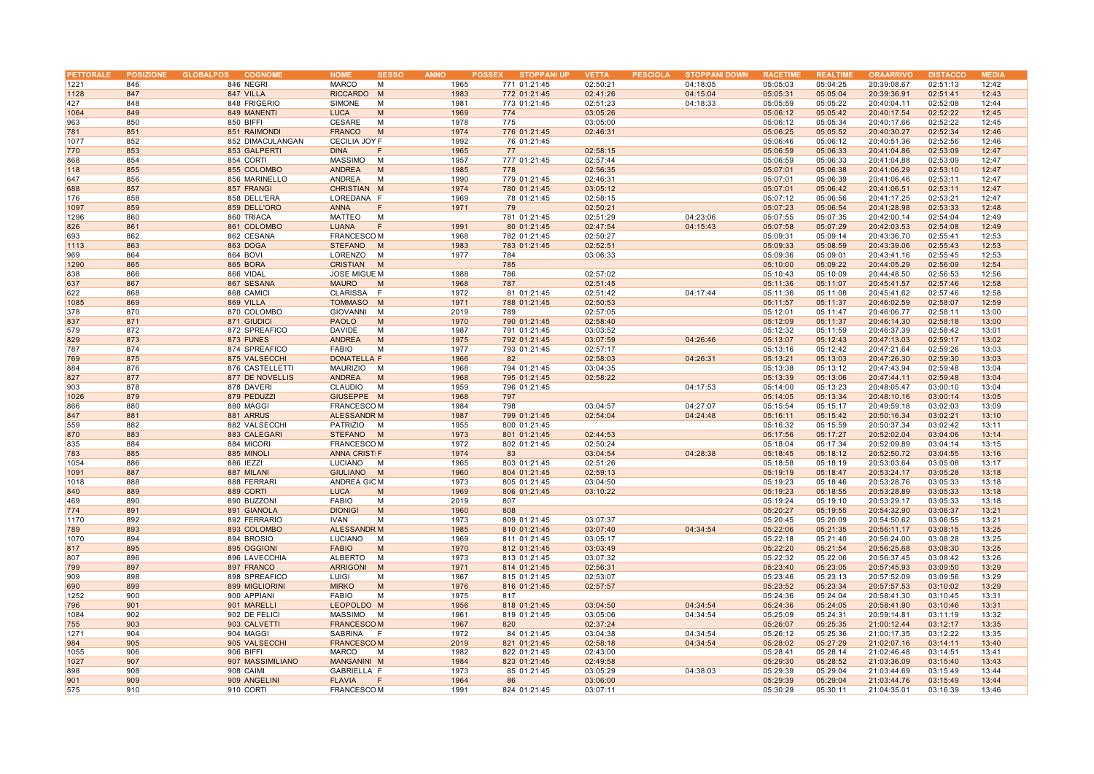| <b>PETTORALE</b> |     | POSIZIONE GLOBALPOS<br><b>COGNOME</b> | <b>NOME</b><br><b>SESSO</b> | <b>ANNO</b> | <b>STOPPANI UP</b><br><b>POSSEX</b> | <b>VETTA</b> | <b>PESCIOLA</b> | <b>STOPPANI DOWN</b> | <b>RACETIMI</b> | <b>REALTIME</b> | <b>ORAARRIVO</b> | <b>DISTACCO</b> | <b>MEDIA</b> |
|------------------|-----|---------------------------------------|-----------------------------|-------------|-------------------------------------|--------------|-----------------|----------------------|-----------------|-----------------|------------------|-----------------|--------------|
| 1221             | 846 | 846 NEGRI                             | <b>MARCO</b><br>М           | 1965        | 771 01:21:45                        | 02:50:21     |                 | 04:18:05             | 05:05:03        | 05:04:25        | 20:39:08.67      | 02:51:13        | 12:42        |
| 1128             | 847 | 847 VILLA                             | <b>RICCARDO</b><br>M        | 1983        | 772 01:21:45                        | 02:41:26     |                 | 04:15:04             | 05:05:31        | 05:05:04        | 20:39:36.91      | 02:51:41        | 12:43        |
| 427              | 848 | 848 FRIGERIO                          | <b>SIMONE</b><br>M          | 1981        | 773 01:21:45                        | 02:51:23     |                 | 04:18:33             | 05:05:59        | 05:05:22        | 20:40:04.11      | 02:52:08        | 12:44        |
|                  |     |                                       |                             |             |                                     |              |                 |                      |                 |                 |                  |                 |              |
| 1064             | 849 | 849 MANENTI                           | <b>LUCA</b><br>M            | 1969        | 774                                 | 03:05:26     |                 |                      | 05:06:12        | 05:05:42        | 20:40:17.54      | 02:52:22        | 12:45        |
| 963              | 850 | 850 BIFFI                             | <b>CESARE</b><br>M          | 1978        | 775                                 | 03:05:00     |                 |                      | 05:06:12        | 05:05:34        | 20:40:17.66      | 02:52:22        | 12:45        |
| 781              | 851 | 851 RAIMONDI                          | <b>FRANCO</b><br>M          | 1974        | 776 01:21:45                        | 02:46:31     |                 |                      | 05:06:25        | 05:05:52        | 20:40:30.27      | 02:52:34        | 12:46        |
| 1077             | 852 | 852 DIMACULANGAN                      | CECILIA JOY F               | 1992        | 76 01:21:45                         |              |                 |                      | 05:06:46        | 05:06:12        | 20:40:51.36      | 02:52:56        | 12:46        |
| 770              | 853 | 853 GALPERTI                          | <b>DINA</b><br>F            | 1965        | 77                                  | 02:58:15     |                 |                      | 05:06:59        | 05:06:33        | 20:41:04.86      | 02:53:09        | 12:47        |
| 868              | 854 | 854 CORTI                             | <b>MASSIMO</b><br>M         | 1957        | 777 01:21:45                        | 02:57:44     |                 |                      | 05:06:59        | 05:06:33        | 20:41:04.88      | 02:53:09        | 12:47        |
| 118              | 855 | 855 COLOMBO                           | ANDREA<br>M                 | 1985        | 778                                 | 02:56:35     |                 |                      | 05:07:01        | 05:06:38        | 20:41:06.29      | 02:53:10        | 12:47        |
| 647              | 856 | 856 MARINELLO                         | ANDREA<br>M                 | 1990        | 779 01:21:45                        | 02:46:31     |                 |                      | 05:07:01        | 05:06:39        | 20:41:06.46      | 02:53:11        | 12:47        |
| 688              | 857 | 857 FRANGI                            | CHRISTIAN M                 | 1974        | 780 01:21:45                        | 03:05:12     |                 |                      | 05:07:01        | 05:06:42        | 20:41:06.51      | 02:53:11        | 12:47        |
| 176              | 858 | 858 DELL'ERA                          | LOREDANA F                  | 1969        | 78 01:21:45                         | 02:58:15     |                 |                      | 05:07:12        | 05:06:56        | 20:41:17.25      | 02:53:21        | 12:47        |
| 1097             | 859 | 859 DELL'ORO                          | <b>ANNA</b><br>F            | 1971        | 79                                  | 02:50:21     |                 |                      | 05:07:23        | 05:06:54        | 20:41:28.98      | 02:53:33        | 12:48        |
| 1296             | 860 | 860 TRIACA                            | MATTEO<br>M                 |             | 781 01:21:45                        | 02:51:29     |                 | 04:23:06             | 05:07:55        | 05:07:35        | 20:42:00.14      | 02:54:04        | 12:49        |
| 826              | 861 | 861 COLOMBO                           | <b>LUANA</b><br>F           | 1991        | 80 01:21:45                         | 02:47:54     |                 | 04:15:43             | 05:07:58        | 05:07:29        | 20:42:03.53      | 02:54:08        | 12:49        |
|                  |     |                                       |                             |             |                                     |              |                 |                      |                 |                 |                  |                 |              |
| 693              | 862 | 862 CESANA                            | <b>FRANCESCOM</b>           | 1968        | 782 01:21:45                        | 02:50:27     |                 |                      | 05:09:31        | 05:09:14        | 20:43:36.70      | 02:55:41        | 12:53        |
| 1113             | 863 | 863 DOGA                              | <b>STEFANO</b><br>M         | 1983        | 783 01:21:45                        | 02:52:51     |                 |                      | 05:09:33        | 05:08:59        | 20:43:39.06      | 02:55:43        | 12:53        |
| 969              | 864 | 864 BOVI                              | LORENZO<br>м                | 1977        | 784                                 | 03:06:33     |                 |                      | 05:09:36        | 05:09:01        | 20:43:41.16      | 02:55:45        | 12:53        |
| 1290             | 865 | 865 BORA                              | <b>CRISTIAN</b><br>M        |             | 785                                 |              |                 |                      | 05:10:00        | 05:09:22        | 20:44:05.29      | 02:56:09        | 12:54        |
| 838              | 866 | 866 VIDAL                             | <b>JOSE MIGUE M</b>         | 1988        | 786                                 | 02:57:02     |                 |                      | 05:10:43        | 05:10:09        | 20:44:48.50      | 02:56:53        | 12:56        |
| 637              | 867 | 867 SESANA                            | <b>MAURO</b><br>M           | 1968        | 787                                 | 02:51:45     |                 |                      | 05:11:36        | 05:11:07        | 20:45:41.57      | 02:57:46        | 12:58        |
| 622              | 868 | 868 CAMICI                            | CLARISSA F                  | 1972        | 81 01:21:45                         | 02:51:42     |                 | 04:17:44             | 05:11:36        | 05:11:08        | 20:45:41.62      | 02:57:46        | 12:58        |
| 1085             | 869 | 869 VILLA                             | <b>TOMMASO</b><br>M         | 1971        | 788 01:21:45                        | 02:50:53     |                 |                      | 05:11:57        | 05:11:37        | 20:46:02.59      | 02:58:07        | 12:59        |
| 378              | 870 | 870 COLOMBO                           | <b>GIOVANNI</b><br>M        | 2019        | 789                                 | 02:57:05     |                 |                      | 05:12:01        | 05:11:47        | 20:46:06.77      | 02:58:11        | 13:00        |
| 837              | 871 | 871 GIUDICI                           | <b>PAOLO</b><br>M           | 1970        | 790 01:21:45                        | 02:58:40     |                 |                      | 05:12:09        | 05:11:37        | 20:46:14.30      | 02:58:18        | 13:00        |
| 579              | 872 | 872 SPREAFICO                         | <b>DAVIDE</b><br>M          | 1987        | 791 01:21:45                        | 03:03:52     |                 |                      | 05:12:32        | 05:11:59        | 20:46:37.39      | 02:58:42        | 13:01        |
| 829              | 873 | 873 FUNES                             | <b>ANDREA</b><br>M          | 1975        | 792 01:21:45                        | 03:07:59     |                 | 04:26:46             | 05:13:07        | 05:12:43        | 20:47:13.03      | 02:59:17        | 13:02        |
| 787              | 874 | 874 SPREAFICO                         | <b>FABIO</b><br>M           | 1977        | 793 01:21:45                        | 02:57:17     |                 |                      | 05:13:16        | 05:12:42        | 20:47:21.64      | 02:59:26        | 13:03        |
| 769              | 875 | 875 VALSECCHI                         | DONATELLA F                 | 1966        | 82                                  | 02:58:03     |                 | 04:26:31             | 05:13:21        | 05:13:03        | 20:47:26.30      | 02:59:30        | 13:03        |
| 884              | 876 |                                       | M                           |             |                                     | 03:04:35     |                 |                      |                 |                 | 20:47:43.94      |                 | 13:04        |
|                  |     | 876 CASTELLETTI                       | <b>MAURIZIO</b>             | 1968        | 794 01:21:45                        |              |                 |                      | 05:13:38        | 05:13:12        |                  | 02:59:48        |              |
| 827              | 877 | 877 DE NOVELLIS                       | ANDREA<br>M                 | 1968        | 795 01:21:45                        | 02:58:22     |                 |                      | 05:13:39        | 05:13:06        | 20:47:44.11      | 02:59:48        | 13:04        |
| 903              | 878 | 878 DAVERI                            | CLAUDIO<br>M                | 1959        | 796 01:21:45                        |              |                 | 04:17:53             | 05:14:00        | 05:13:23        | 20:48:05.47      | 03:00:10        | 13:04        |
| 1026             | 879 | 879 PEDUZZI                           | GIUSEPPE M                  | 1968        | 797                                 |              |                 |                      | 05:14:05        | 05:13:34        | 20:48:10.16      | 03:00:14        | 13:05        |
| 866              | 880 | 880 MAGGI                             | <b>FRANCESCOM</b>           | 1984        | 798                                 | 03:04:57     |                 | 04:27:07             | 05:15:54        | 05:15:17        | 20:49:59.18      | 03:02:03        | 13:09        |
| 847              | 881 | 881 ARRUS                             | <b>ALESSANDR M</b>          | 1987        | 799 01:21:45                        | 02:54:04     |                 | 04:24:48             | 05:16:11        | 05:15:42        | 20:50:16.34      | 03:02:21        | 13:10        |
| 559              | 882 | 882 VALSECCHI                         | PATRIZIO<br>M               | 1955        | 800 01:21:45                        |              |                 |                      | 05:16:32        | 05:15:59        | 20:50:37.34      | 03:02:42        | 13:11        |
| 870              | 883 | 883 CALEGARI                          | <b>STEFANO</b><br>M         | 1973        | 801 01:21:45                        | 02:44:53     |                 |                      | 05:17:56        | 05:17:27        | 20:52:02.04      | 03:04:06        | 13:14        |
| 835              | 884 | 884 MICORI                            | <b>FRANCESCOM</b>           | 1972        | 802 01:21:45                        | 02:50:24     |                 |                      | 05:18:04        | 05:17:34        | 20:52:09.89      | 03:04:14        | 13:15        |
| 783              | 885 | 885 MINOLI                            | <b>ANNA CRISTIF</b>         | 1974        | 83                                  | 03:04:54     |                 | 04:28:38             | 05:18:45        | 05:18:12        | 20:52:50.72      | 03:04:55        | 13:16        |
| 1054             | 886 | 886 IEZZI                             | LUCIANO<br>M                | 1965        | 803 01:21:45                        | 02:51:26     |                 |                      | 05:18:58        | 05:18:19        | 20:53:03.64      | 03:05:08        | 13:17        |
| 1091             | 887 | 887 MILANI                            | <b>GIULIANO</b><br>M        | 1960        | 804 01:21:45                        | 02:59:13     |                 |                      | 05:19:19        | 05:18:47        | 20:53:24.17      | 03:05:28        | 13:18        |
| 1018             | 888 | 888 FERRARI                           | ANDREA GIC M                | 1973        | 805 01:21:45                        | 03:04:50     |                 |                      | 05:19:23        | 05:18:46        | 20:53:28.76      | 03:05:33        | 13:18        |
| 840              | 889 | 889 CORTI                             | <b>LUCA</b><br>M            | 1969        | 806 01:21:45                        | 03:10:22     |                 |                      | 05:19:23        | 05:18:55        | 20:53:28.89      | 03:05:33        | 13:18        |
|                  | 890 |                                       | <b>FABIO</b><br>M           | 2019        |                                     |              |                 |                      | 05:19:24        |                 | 20:53:29.17      | 03:05:33        | 13:18        |
| 469<br>774       |     | 890 BUZZONI                           |                             |             | 807                                 |              |                 |                      |                 | 05:19:10        |                  |                 |              |
|                  | 891 | 891 GIANOLA                           | <b>DIONIGI</b><br>M         | 1960        | 808                                 |              |                 |                      | 05:20:27        | 05:19:55        | 20:54:32.90      | 03:06:37        | 13:21        |
| 1170             | 892 | 892 FERRARIO                          | <b>IVAN</b><br>M            | 1973        | 809 01:21:45                        | 03:07:37     |                 |                      | 05:20:45        | 05:20:09        | 20:54:50.62      | 03:06:55        | 13:21        |
| 789              | 893 | 893 COLOMBO                           | <b>ALESSANDR M</b>          | 1985        | 810 01:21:45                        | 03:07:40     |                 | 04:34:54             | 05:22:06        | 05:21:35        | 20:56:11.17      | 03:08:15        | 13:25        |
| 1070             | 894 | 894 BROSIO                            | <b>LUCIANO</b><br>M         | 1969        | 811 01:21:45                        | 03:05:17     |                 |                      | 05:22:18        | 05:21:40        | 20:56:24.00      | 03:08:28        | 13:25        |
| 817              | 895 | 895 OGGIONI                           | <b>FABIO</b><br>M           | 1970        | 812 01:21:45                        | 03:03:49     |                 |                      | 05:22:20        | 05:21:54        | 20:56:25.68      | 03:08:30        | 13:25        |
| 807              | 896 | 896 LAVECCHIA                         | ALBERTO<br>M                | 1973        | 813 01:21:45                        | 03:07:32     |                 |                      | 05:22:32        | 05:22:06        | 20:56:37.45      | 03:08:42        | 13:26        |
| 799              | 897 | 897 FRANCO                            | M<br><b>ARRIGONI</b>        | 1971        | 814 01:21:45                        | 02:56:31     |                 |                      | 05:23:40        | 05:23:05        | 20:57:45.93      | 03:09:50        | 13:29        |
| 909              | 898 | 898 SPREAFICO                         | LUIGI<br>M                  | 1967        | 815 01:21:45                        | 02:53:07     |                 |                      | 05:23:46        | 05:23:13        | 20:57:52.09      | 03:09:56        | 13:29        |
| 690              | 899 | 899 MIGLIORINI                        | <b>MIRKO</b><br>M           | 1976        | 816 01:21:45                        | 02:57:57     |                 |                      | 05:23:52        | 05:23:34        | 20:57:57.53      | 03:10:02        | 13:29        |
| 1252             | 900 | 900 APPIANI                           | <b>FABIO</b><br>M           | 1975        | 817                                 |              |                 |                      | 05:24:36        | 05:24:04        | 20:58:41.30      | 03:10:45        | 13:31        |
| 796              | 901 | 901 MARELLI                           | LEOPOLDO M                  | 1956        | 818 01:21:45                        | 03:04:50     |                 | 04:34:54             | 05:24:36        | 05:24:05        | 20:58:41.90      | 03:10:46        | 13:31        |
| 1084             | 902 | 902 DE FELICI                         | MASSIMO<br>M                | 1961        | 819 01:21:45                        | 03:05:06     |                 | 04:34:54             | 05:25:09        | 05:24:31        | 20:59:14.81      | 03:11:19        | 13:32        |
| 755              | 903 | 903 CALVETTI                          | <b>FRANCESCOM</b>           | 1967        | 820                                 | 02:37:24     |                 |                      | 05:26:07        | 05:25:35        | 21:00:12.44      | 03:12:17        | 13:35        |
|                  |     |                                       |                             |             |                                     |              |                 |                      |                 |                 |                  |                 |              |
| 1271             | 904 | 904 MAGGI                             | SABRINA<br>- F              | 1972        | 84 01:21:45                         | 03:04:38     |                 | 04:34:54             | 05:26:12        | 05:25:36        | 21:00:17.35      | 03:12:22        | 13:35        |
| 984              | 905 | 905 VALSECCHI                         | <b>FRANCESCOM</b>           | 2019        | 821 01:21:45                        | 02:58:18     |                 | 04:34:54             | 05:28:02        | 05:27:29        | 21:02:07.16      | 03:14:11        | 13:40        |
| 1055             | 906 | 906 BIFFI                             | <b>MARCO</b><br>M           | 1982        | 822 01:21:45                        | 02:43:00     |                 |                      | 05:28:41        | 05:28:14        | 21:02:46.48      | 03:14:51        | 13:41        |
| 1027             | 907 | 907 MASSIMILIANO                      | MANGANINI M                 | 1984        | 823 01:21:45                        | 02:49:58     |                 |                      | 05:29:30        | 05:28:52        | 21:03:36.09      | 03:15:40        | 13:43        |
| 898              | 908 | 908 CAIMI                             | GABRIELLA F                 | 1973        | 85 01:21:45                         | 03:05:29     |                 | 04:38:03             | 05:29:39        | 05:29:04        | 21:03:44.69      | 03:15:49        | 13:44        |
| 901              | 909 | 909 ANGELINI                          | <b>FLAVIA</b><br>F          | 1964        | 86                                  | 03:06:00     |                 |                      | 05:29:39        | 05:29:04        | 21:03:44.76      | 03:15:49        | 13:44        |
| 575              | 910 | 910 CORTI                             | <b>FRANCESCOM</b>           | 1991        | 824 01:21:45                        | 03:07:11     |                 |                      | 05:30:29        | 05:30:11        | 21:04:35.01      | 03:16:39        | 13:46        |